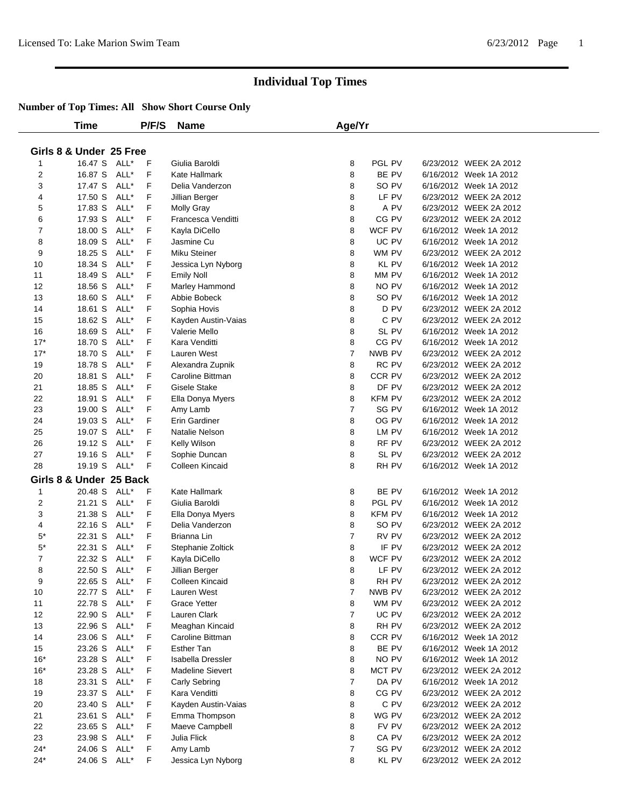|                | Time                    |      | P/F/S | <b>Name</b>             | Age/Yr         |               |                        |  |
|----------------|-------------------------|------|-------|-------------------------|----------------|---------------|------------------------|--|
|                |                         |      |       |                         |                |               |                        |  |
|                | Girls 8 & Under 25 Free |      |       |                         |                |               |                        |  |
| 1              | 16.47 S                 | ALL* | F     | Giulia Baroldi          | 8              | PGL PV        | 6/23/2012 WEEK 2A 2012 |  |
| $\overline{2}$ | 16.87 S                 | ALL* | F     | Kate Hallmark           | 8              | BE PV         | 6/16/2012 Week 1A 2012 |  |
| 3              | 17.47 S                 | ALL* | F     | Delia Vanderzon         | 8              | SO PV         | 6/16/2012 Week 1A 2012 |  |
| 4              | 17.50 S                 | ALL* | F     | Jillian Berger          | 8              | LF PV         | 6/23/2012 WEEK 2A 2012 |  |
| 5              | 17.83 S                 | ALL* | F     | <b>Molly Gray</b>       | 8              | A PV          | 6/23/2012 WEEK 2A 2012 |  |
| 6              | 17.93 S                 | ALL* | F     | Francesca Venditti      | 8              | CG PV         | 6/23/2012 WEEK 2A 2012 |  |
| 7              | 18.00 S                 | ALL* | F     | Kayla DiCello           | 8              | WCF PV        | 6/16/2012 Week 1A 2012 |  |
| 8              | 18.09 S                 | ALL* | F     | Jasmine Cu              | 8              | UC PV         | 6/16/2012 Week 1A 2012 |  |
| 9              | 18.25 S                 | ALL* | F     | <b>Miku Steiner</b>     | 8              | WM PV         | 6/23/2012 WEEK 2A 2012 |  |
| 10             | 18.34 S                 | ALL* | F     | Jessica Lyn Nyborg      | 8              | <b>KL PV</b>  | 6/16/2012 Week 1A 2012 |  |
| 11             | 18.49 S                 | ALL* | F     | <b>Emily Noll</b>       | 8              | MM PV         | 6/16/2012 Week 1A 2012 |  |
| 12             | 18.56 S                 | ALL* | F     | Marley Hammond          | 8              | NO PV         | 6/16/2012 Week 1A 2012 |  |
| 13             | 18.60 S                 | ALL* | F     | Abbie Bobeck            | 8              | SO PV         | 6/16/2012 Week 1A 2012 |  |
| 14             | 18.61 S                 | ALL* | F     | Sophia Hovis            | 8              | D PV          | 6/23/2012 WEEK 2A 2012 |  |
| 15             | 18.62 S                 | ALL* | F     | Kayden Austin-Vaias     | 8              | C PV          | 6/23/2012 WEEK 2A 2012 |  |
| 16             | 18.69 S                 | ALL* | F     | Valerie Mello           | 8              | SL PV         | 6/16/2012 Week 1A 2012 |  |
| $17*$          | 18.70 S                 | ALL* | F     | Kara Venditti           | 8              | CG PV         | 6/16/2012 Week 1A 2012 |  |
| $17*$          | 18.70 S                 | ALL* | F     | Lauren West             | $\overline{7}$ | NWB PV        | 6/23/2012 WEEK 2A 2012 |  |
| 19             | 18.78 S                 | ALL* | F     | Alexandra Zupnik        | 8              | RC PV         | 6/23/2012 WEEK 2A 2012 |  |
| 20             | 18.81 S                 | ALL* | F     | Caroline Bittman        | 8              | CCR PV        | 6/23/2012 WEEK 2A 2012 |  |
| 21             | 18.85 S                 | ALL* | F     | Gisele Stake            | 8              | DF PV         | 6/23/2012 WEEK 2A 2012 |  |
| 22             | 18.91 S                 | ALL* | F     | Ella Donya Myers        | 8              | <b>KFM PV</b> | 6/23/2012 WEEK 2A 2012 |  |
| 23             | 19.00 S                 | ALL* | F     | Amy Lamb                | $\overline{7}$ | SG PV         | 6/16/2012 Week 1A 2012 |  |
| 24             | 19.03 S                 | ALL* | F     | Erin Gardiner           | 8              | OG PV         | 6/16/2012 Week 1A 2012 |  |
| 25             | 19.07 S                 | ALL* | F     | Natalie Nelson          | 8              | LM PV         | 6/16/2012 Week 1A 2012 |  |
| 26             | 19.12 S                 | ALL* | F     | Kelly Wilson            | 8              | RF PV         | 6/23/2012 WEEK 2A 2012 |  |
| 27             | 19.16 S                 | ALL* | F     | Sophie Duncan           | 8              | SL PV         | 6/23/2012 WEEK 2A 2012 |  |
| 28             | 19.19 S                 | ALL* | F     | Colleen Kincaid         | 8              | RH PV         | 6/16/2012 Week 1A 2012 |  |
|                |                         |      |       |                         |                |               |                        |  |
|                | Girls 8 & Under 25 Back |      |       |                         |                |               |                        |  |
| 1              | 20.48 S                 | ALL* | F     | Kate Hallmark           | 8              | BE PV         | 6/16/2012 Week 1A 2012 |  |
| 2              | 21.21 S                 | ALL* | F     | Giulia Baroldi          | 8              | PGL PV        | 6/16/2012 Week 1A 2012 |  |
| 3              | 21.38 S                 | ALL* | F     | Ella Donya Myers        | 8              | KFM PV        | 6/16/2012 Week 1A 2012 |  |
| 4              | 22.16 S                 | ALL* | F     | Delia Vanderzon         | 8              | SO PV         | 6/23/2012 WEEK 2A 2012 |  |
| $5^*$          | 22.31 S                 | ALL* | F     | Brianna Lin             | $\overline{7}$ | RV PV         | 6/23/2012 WEEK 2A 2012 |  |
| $5*$           | 22.31 S                 | ALL* | F     | Stephanie Zoltick       | 8              | IF PV         | 6/23/2012 WEEK 2A 2012 |  |
| 7              | 22.32 S                 | ALL* | F     | Kayla DiCello           | 8              | WCF PV        | 6/23/2012 WEEK 2A 2012 |  |
| 8              | 22.50 S                 | ALL* | F     | Jillian Berger          | 8              | LF PV         | 6/23/2012 WEEK 2A 2012 |  |
| 9              | 22.65 S                 | ALL* | F     | Colleen Kincaid         | 8              | RH PV         | 6/23/2012 WEEK 2A 2012 |  |
| 10             | 22.77 S                 | ALL* | F     | Lauren West             | 7              | NWB PV        | 6/23/2012 WEEK 2A 2012 |  |
| 11             | 22.78 S                 | ALL* | F     | <b>Grace Yetter</b>     | 8              | WM PV         | 6/23/2012 WEEK 2A 2012 |  |
| 12             | 22.90 S                 | ALL* | F     | Lauren Clark            | 7              | UC PV         | 6/23/2012 WEEK 2A 2012 |  |
| 13             | 22.96 S                 | ALL* | F     | Meaghan Kincaid         | 8              | RH PV         | 6/23/2012 WEEK 2A 2012 |  |
| 14             | 23.06 S                 | ALL* | F     | Caroline Bittman        | 8              | CCR PV        | 6/16/2012 Week 1A 2012 |  |
| 15             | 23.26 S                 | ALL* | F     | Esther Tan              | 8              | BE PV         | 6/16/2012 Week 1A 2012 |  |
| $16*$          | 23.28 S                 | ALL* | F     | Isabella Dressler       | 8              | NO PV         | 6/16/2012 Week 1A 2012 |  |
| $16*$          | 23.28 S                 | ALL* | F     | <b>Madeline Sievert</b> | 8              | MCT PV        | 6/23/2012 WEEK 2A 2012 |  |
| 18             | 23.31 S                 | ALL* | F     | Carly Sebring           | $\overline{7}$ | DA PV         | 6/16/2012 Week 1A 2012 |  |
| 19             | 23.37 S                 | ALL* | F     | Kara Venditti           | 8              | CG PV         | 6/23/2012 WEEK 2A 2012 |  |
| 20             | 23.40 S                 | ALL* | F     | Kayden Austin-Vaias     | 8              | C PV          | 6/23/2012 WEEK 2A 2012 |  |
| 21             | 23.61 S                 | ALL* | F     | Emma Thompson           | 8              | WG PV         | 6/23/2012 WEEK 2A 2012 |  |
| 22             | 23.65 S                 | ALL* | F     | Maeve Campbell          | 8              | FV PV         | 6/23/2012 WEEK 2A 2012 |  |
| 23             | 23.98 S                 | ALL* | F     | Julia Flick             | 8              | CA PV         | 6/23/2012 WEEK 2A 2012 |  |
| $24*$          | 24.06 S                 | ALL* | F     | Amy Lamb                | 7              | SG PV         | 6/23/2012 WEEK 2A 2012 |  |
| $24*$          | 24.06 S ALL*            |      | F.    | Jessica Lyn Nyborg      | 8              | KL PV         | 6/23/2012 WEEK 2A 2012 |  |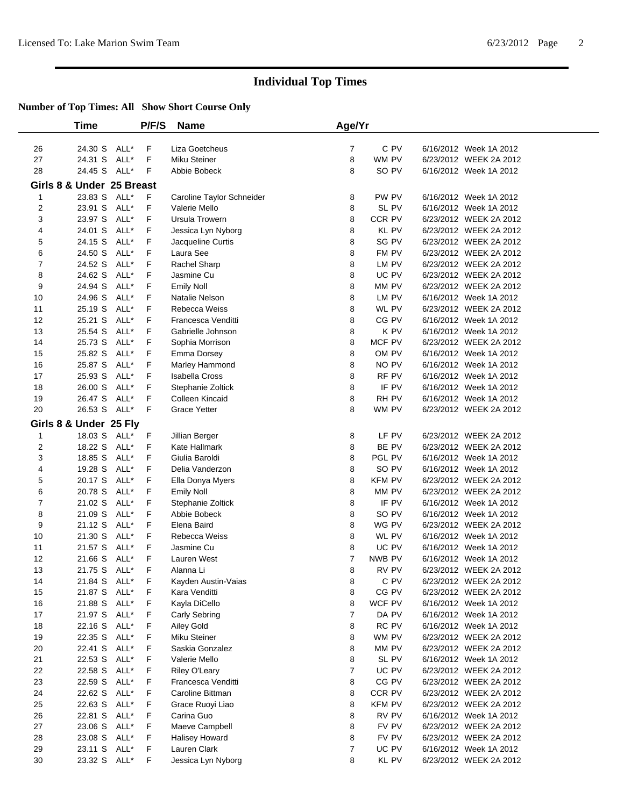|                | Time                      |      | P/F/S | <b>Name</b>               | Age/Yr         |               |                        |
|----------------|---------------------------|------|-------|---------------------------|----------------|---------------|------------------------|
|                |                           |      |       |                           |                |               |                        |
| 26             | 24.30 S                   | ALL* | F     | Liza Goetcheus            | 7              | C PV          | 6/16/2012 Week 1A 2012 |
| 27             | 24.31 S                   | ALL* | F     | Miku Steiner              | 8              | WM PV         | 6/23/2012 WEEK 2A 2012 |
| 28             | 24.45 S                   | ALL* | F     | Abbie Bobeck              | 8              | SO PV         | 6/16/2012 Week 1A 2012 |
|                | Girls 8 & Under 25 Breast |      |       |                           |                |               |                        |
| 1              | 23.83 S                   | ALL* | F.    | Caroline Taylor Schneider | 8              | PW PV         | 6/16/2012 Week 1A 2012 |
| 2              | 23.91 S                   | ALL* | F     | Valerie Mello             | 8              | SL PV         | 6/16/2012 Week 1A 2012 |
| 3              | 23.97 S                   | ALL* | F     | Ursula Trowern            | 8              | CCR PV        | 6/23/2012 WEEK 2A 2012 |
| 4              | 24.01 S                   | ALL* | F     | Jessica Lyn Nyborg        | 8              | <b>KL PV</b>  | 6/23/2012 WEEK 2A 2012 |
| 5              | 24.15 S                   | ALL* | F     | Jacqueline Curtis         | 8              | SG PV         | 6/23/2012 WEEK 2A 2012 |
| 6              | 24.50 S                   | ALL* | F     | Laura See                 | 8              | FM PV         | 6/23/2012 WEEK 2A 2012 |
| 7              | 24.52 S                   | ALL* | F     | Rachel Sharp              | 8              | LM PV         | 6/23/2012 WEEK 2A 2012 |
| 8              | 24.62 S                   | ALL* | F     | Jasmine Cu                | 8              | UC PV         | 6/23/2012 WEEK 2A 2012 |
| 9              | 24.94 S                   | ALL* | F     | <b>Emily Noll</b>         | 8              | MM PV         | 6/23/2012 WEEK 2A 2012 |
| 10             | 24.96 S                   | ALL* | F     | Natalie Nelson            | 8              | LM PV         | 6/16/2012 Week 1A 2012 |
| 11             | 25.19 S                   | ALL* | F     | Rebecca Weiss             | 8              | WL PV         | 6/23/2012 WEEK 2A 2012 |
| 12             | 25.21 S                   | ALL* | F     | Francesca Venditti        | 8              | CG PV         | 6/16/2012 Week 1A 2012 |
| 13             | 25.54 S                   | ALL* | F     | Gabrielle Johnson         | 8              | K PV          | 6/16/2012 Week 1A 2012 |
| 14             | 25.73 S                   | ALL* | F     | Sophia Morrison           | 8              | MCF PV        | 6/23/2012 WEEK 2A 2012 |
| 15             | 25.82 S                   | ALL* | F     | Emma Dorsey               | 8              | OM PV         | 6/16/2012 Week 1A 2012 |
| 16             | 25.87 S                   | ALL* | F     | Marley Hammond            | 8              | NO PV         | 6/16/2012 Week 1A 2012 |
| 17             | 25.93 S                   | ALL* | F     | <b>Isabella Cross</b>     | 8              | RF PV         | 6/16/2012 Week 1A 2012 |
| 18             | 26.00 S                   | ALL* | F     | Stephanie Zoltick         | 8              | IF PV         | 6/16/2012 Week 1A 2012 |
| 19             | 26.47 S                   | ALL* | F     | Colleen Kincaid           | 8              | RH PV         | 6/16/2012 Week 1A 2012 |
| 20             | 26.53 S ALL*              |      | F     | <b>Grace Yetter</b>       | 8              | WM PV         | 6/23/2012 WEEK 2A 2012 |
|                | Girls 8 & Under 25 Fly    |      |       |                           |                |               |                        |
| 1              | 18.03 S                   | ALL* | F     | Jillian Berger            | 8              | LF PV         | 6/23/2012 WEEK 2A 2012 |
| 2              | 18.22 S                   | ALL* | F     | Kate Hallmark             | 8              | BE PV         | 6/23/2012 WEEK 2A 2012 |
| 3              | 18.85 S                   | ALL* | F     | Giulia Baroldi            | 8              | PGL PV        | 6/16/2012 Week 1A 2012 |
| 4              | 19.28 S                   | ALL* | F     | Delia Vanderzon           | 8              | SO PV         | 6/16/2012 Week 1A 2012 |
| 5              | 20.17 S                   | ALL* | F     | Ella Donya Myers          | 8              | <b>KFM PV</b> | 6/23/2012 WEEK 2A 2012 |
| 6              | 20.78 S                   | ALL* | F     | <b>Emily Noll</b>         | 8              | MM PV         | 6/23/2012 WEEK 2A 2012 |
| $\overline{7}$ | 21.02 S                   | ALL* | F     | Stephanie Zoltick         | 8              | IF PV         | 6/16/2012 Week 1A 2012 |
| 8              | 21.09 S                   | ALL* | F     | Abbie Bobeck              | 8              | SO PV         | 6/16/2012 Week 1A 2012 |
| 9              | 21.12 S                   | ALL* | F     | Elena Baird               | 8              | WG PV         | 6/23/2012 WEEK 2A 2012 |
| 10             | 21.30 S                   | ALL* | F     | Rebecca Weiss             | 8              | WL PV         | 6/16/2012 Week 1A 2012 |
| 11             | 21.57 S                   | ALL* | F     | Jasmine Cu                | 8              | UC PV         | 6/16/2012 Week 1A 2012 |
| 12             | 21.66 S                   | ALL* | F     | Lauren West               | 7              | NWB PV        | 6/16/2012 Week 1A 2012 |
| 13             | 21.75 S ALL*              |      | F     | Alanna Li                 | 8              | RV PV         | 6/23/2012 WEEK 2A 2012 |
| 14             | 21.84 S ALL*              |      | F     | Kayden Austin-Vaias       | 8              | C PV          | 6/23/2012 WEEK 2A 2012 |
| 15             | 21.87 S ALL*              |      | F     | Kara Venditti             | 8              | CG PV         | 6/23/2012 WEEK 2A 2012 |
| 16             | 21.88 S ALL*              |      | F     | Kayla DiCello             | 8              | WCF PV        | 6/16/2012 Week 1A 2012 |
| 17             | 21.97 S ALL*              |      | F     | Carly Sebring             | $\overline{7}$ | DA PV         | 6/16/2012 Week 1A 2012 |
| 18             | 22.16 S                   | ALL* | F     | Ailey Gold                | 8              | RC PV         | 6/16/2012 Week 1A 2012 |
| 19             | 22.35 S ALL*              |      | F     | Miku Steiner              | 8              | WM PV         | 6/23/2012 WEEK 2A 2012 |
| 20             | 22.41 S ALL*              |      | F     | Saskia Gonzalez           | 8              | MM PV         | 6/23/2012 WEEK 2A 2012 |
| 21             | 22.53 S                   | ALL* | F     | Valerie Mello             | 8              | SL PV         | 6/16/2012 Week 1A 2012 |
| 22             | 22.58 S ALL*              |      | F     | Riley O'Leary             | $\overline{7}$ | UC PV         | 6/23/2012 WEEK 2A 2012 |
| 23             | 22.59 S                   | ALL* | F     | Francesca Venditti        | 8              | CG PV         | 6/23/2012 WEEK 2A 2012 |
| 24             | 22.62 S                   | ALL* | F     | Caroline Bittman          | 8              | CCR PV        | 6/23/2012 WEEK 2A 2012 |
| 25             | 22.63 S                   | ALL* | F     | Grace Ruoyi Liao          | 8              | <b>KFM PV</b> | 6/23/2012 WEEK 2A 2012 |
| 26             | 22.81 S                   | ALL* | F     | Carina Guo                | 8              | RV PV         | 6/16/2012 Week 1A 2012 |
| 27             | 23.06 S                   | ALL* | F     | Maeve Campbell            | 8              | FV PV         | 6/23/2012 WEEK 2A 2012 |
| 28             | 23.08 S ALL*              |      | F     | <b>Halisey Howard</b>     | 8              | FV PV         | 6/23/2012 WEEK 2A 2012 |
| 29             | 23.11 S ALL*              |      | F     | Lauren Clark              | $\overline{7}$ | UC PV         | 6/16/2012 Week 1A 2012 |
| 30             | 23.32 S ALL*              |      | F     | Jessica Lyn Nyborg        | 8              | KL PV         | 6/23/2012 WEEK 2A 2012 |
|                |                           |      |       |                           |                |               |                        |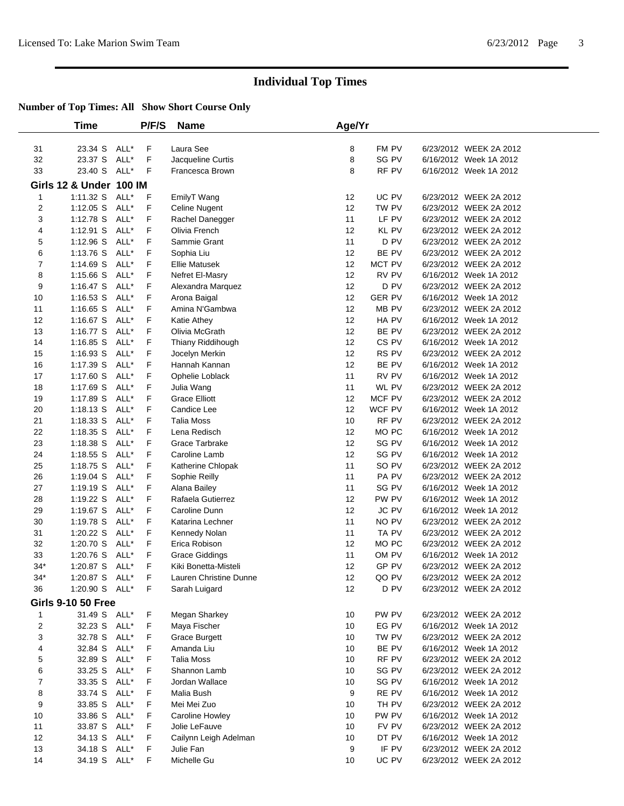|       | Time                      |      | P/F/S | <b>Name</b>            | Age/Yr |                  |                        |
|-------|---------------------------|------|-------|------------------------|--------|------------------|------------------------|
|       |                           |      |       |                        |        |                  |                        |
| 31    | 23.34 S                   | ALL* | F     | Laura See              | 8      | FM PV            | 6/23/2012 WEEK 2A 2012 |
| 32    | 23.37 S                   | ALL* | F     | Jacqueline Curtis      | 8      | SG PV            | 6/16/2012 Week 1A 2012 |
| 33    | 23.40 S                   | ALL* | F     | Francesca Brown        | 8      | RF PV            | 6/16/2012 Week 1A 2012 |
|       | Girls 12 & Under 100 IM   |      |       |                        |        |                  |                        |
| 1     | 1:11.32 S                 | ALL* | F     | EmilyT Wang            | 12     | UC PV            | 6/23/2012 WEEK 2A 2012 |
| 2     | 1:12.05 S                 | ALL* | F     | Celine Nugent          | 12     | TW PV            | 6/23/2012 WEEK 2A 2012 |
| 3     | 1:12.78 S                 | ALL* | F     | Rachel Danegger        | 11     | LF PV            | 6/23/2012 WEEK 2A 2012 |
| 4     | 1:12.91 S                 | ALL* | F     | Olivia French          | 12     | <b>KL PV</b>     | 6/23/2012 WEEK 2A 2012 |
| 5     | 1:12.96 S                 | ALL* | F     | Sammie Grant           | 11     | D PV             | 6/23/2012 WEEK 2A 2012 |
| 6     | 1:13.76 S                 | ALL* | F     | Sophia Liu             | 12     | BE PV            | 6/23/2012 WEEK 2A 2012 |
| 7     | 1:14.69 S                 | ALL* | F     | <b>Ellie Matusek</b>   | 12     | MCT PV           | 6/23/2012 WEEK 2A 2012 |
| 8     | 1:15.66 S                 | ALL* | F     | Nefret El-Masry        | 12     | RV PV            | 6/16/2012 Week 1A 2012 |
| 9     | 1:16.47 S                 | ALL* | F     | Alexandra Marquez      | 12     | D PV             | 6/23/2012 WEEK 2A 2012 |
| 10    | 1:16.53 S                 | ALL* | F     | Arona Baigal           | 12     | <b>GER PV</b>    | 6/16/2012 Week 1A 2012 |
| 11    | 1:16.65 S                 | ALL* | F     | Amina N'Gambwa         | 12     | MB PV            | 6/23/2012 WEEK 2A 2012 |
| 12    | 1:16.67 S                 | ALL* | F     | Katie Athey            | 12     | HA PV            | 6/16/2012 Week 1A 2012 |
| 13    | 1:16.77 S                 | ALL* | F     | Olivia McGrath         | 12     | BE PV            | 6/23/2012 WEEK 2A 2012 |
| 14    | 1:16.85 S                 | ALL* | F     | Thiany Riddihough      | 12     | CS <sub>PV</sub> | 6/16/2012 Week 1A 2012 |
| 15    | 1:16.93 S                 | ALL* | F     | Jocelyn Merkin         | 12     | RS PV            | 6/23/2012 WEEK 2A 2012 |
| 16    | 1:17.39 S                 | ALL* | F     | Hannah Kannan          | 12     | BE PV            | 6/16/2012 Week 1A 2012 |
| 17    | 1:17.60 S                 | ALL* | F     | Ophelie Loblack        | 11     | RV PV            | 6/16/2012 Week 1A 2012 |
| 18    | 1:17.69 S                 | ALL* | F     | Julia Wang             | 11     | WL PV            | 6/23/2012 WEEK 2A 2012 |
| 19    | 1:17.89 S                 | ALL* | F     | <b>Grace Elliott</b>   | 12     | MCF PV           | 6/23/2012 WEEK 2A 2012 |
| 20    | $1:18.13$ S               | ALL* | F     | Candice Lee            | 12     | WCF PV           | 6/16/2012 Week 1A 2012 |
| 21    | 1:18.33 S                 | ALL* | F     | <b>Talia Moss</b>      | 10     | RF PV            | 6/23/2012 WEEK 2A 2012 |
| 22    | 1:18.35 S                 | ALL* | F     | Lena Redisch           | 12     | MO PC            | 6/16/2012 Week 1A 2012 |
| 23    | 1:18.38 S                 | ALL* | F     | Grace Tarbrake         | 12     | SG PV            | 6/16/2012 Week 1A 2012 |
| 24    | 1:18.55 S                 | ALL* | F     | Caroline Lamb          | 12     | SG PV            | 6/16/2012 Week 1A 2012 |
| 25    | 1:18.75 S                 | ALL* | F     | Katherine Chlopak      | 11     | SO PV            | 6/23/2012 WEEK 2A 2012 |
| 26    | 1:19.04 S                 | ALL* | F     | Sophie Reilly          | 11     | PA PV            | 6/23/2012 WEEK 2A 2012 |
| 27    | 1:19.19 S                 | ALL* | F     | Alana Bailey           | 11     | SG PV            | 6/16/2012 Week 1A 2012 |
| 28    | 1:19.22 S                 | ALL* | F     | Rafaela Gutierrez      | 12     | PW PV            | 6/16/2012 Week 1A 2012 |
| 29    | 1:19.67 S                 | ALL* | F     | Caroline Dunn          | 12     | <b>JC PV</b>     | 6/16/2012 Week 1A 2012 |
| 30    | 1:19.78 S                 | ALL* | F     | Katarina Lechner       | 11     | NO PV            | 6/23/2012 WEEK 2A 2012 |
| 31    | 1:20.22 S                 | ALL* | F     | Kennedy Nolan          | 11     | TA PV            | 6/23/2012 WEEK 2A 2012 |
| 32    | 1:20.70 S                 | ALL* | F     | Erica Robison          | 12     | MO PC            | 6/23/2012 WEEK 2A 2012 |
| 33    | 1:20.76 S                 | ALL* | F     | <b>Grace Giddings</b>  | 11     | OM PV            | 6/16/2012 Week 1A 2012 |
| $34*$ | 1:20.87 S                 | ALL* | F     | Kiki Bonetta-Misteli   | 12     | GP PV            | 6/23/2012 WEEK 2A 2012 |
| $34*$ | 1:20.87 S ALL*            |      | F     | Lauren Christine Dunne | 12     | QO PV            | 6/23/2012 WEEK 2A 2012 |
| 36    | 1:20.90 S ALL*            |      | F     | Sarah Luigard          | 12     | D PV             | 6/23/2012 WEEK 2A 2012 |
|       | <b>Girls 9-10 50 Free</b> |      |       |                        |        |                  |                        |
| 1     | 31.49 S ALL*              |      | F     | Megan Sharkey          | 10     | PW PV            | 6/23/2012 WEEK 2A 2012 |
| 2     | 32.23 S                   | ALL* | F     | Maya Fischer           | 10     | EG PV            | 6/16/2012 Week 1A 2012 |
| 3     | 32.78 S                   | ALL* | F     | <b>Grace Burgett</b>   | 10     | TW PV            | 6/23/2012 WEEK 2A 2012 |
| 4     | 32.84 S                   | ALL* | F     | Amanda Liu             | 10     | BE PV            | 6/16/2012 Week 1A 2012 |
| 5     | 32.89 S                   | ALL* | F     | <b>Talia Moss</b>      | 10     | RF PV            | 6/23/2012 WEEK 2A 2012 |
| 6     | 33.25 S                   | ALL* | F     | Shannon Lamb           | 10     | SG PV            | 6/23/2012 WEEK 2A 2012 |
| 7     | 33.35 S                   | ALL* | F     | Jordan Wallace         | 10     | SG PV            | 6/16/2012 Week 1A 2012 |
| 8     | 33.74 S                   | ALL* | F     | Malia Bush             | 9      | RE PV            | 6/16/2012 Week 1A 2012 |
| 9     | 33.85 S                   | ALL* | F     | Mei Mei Zuo            | 10     | TH PV            | 6/23/2012 WEEK 2A 2012 |
| 10    | 33.86 S                   | ALL* | F     | Caroline Howley        | 10     | PW PV            | 6/16/2012 Week 1A 2012 |
| 11    | 33.87 S                   | ALL* | F     | Jolie LeFauve          | 10     | FV PV            | 6/23/2012 WEEK 2A 2012 |
| 12    | 34.13 S                   | ALL* | F     | Cailynn Leigh Adelman  | 10     | DT PV            | 6/16/2012 Week 1A 2012 |
| 13    | 34.18 S                   | ALL* | F     | Julie Fan              | 9      | IF PV            | 6/23/2012 WEEK 2A 2012 |
| 14    | 34.19 S                   | ALL* | F     | Michelle Gu            | 10     | UC PV            | 6/23/2012 WEEK 2A 2012 |
|       |                           |      |       |                        |        |                  |                        |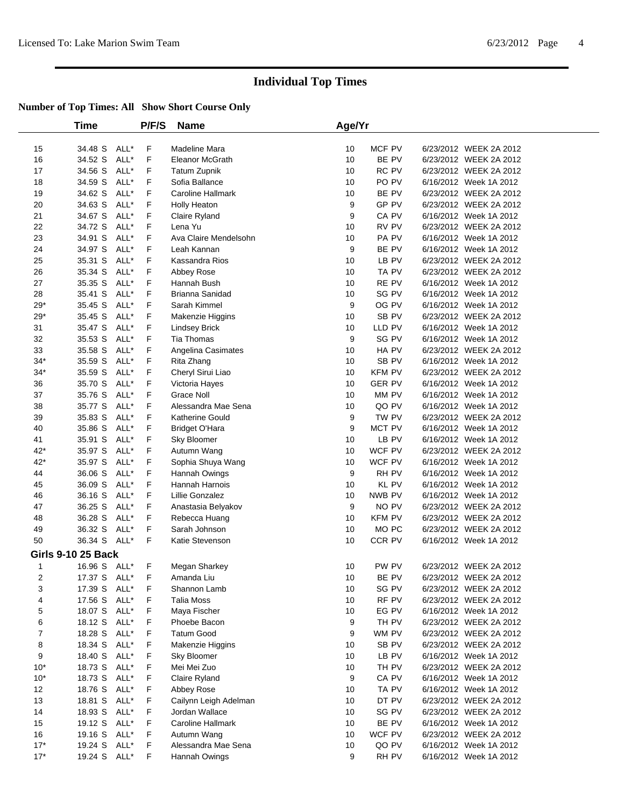|       | <b>Time</b>               |      | P/F/S       | <b>Name</b>           | Age/Yr |                  |                        |  |
|-------|---------------------------|------|-------------|-----------------------|--------|------------------|------------------------|--|
| 15    | 34.48 S                   | ALL* | F           | Madeline Mara         | 10     | MCF PV           | 6/23/2012 WEEK 2A 2012 |  |
| 16    | 34.52 S                   | ALL* | F           | Eleanor McGrath       | 10     | BE PV            | 6/23/2012 WEEK 2A 2012 |  |
| 17    | 34.56 S                   | ALL* | F           | <b>Tatum Zupnik</b>   | 10     | RC PV            | 6/23/2012 WEEK 2A 2012 |  |
| 18    | 34.59 S                   | ALL* | F           | Sofia Ballance        | 10     | PO PV            | 6/16/2012 Week 1A 2012 |  |
| 19    | 34.62 S                   | ALL* | F           | Caroline Hallmark     | 10     | BE PV            | 6/23/2012 WEEK 2A 2012 |  |
| 20    | 34.63 S                   | ALL* | F           | Holly Heaton          | 9      | GP PV            | 6/23/2012 WEEK 2A 2012 |  |
| 21    | 34.67 S                   | ALL* | F           | Claire Ryland         | 9      | CA PV            | 6/16/2012 Week 1A 2012 |  |
| 22    | 34.72 S                   | ALL* | F           | Lena Yu               | 10     | RV PV            | 6/23/2012 WEEK 2A 2012 |  |
| 23    | 34.91 S                   | ALL* | F           | Ava Claire Mendelsohn | 10     | PA PV            | 6/16/2012 Week 1A 2012 |  |
| 24    | 34.97 S                   | ALL* | F           | Leah Kannan           | 9      | BE PV            | 6/16/2012 Week 1A 2012 |  |
| 25    | 35.31 S                   | ALL* | $\mathsf F$ | Kassandra Rios        | 10     | LB PV            | 6/23/2012 WEEK 2A 2012 |  |
| 26    | 35.34 S                   | ALL* | F           | Abbey Rose            | 10     | TA PV            | 6/23/2012 WEEK 2A 2012 |  |
| 27    | 35.35 S                   | ALL* | F           | Hannah Bush           | 10     | RE PV            | 6/16/2012 Week 1A 2012 |  |
| 28    | 35.41 S                   | ALL* | F           | Brianna Sanidad       | 10     | SG PV            | 6/16/2012 Week 1A 2012 |  |
| $29*$ | 35.45 S                   | ALL* | F           | Sarah Kimmel          | 9      | OG PV            | 6/16/2012 Week 1A 2012 |  |
| $29*$ | 35.45 S                   | ALL* | F           | Makenzie Higgins      | 10     | SB PV            | 6/23/2012 WEEK 2A 2012 |  |
| 31    | 35.47 S                   | ALL* | F           | <b>Lindsey Brick</b>  | 10     | LLD PV           | 6/16/2012 Week 1A 2012 |  |
| 32    | 35.53 S                   | ALL* | F           | <b>Tia Thomas</b>     | 9      | SG PV            | 6/16/2012 Week 1A 2012 |  |
| 33    | 35.58 S                   | ALL* | F           | Angelina Casimates    | 10     | HA PV            | 6/23/2012 WEEK 2A 2012 |  |
| $34*$ | 35.59 S                   | ALL* | F           | Rita Zhang            | 10     | SB PV            | 6/16/2012 Week 1A 2012 |  |
| $34*$ | 35.59 S                   | ALL* | F           | Cheryl Sirui Liao     | 10     | <b>KFM PV</b>    | 6/23/2012 WEEK 2A 2012 |  |
| 36    | 35.70 S                   | ALL* | F           | Victoria Hayes        | 10     | <b>GER PV</b>    | 6/16/2012 Week 1A 2012 |  |
| 37    | 35.76 S                   | ALL* | $\mathsf F$ | <b>Grace Noll</b>     | 10     | MM PV            | 6/16/2012 Week 1A 2012 |  |
| 38    | 35.77 S                   | ALL* | F           | Alessandra Mae Sena   | 10     | QO PV            | 6/16/2012 Week 1A 2012 |  |
| 39    | 35.83 S                   | ALL* | F           | Katherine Gould       | 9      | TW PV            | 6/23/2012 WEEK 2A 2012 |  |
| 40    | 35.86 S                   | ALL* | F           | Bridget O'Hara        | 9      | MCT PV           | 6/16/2012 Week 1A 2012 |  |
| 41    | 35.91 S                   | ALL* | F           | Sky Bloomer           | 10     | LB PV            | 6/16/2012 Week 1A 2012 |  |
| $42*$ | 35.97 S                   | ALL* | F           | Autumn Wang           | 10     | WCF PV           | 6/23/2012 WEEK 2A 2012 |  |
| $42*$ | 35.97 S                   | ALL* | F           | Sophia Shuya Wang     | 10     | WCF PV           | 6/16/2012 Week 1A 2012 |  |
| 44    | 36.06 S                   | ALL* | F           | Hannah Owings         | 9      | RH PV            | 6/16/2012 Week 1A 2012 |  |
| 45    | 36.09 S                   | ALL* | F           | Hannah Harnois        | 10     | <b>KL PV</b>     | 6/16/2012 Week 1A 2012 |  |
| 46    | 36.16 S                   | ALL* | F           | Lillie Gonzalez       | 10     | NWB PV           | 6/16/2012 Week 1A 2012 |  |
| 47    | 36.25 S                   | ALL* | F           | Anastasia Belyakov    | 9      | NO PV            | 6/23/2012 WEEK 2A 2012 |  |
| 48    | 36.28 S                   | ALL* | F           | Rebecca Huang         | 10     | <b>KFM PV</b>    | 6/23/2012 WEEK 2A 2012 |  |
| 49    | 36.32 S                   | ALL* | F           | Sarah Johnson         | 10     | MO <sub>PC</sub> | 6/23/2012 WEEK 2A 2012 |  |
| 50    | 36.34 S ALL*              |      | F           | Katie Stevenson       | 10     | CCR PV           | 6/16/2012 Week 1A 2012 |  |
|       | <b>Girls 9-10 25 Back</b> |      |             |                       |        |                  |                        |  |
| 1     | 16.96 S ALL*              |      | F           | Megan Sharkey         | 10     | PW PV            | 6/23/2012 WEEK 2A 2012 |  |
| 2     | 17.37 S ALL*              |      | F.          | Amanda Liu            | 10     | BE PV            | 6/23/2012 WEEK 2A 2012 |  |
| 3     | 17.39 S ALL*              |      | F           | Shannon Lamb          | 10     | SG PV            | 6/23/2012 WEEK 2A 2012 |  |
| 4     | 17.56 S ALL*              |      | F           | <b>Talia Moss</b>     | 10     | RF PV            | 6/23/2012 WEEK 2A 2012 |  |
| 5     | 18.07 S ALL*              |      | F           | Maya Fischer          | 10     | EG PV            | 6/16/2012 Week 1A 2012 |  |
| 6     | 18.12 S ALL*              |      | F           | Phoebe Bacon          | 9      | TH PV            | 6/23/2012 WEEK 2A 2012 |  |
| 7     | 18.28 S                   | ALL* | F           | <b>Tatum Good</b>     | 9      | WM PV            | 6/23/2012 WEEK 2A 2012 |  |
| 8     | 18.34 S ALL*              |      | F           | Makenzie Higgins      | 10     | SB PV            | 6/23/2012 WEEK 2A 2012 |  |
| 9     | 18.40 S ALL*              |      | F           | Sky Bloomer           | 10     | LB PV            | 6/16/2012 Week 1A 2012 |  |
| $10*$ | 18.73 S                   | ALL* | F           | Mei Mei Zuo           | 10     | TH PV            | 6/23/2012 WEEK 2A 2012 |  |
| $10*$ | 18.73 S ALL*              |      | F           | Claire Ryland         | 9      | CA PV            | 6/16/2012 Week 1A 2012 |  |
| 12    | 18.76 S ALL*              |      | F           | Abbey Rose            | 10     | TA PV            | 6/16/2012 Week 1A 2012 |  |
| 13    | 18.81 S ALL*              |      | F           | Cailynn Leigh Adelman | 10     | DT PV            | 6/23/2012 WEEK 2A 2012 |  |
| 14    | 18.93 S ALL*              |      | F           | Jordan Wallace        | 10     | SG PV            | 6/23/2012 WEEK 2A 2012 |  |
| 15    | 19.12 S ALL*              |      | F           | Caroline Hallmark     | 10     | BE PV            | 6/16/2012 Week 1A 2012 |  |
| 16    | 19.16 S ALL*              |      | F           | Autumn Wang           | 10     | WCF PV           | 6/23/2012 WEEK 2A 2012 |  |
| $17*$ | 19.24 S ALL*              |      | F           | Alessandra Mae Sena   | 10     | QO PV            | 6/16/2012 Week 1A 2012 |  |
| $17*$ | 19.24 S ALL*              |      | F.          | Hannah Owings         | 9      | RH PV            | 6/16/2012 Week 1A 2012 |  |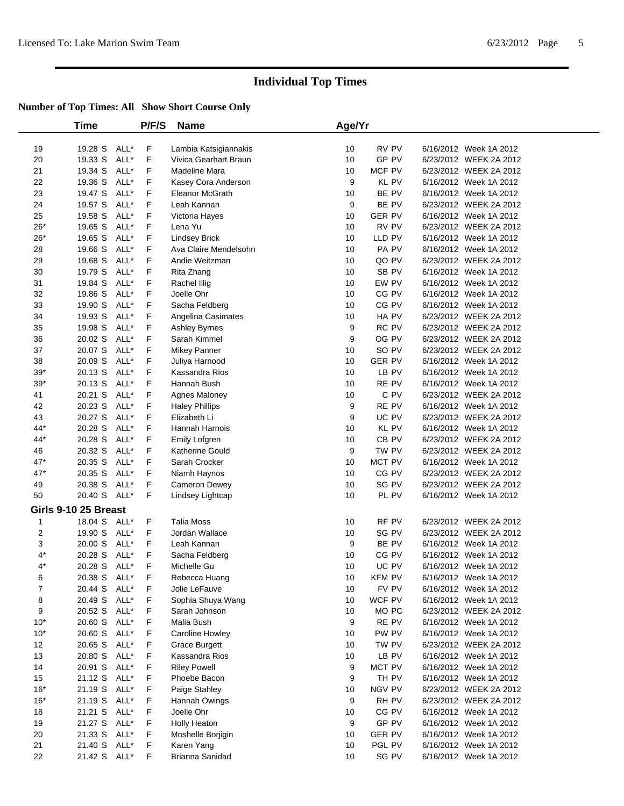|             | <b>Time</b>          |      | P/F/S | <b>Name</b>           | Age/Yr |               |                        |  |
|-------------|----------------------|------|-------|-----------------------|--------|---------------|------------------------|--|
| 19          | 19.28 S              | ALL* | F     | Lambia Katsigiannakis | 10     | RV PV         | 6/16/2012 Week 1A 2012 |  |
| 20          | 19.33 S              | ALL* | F     | Vivica Gearhart Braun | 10     | GP PV         | 6/23/2012 WEEK 2A 2012 |  |
| 21          | 19.34 S              | ALL* | F     | Madeline Mara         | 10     | MCF PV        | 6/23/2012 WEEK 2A 2012 |  |
| 22          | 19.36 S              | ALL* | F     | Kasey Cora Anderson   | 9      | <b>KL PV</b>  | 6/16/2012 Week 1A 2012 |  |
| 23          | 19.47 S              | ALL* | F     | Eleanor McGrath       | 10     | BE PV         | 6/16/2012 Week 1A 2012 |  |
| 24          | 19.57 S              | ALL* | F     | Leah Kannan           | 9      | BE PV         | 6/23/2012 WEEK 2A 2012 |  |
| 25          | 19.58 S              | ALL* | F     | Victoria Hayes        | 10     | <b>GER PV</b> | 6/16/2012 Week 1A 2012 |  |
| $26*$       | 19.65 S              | ALL* | F     | Lena Yu               | 10     | RV PV         | 6/23/2012 WEEK 2A 2012 |  |
| $26*$       | 19.65 S              | ALL* | F     | <b>Lindsey Brick</b>  | 10     | LLD PV        | 6/16/2012 Week 1A 2012 |  |
| 28          | 19.66 S              | ALL* | F     | Ava Claire Mendelsohn | 10     | PA PV         | 6/16/2012 Week 1A 2012 |  |
| 29          | 19.68 S              | ALL* | F     | Andie Weitzman        | 10     | QO PV         | 6/23/2012 WEEK 2A 2012 |  |
| 30          | 19.79 S              | ALL* | F     | Rita Zhang            | 10     | SB PV         | 6/16/2012 Week 1A 2012 |  |
| 31          | 19.84 S              | ALL* | F     | Rachel Illig          | 10     | EW PV         | 6/16/2012 Week 1A 2012 |  |
| 32          | 19.86 S              | ALL* | F     | Joelle Ohr            | 10     | CG PV         | 6/16/2012 Week 1A 2012 |  |
| 33          | 19.90 S              | ALL* | F     | Sacha Feldberg        | 10     | CG PV         | 6/16/2012 Week 1A 2012 |  |
| 34          | 19.93 S              | ALL* | F     | Angelina Casimates    | 10     | HA PV         | 6/23/2012 WEEK 2A 2012 |  |
| 35          | 19.98 S              | ALL* | F     | Ashley Byrnes         | 9      | RC PV         | 6/23/2012 WEEK 2A 2012 |  |
| 36          | 20.02 S              | ALL* | F     | Sarah Kimmel          | 9      | OG PV         | 6/23/2012 WEEK 2A 2012 |  |
| 37          | 20.07 S              | ALL* | F     | Mikey Panner          | 10     | SO PV         | 6/23/2012 WEEK 2A 2012 |  |
| 38          | 20.09 S              | ALL* | F     | Juliya Harnood        | 10     | <b>GER PV</b> | 6/16/2012 Week 1A 2012 |  |
| $39*$       | 20.13 S              | ALL* | F     | Kassandra Rios        | 10     | LB PV         | 6/16/2012 Week 1A 2012 |  |
| $39*$       | 20.13 S              | ALL* | F     | Hannah Bush           | 10     | RE PV         | 6/16/2012 Week 1A 2012 |  |
| 41          | 20.21 S              | ALL* | F     | Agnes Maloney         | 10     | C PV          | 6/23/2012 WEEK 2A 2012 |  |
| 42          | 20.23 S              | ALL* | F     | <b>Haley Phillips</b> | 9      | RE PV         | 6/16/2012 Week 1A 2012 |  |
| 43          | 20.27 S              | ALL* | F     | Elizabeth Li          | 9      | UC PV         | 6/23/2012 WEEK 2A 2012 |  |
| 44*         | 20.28 S              | ALL* | F     | Hannah Harnois        | 10     | KL PV         | 6/16/2012 Week 1A 2012 |  |
| 44*         | 20.28 S              | ALL* | F     | Emily Lofgren         | 10     | CB PV         | 6/23/2012 WEEK 2A 2012 |  |
| 46          | 20.32 S              | ALL* | F     | Katherine Gould       | 9      | TW PV         | 6/23/2012 WEEK 2A 2012 |  |
| 47*         | 20.35 S              | ALL* | F     | Sarah Crocker         | 10     | MCT PV        | 6/16/2012 Week 1A 2012 |  |
| 47*         | 20.35 S              | ALL* | F     | Niamh Haynos          | 10     | CG PV         | 6/23/2012 WEEK 2A 2012 |  |
| 49          | 20.38 S              | ALL* | F     | Cameron Dewey         | 10     | SG PV         | 6/23/2012 WEEK 2A 2012 |  |
| 50          | 20.40 S              | ALL* | F     | Lindsey Lightcap      | 10     | PL PV         | 6/16/2012 Week 1A 2012 |  |
|             | Girls 9-10 25 Breast |      |       |                       |        |               |                        |  |
| 1           | 18.04 S ALL*         |      | F     | Talia Moss            | 10     | RF PV         | 6/23/2012 WEEK 2A 2012 |  |
| 2           | 19.90 S              | ALL* | F     | Jordan Wallace        | 10     | SG PV         | 6/23/2012 WEEK 2A 2012 |  |
| 3           | 20.00 S              | ALL* | F     | Leah Kannan           | 9      | BE PV         | 6/16/2012 Week 1A 2012 |  |
| $4^{\star}$ | 20.28 S              | ALL* | F     | Sacha Feldberg        | 10     | CG PV         | 6/16/2012 Week 1A 2012 |  |
| $4^*$       | 20.28 S ALL*         |      | F     | Michelle Gu           | 10     | UC PV         | 6/16/2012 Week 1A 2012 |  |
| 6           | 20.38 S ALL*         |      | F     | Rebecca Huang         | 10     | <b>KFM PV</b> | 6/16/2012 Week 1A 2012 |  |
| 7           | 20.44 S ALL*         |      | F     | Jolie LeFauve         | 10     | FV PV         | 6/16/2012 Week 1A 2012 |  |
| 8           | 20.49 S ALL*         |      | F     | Sophia Shuya Wang     | 10     | WCF PV        | 6/16/2012 Week 1A 2012 |  |
| 9           | 20.52 S              | ALL* | F     | Sarah Johnson         | 10     | MO PC         | 6/23/2012 WEEK 2A 2012 |  |
| $10*$       | 20.60 S ALL*         |      | F     | Malia Bush            | 9      | RE PV         | 6/16/2012 Week 1A 2012 |  |
| $10*$       | 20.60 S              | ALL* | F     | Caroline Howley       | 10     | PW PV         | 6/16/2012 Week 1A 2012 |  |
| 12          | 20.65 S              | ALL* | F     | <b>Grace Burgett</b>  | 10     | TW PV         | 6/23/2012 WEEK 2A 2012 |  |
| 13          | 20.80 S              | ALL* | F     | Kassandra Rios        | 10     | LB PV         | 6/16/2012 Week 1A 2012 |  |
| 14          | 20.91 S              | ALL* | F     | <b>Riley Powell</b>   | 9      | MCT PV        | 6/16/2012 Week 1A 2012 |  |
| 15          | 21.12 S              | ALL* | F     | Phoebe Bacon          | 9      | TH PV         | 6/16/2012 Week 1A 2012 |  |
| $16*$       | 21.19 S              | ALL* | F     | Paige Stahley         | 10     | <b>NGV PV</b> | 6/23/2012 WEEK 2A 2012 |  |
| $16*$       | 21.19 S              | ALL* | F     | Hannah Owings         | 9      | RH PV         | 6/23/2012 WEEK 2A 2012 |  |
| 18          | 21.21 S              | ALL* | F     | Joelle Ohr            | 10     | CG PV         | 6/16/2012 Week 1A 2012 |  |
| 19          | 21.27 S ALL*         |      | F     | Holly Heaton          | 9      | GP PV         | 6/16/2012 Week 1A 2012 |  |
| 20          | 21.33 S              | ALL* | F     | Moshelle Borjigin     | 10     | <b>GER PV</b> | 6/16/2012 Week 1A 2012 |  |
| 21          | 21.40 S              | ALL* | F     | Karen Yang            | 10     | PGL PV        | 6/16/2012 Week 1A 2012 |  |
| 22          | 21.42 S ALL*         |      | F     | Brianna Sanidad       | 10     | SG PV         | 6/16/2012 Week 1A 2012 |  |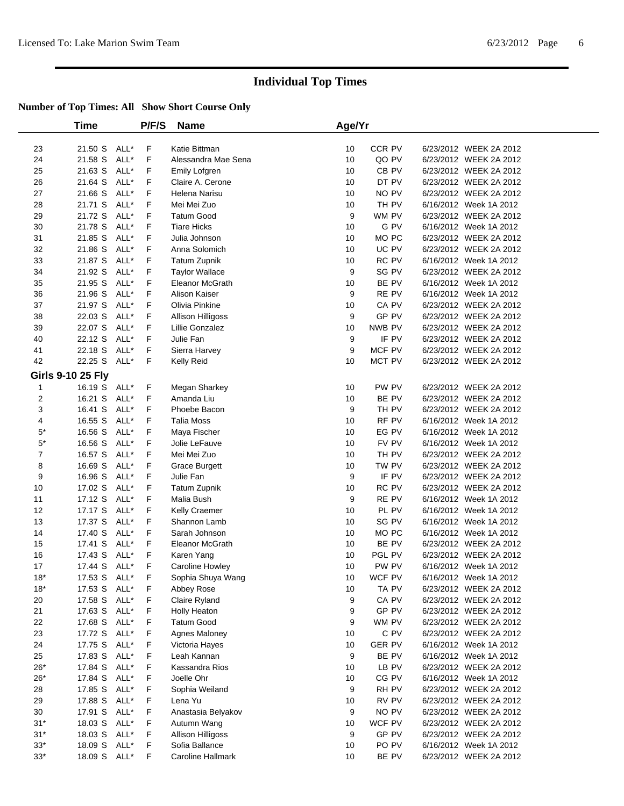|                | <b>Time</b>              |      | P/F/S   | <b>Name</b>                         | Age/Yr   |                |                                                  |  |
|----------------|--------------------------|------|---------|-------------------------------------|----------|----------------|--------------------------------------------------|--|
| 23             | 21.50 S ALL*             |      | F       | Katie Bittman                       | 10       | CCR PV         | 6/23/2012 WEEK 2A 2012                           |  |
| 24             | 21.58 S                  | ALL* | F       | Alessandra Mae Sena                 | 10       | QO PV          | 6/23/2012 WEEK 2A 2012                           |  |
| 25             | 21.63 S                  | ALL* | F       | Emily Lofgren                       | 10       | CB PV          | 6/23/2012 WEEK 2A 2012                           |  |
| 26             | 21.64 S                  | ALL* | F       | Claire A. Cerone                    | 10       | DT PV          | 6/23/2012 WEEK 2A 2012                           |  |
| 27             | 21.66 S                  | ALL* | F       | Helena Narisu                       | 10       | NO PV          | 6/23/2012 WEEK 2A 2012                           |  |
| 28             | 21.71 S                  | ALL* | F       | Mei Mei Zuo                         | 10       | TH PV          | 6/16/2012 Week 1A 2012                           |  |
| 29             | 21.72 S                  | ALL* | F       | <b>Tatum Good</b>                   | 9        | WM PV          | 6/23/2012 WEEK 2A 2012                           |  |
| 30             | 21.78 S                  | ALL* | F       | <b>Tiare Hicks</b>                  | 10       | G PV           | 6/16/2012 Week 1A 2012                           |  |
| 31             | 21.85 S                  | ALL* | F       | Julia Johnson                       | 10       | MO PC          | 6/23/2012 WEEK 2A 2012                           |  |
| 32             | 21.86 S                  | ALL* | F       | Anna Solomich                       | 10       | UC PV          | 6/23/2012 WEEK 2A 2012                           |  |
| 33             | 21.87 S                  | ALL* | F       | <b>Tatum Zupnik</b>                 | 10       | RC PV          | 6/16/2012 Week 1A 2012                           |  |
| 34             | 21.92 S                  | ALL* | F       | <b>Taylor Wallace</b>               | 9        | SG PV          | 6/23/2012 WEEK 2A 2012                           |  |
| 35             | 21.95 S                  | ALL* | F       | Eleanor McGrath                     | 10       | BE PV          | 6/16/2012 Week 1A 2012                           |  |
| 36             | 21.96 S                  | ALL* | F       | Alison Kaiser                       | 9        | RE PV          | 6/16/2012 Week 1A 2012                           |  |
| 37             | 21.97 S                  | ALL* | F       | Olivia Pinkine                      | 10       | CA PV          | 6/23/2012 WEEK 2A 2012                           |  |
| 38             | 22.03 S                  | ALL* | F       | Allison Hilligoss                   | 9        | GP PV          | 6/23/2012 WEEK 2A 2012                           |  |
| 39             | 22.07 S                  | ALL* | F       | Lillie Gonzalez                     | 10       | NWB PV         | 6/23/2012 WEEK 2A 2012                           |  |
| 40             | 22.12 S                  | ALL* | F       | Julie Fan                           | 9        | IF PV          | 6/23/2012 WEEK 2A 2012                           |  |
| 41             | 22.18 S                  | ALL* | F       | Sierra Harvey                       | 9        | MCF PV         | 6/23/2012 WEEK 2A 2012                           |  |
| 42             | 22.25 S ALL*             |      | F.      | Kelly Reid                          | 10       | MCT PV         | 6/23/2012 WEEK 2A 2012                           |  |
|                | <b>Girls 9-10 25 Fly</b> |      |         |                                     |          |                |                                                  |  |
| $\mathbf 1$    | 16.19 S ALL*             |      | F       | Megan Sharkey                       | 10       | PW PV          | 6/23/2012 WEEK 2A 2012                           |  |
| 2              | 16.21 S                  | ALL* | F       | Amanda Liu                          | 10       | BE PV          | 6/23/2012 WEEK 2A 2012                           |  |
| 3              | 16.41 S                  | ALL* | F       | Phoebe Bacon                        | 9        | TH PV          | 6/23/2012 WEEK 2A 2012                           |  |
| 4              | 16.55 S                  | ALL* | F       | <b>Talia Moss</b>                   | 10       | RF PV          | 6/16/2012 Week 1A 2012                           |  |
| $5^*$          | 16.56 S                  | ALL* | F       | Maya Fischer                        | 10       | EG PV          | 6/16/2012 Week 1A 2012                           |  |
| $5*$           | 16.56 S                  | ALL* | F       | Jolie LeFauve                       | 10       | FV PV          | 6/16/2012 Week 1A 2012                           |  |
| $\overline{7}$ | 16.57 S                  | ALL* | F       | Mei Mei Zuo                         | 10       | TH PV          | 6/23/2012 WEEK 2A 2012                           |  |
| 8              | 16.69 S                  | ALL* | F       | <b>Grace Burgett</b>                | 10       | TW PV          | 6/23/2012 WEEK 2A 2012                           |  |
| 9              | 16.96 S                  | ALL* | F       | Julie Fan                           | 9        | IF PV          | 6/23/2012 WEEK 2A 2012                           |  |
| 10             | 17.02 S                  | ALL* | F       | <b>Tatum Zupnik</b>                 | 10       | RC PV          | 6/23/2012 WEEK 2A 2012                           |  |
| 11             | 17.12 S                  | ALL* | F       | Malia Bush                          | 9        | RE PV          | 6/16/2012 Week 1A 2012                           |  |
| 12             | 17.17 S                  | ALL* | F       | Kelly Craemer                       | 10       | PL PV          | 6/16/2012 Week 1A 2012                           |  |
| 13             | 17.37 S                  | ALL* | F       | Shannon Lamb                        | 10       | SG PV          | 6/16/2012 Week 1A 2012                           |  |
| 14             | 17.40 S                  | ALL* | F       | Sarah Johnson                       | 10       | MO PC          | 6/16/2012 Week 1A 2012                           |  |
| 15             | 17.41 S                  | ALL* | F       | Eleanor McGrath                     | 10       | BE PV          | 6/23/2012 WEEK 2A 2012                           |  |
| 16             | 17.43 S                  | ALL* | F       | Karen Yang                          | 10       | PGL PV         | 6/23/2012 WEEK 2A 2012                           |  |
| 17             | 17.44 S                  | ALL* | F       | Caroline Howley                     | 10       | PW PV          | 6/16/2012 Week 1A 2012                           |  |
| $18*$          | 17.53 S ALL*             |      | F       | Sophia Shuya Wang                   | 10       | WCF PV         | 6/16/2012 Week 1A 2012                           |  |
| $18*$          | 17.53 S ALL*             |      | F       | Abbey Rose                          | 10       | TA PV          | 6/23/2012 WEEK 2A 2012                           |  |
| 20             | 17.58 S ALL*             |      | F       | Claire Ryland                       | 9        | CA PV          | 6/23/2012 WEEK 2A 2012                           |  |
| 21             | 17.63 S ALL*             |      | F       | <b>Holly Heaton</b>                 | 9        | GP PV          | 6/23/2012 WEEK 2A 2012                           |  |
| 22             | 17.68 S ALL*             |      | F       | <b>Tatum Good</b>                   | 9        | WM PV          | 6/23/2012 WEEK 2A 2012                           |  |
| 23             | 17.72 S                  | ALL* | F       | Agnes Maloney                       | 10       | C PV           | 6/23/2012 WEEK 2A 2012                           |  |
| 24             | 17.75 S ALL*             |      | F       | Victoria Hayes                      | 10       | <b>GER PV</b>  | 6/16/2012 Week 1A 2012                           |  |
| 25             | 17.83 S                  | ALL* | F       | Leah Kannan                         | 9        | BE PV          | 6/16/2012 Week 1A 2012                           |  |
| $26*$          | 17.84 S                  | ALL* | F       | Kassandra Rios                      | 10       | LB PV          | 6/23/2012 WEEK 2A 2012                           |  |
| $26*$          | 17.84 S                  | ALL* | F       | Joelle Ohr                          | 10       | CG PV          | 6/16/2012 Week 1A 2012                           |  |
| 28             | 17.85 S                  | ALL* | F       | Sophia Weiland                      | 9        | RH PV          | 6/23/2012 WEEK 2A 2012                           |  |
| 29             | 17.88 S                  | ALL* | F       | Lena Yu                             | 10       | RV PV          | 6/23/2012 WEEK 2A 2012                           |  |
| 30             | 17.91 S                  | ALL* | F       | Anastasia Belyakov                  | 9        | NO PV          | 6/23/2012 WEEK 2A 2012                           |  |
| $31*$          | 18.03 S                  | ALL* | F       | Autumn Wang                         | 10       | WCF PV         | 6/23/2012 WEEK 2A 2012                           |  |
| $31*$          | 18.03 S                  | ALL* | F       | Allison Hilligoss                   | 9        | GP PV          | 6/23/2012 WEEK 2A 2012                           |  |
| $33*$<br>$33*$ | 18.09 S<br>18.09 S ALL*  | ALL* | F<br>F. | Sofia Ballance<br>Caroline Hallmark | 10<br>10 | PO PV<br>BE PV | 6/16/2012 Week 1A 2012<br>6/23/2012 WEEK 2A 2012 |  |
|                |                          |      |         |                                     |          |                |                                                  |  |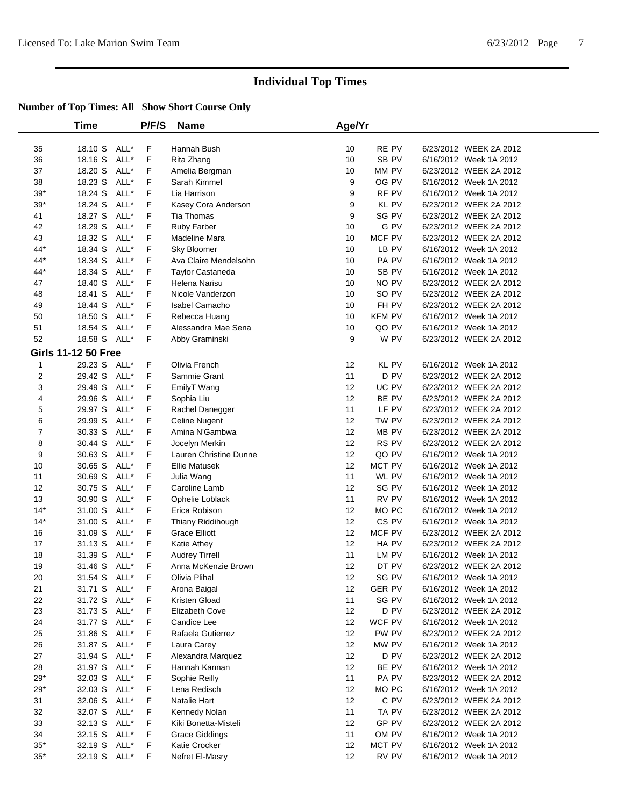|                            | Time         |      | P/F/S | <b>Name</b>             | Age/Yr |                  |                        |  |
|----------------------------|--------------|------|-------|-------------------------|--------|------------------|------------------------|--|
| 35                         | 18.10 S ALL* |      | F     | Hannah Bush             | 10     | RE PV            | 6/23/2012 WEEK 2A 2012 |  |
| 36                         | 18.16 S      | ALL* | F     | Rita Zhang              | 10     | SB <sub>PV</sub> | 6/16/2012 Week 1A 2012 |  |
| 37                         | 18.20 S      | ALL* | F     | Amelia Bergman          | 10     | MM PV            | 6/23/2012 WEEK 2A 2012 |  |
| 38                         | 18.23 S      | ALL* | F     | Sarah Kimmel            | 9      | OG PV            | 6/16/2012 Week 1A 2012 |  |
| $39*$                      | 18.24 S      | ALL* | F     | Lia Harrison            | 9      | RF PV            | 6/16/2012 Week 1A 2012 |  |
| $39*$                      | 18.24 S      | ALL* | F     | Kasey Cora Anderson     | 9      | KL PV            | 6/23/2012 WEEK 2A 2012 |  |
| 41                         | 18.27 S      | ALL* | F     | Tia Thomas              | 9      | SG PV            | 6/23/2012 WEEK 2A 2012 |  |
| 42                         | 18.29 S      | ALL* | F     | Ruby Farber             | 10     | G PV             | 6/23/2012 WEEK 2A 2012 |  |
| 43                         | 18.32 S      | ALL* | F     | Madeline Mara           | 10     | MCF PV           | 6/23/2012 WEEK 2A 2012 |  |
| 44*                        | 18.34 S      | ALL* | F     | Sky Bloomer             | 10     | LB PV            | 6/16/2012 Week 1A 2012 |  |
| 44*                        | 18.34 S      | ALL* | F     | Ava Claire Mendelsohn   | 10     | PA PV            | 6/16/2012 Week 1A 2012 |  |
| 44*                        | 18.34 S      | ALL* | F     | <b>Taylor Castaneda</b> | 10     | SB PV            | 6/16/2012 Week 1A 2012 |  |
| 47                         | 18.40 S      | ALL* | F     | Helena Narisu           | 10     | NO PV            | 6/23/2012 WEEK 2A 2012 |  |
| 48                         | 18.41 S      | ALL* | F     | Nicole Vanderzon        | 10     | SO PV            | 6/23/2012 WEEK 2A 2012 |  |
| 49                         | 18.44 S      | ALL* | F     | Isabel Camacho          | 10     | FH PV            | 6/23/2012 WEEK 2A 2012 |  |
| 50                         | 18.50 S      | ALL* | F     | Rebecca Huang           | 10     | <b>KFM PV</b>    | 6/16/2012 Week 1A 2012 |  |
| 51                         | 18.54 S      | ALL* | F     | Alessandra Mae Sena     | 10     | QO PV            | 6/16/2012 Week 1A 2012 |  |
| 52                         | 18.58 S ALL* |      | F     | Abby Graminski          | 9      | W PV             | 6/23/2012 WEEK 2A 2012 |  |
| <b>Girls 11-12 50 Free</b> |              |      |       |                         |        |                  |                        |  |
| 1                          | 29.23 S ALL* |      | F     | Olivia French           | 12     | KL PV            | 6/16/2012 Week 1A 2012 |  |
| $\overline{2}$             | 29.42 S      | ALL* | F     | Sammie Grant            | 11     | D <sub>PV</sub>  | 6/23/2012 WEEK 2A 2012 |  |
| 3                          | 29.49 S      | ALL* | F     | EmilyT Wang             | 12     | UC PV            | 6/23/2012 WEEK 2A 2012 |  |
| 4                          | 29.96 S      | ALL* | F     | Sophia Liu              | 12     | BE PV            | 6/23/2012 WEEK 2A 2012 |  |
| 5                          | 29.97 S      | ALL* | F     | Rachel Danegger         | 11     | LF PV            | 6/23/2012 WEEK 2A 2012 |  |
| 6                          | 29.99 S      | ALL* | F     | Celine Nugent           | 12     | TW PV            | 6/23/2012 WEEK 2A 2012 |  |
| 7                          | 30.33 S      | ALL* | F     | Amina N'Gambwa          | 12     | MB PV            | 6/23/2012 WEEK 2A 2012 |  |
| 8                          | 30.44 S      | ALL* | F     | Jocelyn Merkin          | 12     | RS PV            | 6/23/2012 WEEK 2A 2012 |  |
| 9                          | 30.63 S      | ALL* | F     | Lauren Christine Dunne  | 12     | QO PV            | 6/16/2012 Week 1A 2012 |  |
| 10                         | 30.65 S      | ALL* | F     | <b>Ellie Matusek</b>    | 12     | MCT PV           | 6/16/2012 Week 1A 2012 |  |
| 11                         | 30.69 S      | ALL* | F     | Julia Wang              | 11     | WL PV            | 6/16/2012 Week 1A 2012 |  |
| 12                         | 30.75 S      | ALL* | F     | Caroline Lamb           | 12     | SG PV            | 6/16/2012 Week 1A 2012 |  |
| 13                         | 30.90 S      | ALL* | F     | Ophelie Loblack         | 11     | RV PV            | 6/16/2012 Week 1A 2012 |  |
| $14*$                      | 31.00 S      | ALL* | F     | Erica Robison           | 12     | MO PC            | 6/16/2012 Week 1A 2012 |  |
| $14*$                      | 31.00 S      | ALL* | F     | Thiany Riddihough       | 12     | CS PV            | 6/16/2012 Week 1A 2012 |  |
| 16                         | 31.09 S      | ALL* | F     | <b>Grace Elliott</b>    | 12     | MCF PV           | 6/23/2012 WEEK 2A 2012 |  |
| 17                         | 31.13 S      | ALL* | F     | Katie Athey             | 12     | HA PV            | 6/23/2012 WEEK 2A 2012 |  |
| 18                         | 31.39 S      | ALL* | F     | <b>Audrey Tirrell</b>   | 11     | LM PV            | 6/16/2012 Week 1A 2012 |  |
| 19                         | 31.46 S      | ALL* | F     | Anna McKenzie Brown     | 12     | DT PV            | 6/23/2012 WEEK 2A 2012 |  |
| 20                         | 31.54 S ALL* |      | F     | Olivia Plihal           | 12     | SG PV            | 6/16/2012 Week 1A 2012 |  |
| 21                         | 31.71 S ALL* |      | F     | Arona Baigal            | 12     | <b>GER PV</b>    | 6/16/2012 Week 1A 2012 |  |
| 22                         | 31.72 S ALL* |      | F     | Kristen Gload           | 11     | SG PV            | 6/16/2012 Week 1A 2012 |  |
| 23                         | 31.73 S ALL* |      | F     | Elizabeth Cove          | 12     | D PV             | 6/23/2012 WEEK 2A 2012 |  |
| 24                         | 31.77 S ALL* |      | F     | Candice Lee             | 12     | WCF PV           | 6/16/2012 Week 1A 2012 |  |
| 25                         | 31.86 S      | ALL* | F     | Rafaela Gutierrez       | 12     | PW PV            | 6/23/2012 WEEK 2A 2012 |  |
| 26                         | 31.87 S      | ALL* | F     | Laura Carey             | 12     | MW PV            | 6/16/2012 Week 1A 2012 |  |
| 27                         | 31.94 S      | ALL* | F     | Alexandra Marquez       | 12     | D PV             | 6/23/2012 WEEK 2A 2012 |  |
| 28                         | 31.97 S      | ALL* | F     | Hannah Kannan           | 12     | BE PV            | 6/16/2012 Week 1A 2012 |  |
| $29*$                      | 32.03 S      | ALL* | F     | Sophie Reilly           | 11     | PA PV            | 6/23/2012 WEEK 2A 2012 |  |
| $29*$                      | 32.03 S      | ALL* | F     | Lena Redisch            | 12     | MO PC            | 6/16/2012 Week 1A 2012 |  |
| 31                         | 32.06 S      | ALL* | F     | Natalie Hart            | 12     | C PV             | 6/23/2012 WEEK 2A 2012 |  |
| 32                         | 32.07 S      | ALL* | F     | Kennedy Nolan           | 11     | TA PV            | 6/23/2012 WEEK 2A 2012 |  |
| 33                         | 32.13 S ALL* |      | F     | Kiki Bonetta-Misteli    | 12     | GP PV            | 6/23/2012 WEEK 2A 2012 |  |
| 34                         | 32.15 S ALL* |      | F     | <b>Grace Giddings</b>   | 11     | OM PV            | 6/16/2012 Week 1A 2012 |  |
| $35*$                      | 32.19 S      | ALL* | F     | Katie Crocker           | 12     | MCT PV           | 6/16/2012 Week 1A 2012 |  |
| $35*$                      | 32.19 S      | ALL* | F     | Nefret El-Masry         | 12     | RV PV            | 6/16/2012 Week 1A 2012 |  |
|                            |              |      |       |                         |        |                  |                        |  |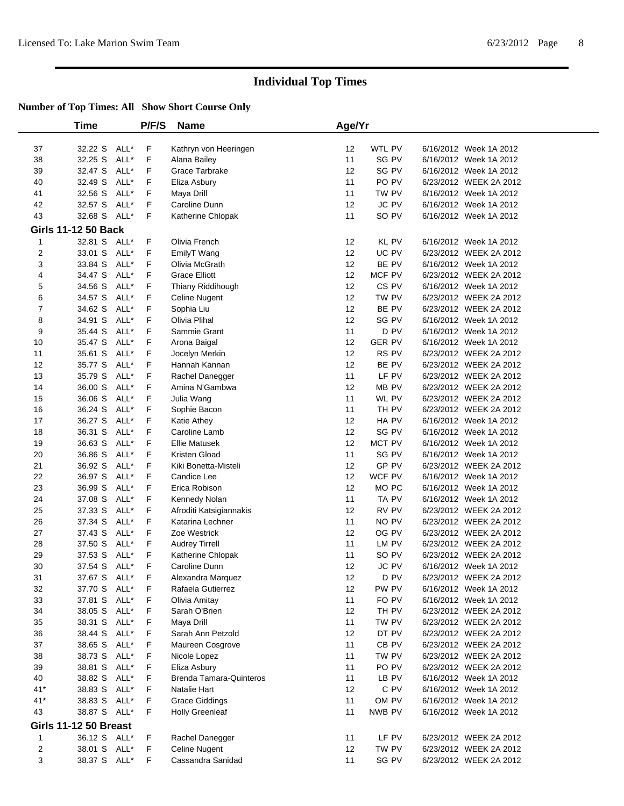|             | Time                         |              | P/F/S | Name                                           | Age/Yr   |               |                        |  |
|-------------|------------------------------|--------------|-------|------------------------------------------------|----------|---------------|------------------------|--|
|             |                              |              |       |                                                |          |               |                        |  |
| 37          | 32.22 S                      | ALL*         | F     | Kathryn von Heeringen                          | 12       | WTL PV        | 6/16/2012 Week 1A 2012 |  |
| 38          | 32.25 S                      | ALL*         | F     | Alana Bailey                                   | 11       | SG PV         | 6/16/2012 Week 1A 2012 |  |
| 39          | 32.47 S                      | ALL*         | F     | Grace Tarbrake                                 | 12       | SG PV         | 6/16/2012 Week 1A 2012 |  |
| 40          | 32.49 S                      | ALL*         | F     | Eliza Asbury                                   | 11       | PO PV         | 6/23/2012 WEEK 2A 2012 |  |
| 41          | 32.56 S                      | ALL*         | F     | Maya Drill                                     | 11       | TW PV         | 6/16/2012 Week 1A 2012 |  |
| 42          | 32.57 S                      | ALL*         | F     | Caroline Dunn                                  | 12       | JC PV         | 6/16/2012 Week 1A 2012 |  |
| 43          | 32.68 S ALL*                 |              | F.    | Katherine Chlopak                              | 11       | SO PV         | 6/16/2012 Week 1A 2012 |  |
|             | <b>Girls 11-12 50 Back</b>   |              |       |                                                |          |               |                        |  |
| 1           | 32.81 S ALL*                 |              | F     | Olivia French                                  | 12       | KL PV         | 6/16/2012 Week 1A 2012 |  |
| 2           | 33.01 S                      | ALL*         | F     | EmilyT Wang                                    | 12       | UC PV         | 6/23/2012 WEEK 2A 2012 |  |
| 3           | 33.84 S                      | ALL*         | F     | Olivia McGrath                                 | 12       | BE PV         | 6/16/2012 Week 1A 2012 |  |
| 4           | 34.47 S                      | ALL*         | F     | <b>Grace Elliott</b>                           | 12       | MCF PV        | 6/23/2012 WEEK 2A 2012 |  |
| 5           | 34.56 S                      | ALL*         | F     | Thiany Riddihough                              | 12       | CS PV         | 6/16/2012 Week 1A 2012 |  |
| 6           | 34.57 S                      | ALL*         | F     | Celine Nugent                                  | 12       | TW PV         | 6/23/2012 WEEK 2A 2012 |  |
| 7           | 34.62 S                      | ALL*         | F     | Sophia Liu                                     | 12       | BE PV         | 6/23/2012 WEEK 2A 2012 |  |
| 8           | 34.91 S                      | ALL*         | F     | Olivia Plihal                                  | 12       | SG PV         | 6/16/2012 Week 1A 2012 |  |
| 9           | 35.44 S                      | ALL*         | F     | Sammie Grant                                   | 11       | D PV          | 6/16/2012 Week 1A 2012 |  |
| 10          | 35.47 S                      | ALL*         | F     | Arona Baigal                                   | 12       | <b>GER PV</b> | 6/16/2012 Week 1A 2012 |  |
| 11          | 35.61 S                      | ALL*         | F     | Jocelyn Merkin                                 | 12       | RS PV         | 6/23/2012 WEEK 2A 2012 |  |
| 12          | 35.77 S                      | ALL*         | F     | Hannah Kannan                                  | 12       | BE PV         | 6/23/2012 WEEK 2A 2012 |  |
| 13          | 35.79 S                      | ALL*         | F     | Rachel Danegger                                | 11       | LF PV         | 6/23/2012 WEEK 2A 2012 |  |
| 14          | 36.00 S                      | ALL*         | F.    | Amina N'Gambwa                                 | 12       | MB PV         | 6/23/2012 WEEK 2A 2012 |  |
| 15          | 36.06 S                      | ALL*         | F     | Julia Wang                                     | 11       | WL PV         | 6/23/2012 WEEK 2A 2012 |  |
| 16          | 36.24 S                      | ALL*         | F     | Sophie Bacon                                   | 11       | TH PV         | 6/23/2012 WEEK 2A 2012 |  |
| 17          | 36.27 S                      | ALL*         | F     | Katie Athey                                    | 12       | HA PV         | 6/16/2012 Week 1A 2012 |  |
| 18          | 36.31 S                      | ALL*         | F     | Caroline Lamb                                  | 12       | SG PV         | 6/16/2012 Week 1A 2012 |  |
| 19          | 36.63 S                      | ALL*         | F     | <b>Ellie Matusek</b>                           | 12       | MCT PV        | 6/16/2012 Week 1A 2012 |  |
| 20          | 36.86 S                      | ALL*         | F     | Kristen Gload                                  | 11       | SG PV         | 6/16/2012 Week 1A 2012 |  |
| 21          | 36.92 S                      | ALL*         | F     | Kiki Bonetta-Misteli                           | 12       | GP PV         | 6/23/2012 WEEK 2A 2012 |  |
| 22          | 36.97 S                      | ALL*         | F     | Candice Lee                                    | 12       | WCF PV        | 6/16/2012 Week 1A 2012 |  |
| 23          | 36.99 S                      | ALL*         | F     | Erica Robison                                  | 12       | MO PC         | 6/16/2012 Week 1A 2012 |  |
| 24          | 37.08 S                      | ALL*         | F     | Kennedy Nolan                                  | 11       | TA PV         | 6/16/2012 Week 1A 2012 |  |
| 25          | 37.33 S                      | ALL*         | F     | Afroditi Katsigiannakis                        | 12       | RV PV         | 6/23/2012 WEEK 2A 2012 |  |
| 26          | 37.34 S                      | ALL*         | F     | Katarina Lechner                               | 11       | NO PV         | 6/23/2012 WEEK 2A 2012 |  |
| 27          | 37.43 S                      | ALL*         | F     | Zoe Westrick                                   | 12       | OG PV         | 6/23/2012 WEEK 2A 2012 |  |
| 28          | 37.50 S                      | ALL*         | F     | <b>Audrey Tirrell</b>                          | 11       | LM PV         | 6/23/2012 WEEK 2A 2012 |  |
| 29          | 37.53 S                      | ALL*         | F     | Katherine Chlopak                              | 11       | SO PV         | 6/23/2012 WEEK 2A 2012 |  |
| 30          | 37.54 S ALL*                 |              | F     | Caroline Dunn                                  | 12       | <b>JC PV</b>  | 6/16/2012 Week 1A 2012 |  |
| 31          | 37.67 S ALL*                 |              | F.    | Alexandra Marquez                              | 12       | D PV          | 6/23/2012 WEEK 2A 2012 |  |
| 32          | 37.70 S ALL*                 |              | F     | Rafaela Gutierrez                              | 12       | PW PV         | 6/16/2012 Week 1A 2012 |  |
| 33          | 37.81 S ALL*                 |              | F     | Olivia Amitay                                  | 11       | FO PV         | 6/16/2012 Week 1A 2012 |  |
| 34          | 38.05 S                      | ALL*         | F     | Sarah O'Brien                                  | 12       | TH PV         | 6/23/2012 WEEK 2A 2012 |  |
| 35          | 38.31 S ALL*                 |              | F     | Maya Drill                                     | 11       | TW PV         | 6/23/2012 WEEK 2A 2012 |  |
| 36          | 38.44 S                      | ALL*         | F     | Sarah Ann Petzold                              | 12       | DT PV         | 6/23/2012 WEEK 2A 2012 |  |
| 37          | 38.65 S ALL*                 |              | F     | Maureen Cosgrove                               | 11       | CB PV         | 6/23/2012 WEEK 2A 2012 |  |
|             | 38.73 S                      | ALL*         | F.    | Nicole Lopez                                   | 11       | TW PV         | 6/23/2012 WEEK 2A 2012 |  |
| 38          | 38.81 S                      | ALL*         | F     |                                                | 11       | PO PV         | 6/23/2012 WEEK 2A 2012 |  |
| 39          |                              |              | F     | Eliza Asbury<br><b>Brenda Tamara-Quinteros</b> |          |               | 6/16/2012 Week 1A 2012 |  |
| 40<br>$41*$ | 38.82 S<br>38.83 S           | ALL*<br>ALL* | F     | Natalie Hart                                   | 11<br>12 | LB PV<br>C PV | 6/16/2012 Week 1A 2012 |  |
|             |                              |              |       |                                                |          |               |                        |  |
| $41*$       | 38.83 S                      | ALL*         | F     | <b>Grace Giddings</b>                          | 11       | OM PV         | 6/16/2012 Week 1A 2012 |  |
| 43          | 38.87 S ALL*                 |              | F     | <b>Holly Greenleaf</b>                         | 11       | NWB PV        | 6/16/2012 Week 1A 2012 |  |
|             | <b>Girls 11-12 50 Breast</b> |              |       |                                                |          |               |                        |  |
| 1           | 36.12 S ALL*                 |              | F     | Rachel Danegger                                | 11       | LF PV         | 6/23/2012 WEEK 2A 2012 |  |
| 2           | 38.01 S ALL*                 |              | F     | Celine Nugent                                  | 12       | TW PV         | 6/23/2012 WEEK 2A 2012 |  |
| 3           | 38.37 S ALL*                 |              | F.    | Cassandra Sanidad                              | 11       | SG PV         | 6/23/2012 WEEK 2A 2012 |  |
|             |                              |              |       |                                                |          |               |                        |  |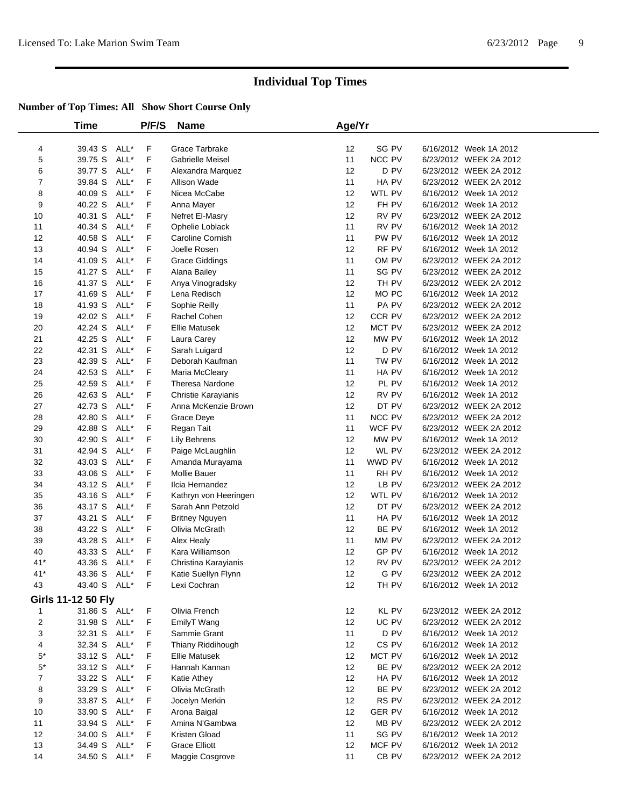|                | Time               |      | P/F/S       | <b>Name</b>                | Age/Yr |               |                        |  |
|----------------|--------------------|------|-------------|----------------------------|--------|---------------|------------------------|--|
|                |                    |      |             |                            |        |               |                        |  |
| 4              | 39.43 S            | ALL* | F           | Grace Tarbrake             | 12     | SG PV         | 6/16/2012 Week 1A 2012 |  |
| 5              | 39.75 S            | ALL* | F           | <b>Gabrielle Meisel</b>    | 11     | NCC PV        | 6/23/2012 WEEK 2A 2012 |  |
| 6              | 39.77 S            | ALL* | F           | Alexandra Marquez          | 12     | D PV          | 6/23/2012 WEEK 2A 2012 |  |
| $\overline{7}$ | 39.84 S            | ALL* | F           | Allison Wade               | 11     | HA PV         | 6/23/2012 WEEK 2A 2012 |  |
| 8              | 40.09 S            | ALL* | F           | Nicea McCabe               | 12     | WTL PV        | 6/16/2012 Week 1A 2012 |  |
| 9              | 40.22 S            | ALL* | F           | Anna Mayer                 | 12     | FH PV         | 6/16/2012 Week 1A 2012 |  |
| 10             | 40.31 S            | ALL* | F           | Nefret El-Masry            | 12     | RV PV         | 6/23/2012 WEEK 2A 2012 |  |
| 11             | 40.34 S            | ALL* | F           | Ophelie Loblack            | 11     | RV PV         | 6/16/2012 Week 1A 2012 |  |
| 12             | 40.58 S            | ALL* | F           | Caroline Cornish           | 11     | PW PV         | 6/16/2012 Week 1A 2012 |  |
| 13             | 40.94 S            | ALL* | F           | Joelle Rosen               | 12     | RF PV         | 6/16/2012 Week 1A 2012 |  |
| 14             | 41.09 S            | ALL* | F           | <b>Grace Giddings</b>      | 11     | OM PV         | 6/23/2012 WEEK 2A 2012 |  |
| 15             | 41.27 S            | ALL* | F           | Alana Bailey               | 11     | SG PV         | 6/23/2012 WEEK 2A 2012 |  |
| 16             | 41.37 S            | ALL* | F           | Anya Vinogradsky           | 12     | TH PV         | 6/23/2012 WEEK 2A 2012 |  |
| 17             | 41.69 S            | ALL* | F           | Lena Redisch               | 12     | MO PC         | 6/16/2012 Week 1A 2012 |  |
| 18             | 41.93 S            | ALL* | F           | Sophie Reilly              | 11     | PA PV         | 6/23/2012 WEEK 2A 2012 |  |
| 19             | 42.02 S            | ALL* | F           | Rachel Cohen               | 12     | CCR PV        | 6/23/2012 WEEK 2A 2012 |  |
| 20             | 42.24 S            | ALL* | F           | <b>Ellie Matusek</b>       | 12     | MCT PV        | 6/23/2012 WEEK 2A 2012 |  |
| 21             | 42.25 S            | ALL* | F           | Laura Carey                | 12     | MW PV         | 6/16/2012 Week 1A 2012 |  |
| 22             | 42.31 S            | ALL* | F           | Sarah Luigard              | 12     | D PV          | 6/16/2012 Week 1A 2012 |  |
| 23             | 42.39 S            | ALL* | F           | Deborah Kaufman            | 11     | TW PV         | 6/16/2012 Week 1A 2012 |  |
| 24             | 42.53 S            | ALL* | F           | Maria McCleary             | 11     | HA PV         | 6/16/2012 Week 1A 2012 |  |
| 25             | 42.59 S            | ALL* | F           | Theresa Nardone            | 12     | PL PV         | 6/16/2012 Week 1A 2012 |  |
| 26             | 42.63 S            | ALL* | F           | <b>Christie Karayianis</b> | 12     | RV PV         | 6/16/2012 Week 1A 2012 |  |
| 27             | 42.73 S            | ALL* | F           | Anna McKenzie Brown        | 12     | DT PV         | 6/23/2012 WEEK 2A 2012 |  |
| 28             | 42.80 S            | ALL* | F           | Grace Deye                 | 11     | NCC PV        | 6/23/2012 WEEK 2A 2012 |  |
| 29             | 42.88 S            | ALL* | F           | Regan Tait                 | 11     | WCF PV        | 6/23/2012 WEEK 2A 2012 |  |
| 30             | 42.90 S            | ALL* | F           | <b>Lily Behrens</b>        | 12     | MW PV         | 6/16/2012 Week 1A 2012 |  |
| 31             | 42.94 S            | ALL* | F           | Paige McLaughlin           | 12     | WL PV         | 6/23/2012 WEEK 2A 2012 |  |
| 32             | 43.03 S            | ALL* | F           | Amanda Murayama            | 11     | WWD PV        | 6/16/2012 Week 1A 2012 |  |
| 33             | 43.06 S            | ALL* | F           | Mollie Bauer               | 11     | RH PV         | 6/16/2012 Week 1A 2012 |  |
| 34             | 43.12 S            | ALL* | F           | Ilcia Hernandez            | 12     | LB PV         | 6/23/2012 WEEK 2A 2012 |  |
| 35             | 43.16 S            | ALL* | F           | Kathryn von Heeringen      | 12     | WTL PV        | 6/16/2012 Week 1A 2012 |  |
| 36             | 43.17 S            | ALL* | F           | Sarah Ann Petzold          | 12     | DT PV         | 6/23/2012 WEEK 2A 2012 |  |
| 37             | 43.21 S            | ALL* | F           | <b>Britney Nguyen</b>      | 11     | HA PV         | 6/16/2012 Week 1A 2012 |  |
| 38             | 43.22 S            | ALL* | F           | Olivia McGrath             | 12     | BE PV         | 6/16/2012 Week 1A 2012 |  |
| 39             | 43.28 S            | ALL* | F           | Alex Healy                 | 11     | MM PV         | 6/23/2012 WEEK 2A 2012 |  |
| 40             | 43.33 S            | ALL* | F           | Kara Williamson            | 12     | GP PV         | 6/16/2012 Week 1A 2012 |  |
| $41*$          | 43.36 S            | ALL* | F           | Christina Karayianis       | 12     | RV PV         | 6/23/2012 WEEK 2A 2012 |  |
| $41*$          | 43.36 S            | ALL* | F           | Katie Suellyn Flynn        | 12     | G PV          | 6/23/2012 WEEK 2A 2012 |  |
| 43             | 43.40 S ALL*       |      | $\mathsf F$ | Lexi Cochran               | 12     | TH PV         | 6/16/2012 Week 1A 2012 |  |
|                | Girls 11-12 50 Fly |      |             |                            |        |               |                        |  |
| 1              | 31.86 S ALL*       |      | F           | Olivia French              | 12     | KL PV         | 6/23/2012 WEEK 2A 2012 |  |
| $\overline{c}$ | 31.98 S            | ALL* | F           | EmilyT Wang                | 12     | UC PV         | 6/23/2012 WEEK 2A 2012 |  |
| 3              | 32.31 S            | ALL* | F           | Sammie Grant               | 11     | D PV          | 6/16/2012 Week 1A 2012 |  |
| 4              | 32.34 S            | ALL* | F           | Thiany Riddihough          | 12     | CS PV         | 6/16/2012 Week 1A 2012 |  |
| $5*$           | 33.12 S            | ALL* | F           | <b>Ellie Matusek</b>       | 12     | MCT PV        | 6/16/2012 Week 1A 2012 |  |
| $5^*$          | 33.12 S            | ALL* | F           | Hannah Kannan              | 12     | BE PV         | 6/23/2012 WEEK 2A 2012 |  |
| 7              | 33.22 S            | ALL* | F           | Katie Athey                | 12     | HA PV         | 6/16/2012 Week 1A 2012 |  |
| 8              | 33.29 S            | ALL* | F           | Olivia McGrath             | 12     | BE PV         | 6/23/2012 WEEK 2A 2012 |  |
| 9              | 33.87 S            | ALL* | F           | Jocelyn Merkin             | 12     | RS PV         | 6/23/2012 WEEK 2A 2012 |  |
| 10             | 33.90 S            | ALL* | F           | Arona Baigal               | 12     | <b>GER PV</b> | 6/16/2012 Week 1A 2012 |  |
| 11             | 33.94 S            | ALL* | F           | Amina N'Gambwa             | 12     | MB PV         | 6/23/2012 WEEK 2A 2012 |  |
| 12             | 34.00 S            | ALL* | F           | Kristen Gload              | 11     | SG PV         | 6/16/2012 Week 1A 2012 |  |
| 13             | 34.49 S            | ALL* | F           | <b>Grace Elliott</b>       | 12     | MCF PV        | 6/16/2012 Week 1A 2012 |  |
| 14             | 34.50 S            | ALL* | F           | Maggie Cosgrove            | 11     | CB PV         | 6/23/2012 WEEK 2A 2012 |  |
|                |                    |      |             |                            |        |               |                        |  |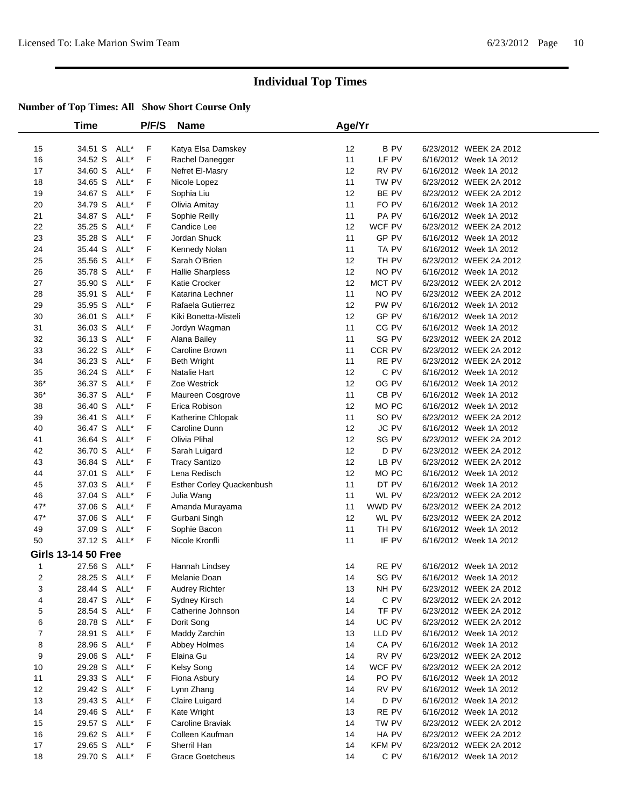|                | Time                       |      | P/F/S | <b>Name</b>               | Age/Yr |                  |                        |  |
|----------------|----------------------------|------|-------|---------------------------|--------|------------------|------------------------|--|
| 15             | 34.51 S ALL*               |      | F     | Katya Elsa Damskey        | 12     | B PV             | 6/23/2012 WEEK 2A 2012 |  |
| 16             | 34.52 S                    | ALL* | F     | Rachel Danegger           | 11     | LF PV            | 6/16/2012 Week 1A 2012 |  |
| 17             | 34.60 S                    | ALL* | F     | Nefret El-Masry           | 12     | RV PV            | 6/16/2012 Week 1A 2012 |  |
| 18             | 34.65 S                    | ALL* | F     | Nicole Lopez              | 11     | TW PV            | 6/23/2012 WEEK 2A 2012 |  |
| 19             | 34.67 S                    | ALL* | F     | Sophia Liu                | 12     | BE PV            | 6/23/2012 WEEK 2A 2012 |  |
| 20             | 34.79 S                    | ALL* | F     | Olivia Amitay             | 11     | FO PV            | 6/16/2012 Week 1A 2012 |  |
| 21             | 34.87 S                    | ALL* | F     | Sophie Reilly             | 11     | PA PV            | 6/16/2012 Week 1A 2012 |  |
| 22             | 35.25 S                    | ALL* | F     | Candice Lee               | 12     | WCF PV           | 6/23/2012 WEEK 2A 2012 |  |
| 23             | 35.28 S                    | ALL* | F     | Jordan Shuck              | 11     | GP PV            | 6/16/2012 Week 1A 2012 |  |
| 24             | 35.44 S                    | ALL* | F     | Kennedy Nolan             | 11     | TA PV            | 6/16/2012 Week 1A 2012 |  |
| 25             | 35.56 S                    | ALL* | F     | Sarah O'Brien             | 12     | TH PV            | 6/23/2012 WEEK 2A 2012 |  |
| 26             | 35.78 S                    | ALL* | F     | <b>Hallie Sharpless</b>   | 12     | NO PV            | 6/16/2012 Week 1A 2012 |  |
| 27             | 35.90 S                    | ALL* | F     | Katie Crocker             | 12     | MCT PV           | 6/23/2012 WEEK 2A 2012 |  |
| 28             | 35.91 S                    | ALL* | F     | Katarina Lechner          | 11     | NO PV            | 6/23/2012 WEEK 2A 2012 |  |
| 29             | 35.95 S                    | ALL* | F     | Rafaela Gutierrez         | 12     | PW PV            | 6/16/2012 Week 1A 2012 |  |
| 30             | 36.01 S                    | ALL* | F     | Kiki Bonetta-Misteli      | 12     | GP PV            | 6/16/2012 Week 1A 2012 |  |
| 31             | 36.03 S                    | ALL* | F     | Jordyn Wagman             | 11     | CG PV            | 6/16/2012 Week 1A 2012 |  |
| 32             | 36.13 S                    | ALL* | F     | Alana Bailey              | 11     | SG PV            | 6/23/2012 WEEK 2A 2012 |  |
| 33             | 36.22 S                    | ALL* | F     | Caroline Brown            | 11     | CCR PV           | 6/23/2012 WEEK 2A 2012 |  |
| 34             | 36.23 S                    | ALL* | F     | <b>Beth Wright</b>        | 11     | RE PV            | 6/23/2012 WEEK 2A 2012 |  |
| 35             | 36.24 S                    | ALL* | F     | Natalie Hart              | 12     | C PV             | 6/16/2012 Week 1A 2012 |  |
| $36*$          | 36.37 S                    | ALL* | F     | Zoe Westrick              | 12     | OG PV            | 6/16/2012 Week 1A 2012 |  |
| $36*$          | 36.37 S                    | ALL* | F     | Maureen Cosgrove          | 11     | CB <sub>PV</sub> | 6/16/2012 Week 1A 2012 |  |
| 38             | 36.40 S                    | ALL* | F     | Erica Robison             | 12     | MO PC            | 6/16/2012 Week 1A 2012 |  |
| 39             | 36.41 S                    | ALL* | F     | Katherine Chlopak         | 11     | SO PV            | 6/23/2012 WEEK 2A 2012 |  |
| 40             | 36.47 S                    | ALL* | F     | Caroline Dunn             | 12     | <b>JC PV</b>     | 6/16/2012 Week 1A 2012 |  |
| 41             | 36.64 S                    | ALL* | F     | Olivia Plihal             | 12     | SG PV            | 6/23/2012 WEEK 2A 2012 |  |
| 42             | 36.70 S                    | ALL* | F     | Sarah Luigard             | 12     | D PV             | 6/23/2012 WEEK 2A 2012 |  |
| 43             | 36.84 S                    | ALL* | F     | <b>Tracy Santizo</b>      | 12     | LB PV            | 6/23/2012 WEEK 2A 2012 |  |
| 44             | 37.01 S                    | ALL* | F     | Lena Redisch              | 12     | MO PC            | 6/16/2012 Week 1A 2012 |  |
| 45             | 37.03 S                    | ALL* | F     | Esther Corley Quackenbush | 11     | DT PV            | 6/16/2012 Week 1A 2012 |  |
| 46             | 37.04 S                    | ALL* | F     | Julia Wang                | 11     | WL PV            | 6/23/2012 WEEK 2A 2012 |  |
| $47*$          | 37.06 S                    | ALL* | F     | Amanda Murayama           | 11     | WWD PV           | 6/23/2012 WEEK 2A 2012 |  |
| $47*$          | 37.06 S                    | ALL* | F     | Gurbani Singh             | 12     | WL PV            | 6/23/2012 WEEK 2A 2012 |  |
| 49             | 37.09 S                    | ALL* | F     | Sophie Bacon              | 11     | TH PV            | 6/16/2012 Week 1A 2012 |  |
| 50             | 37.12 S                    | ALL* | F     | Nicole Kronfli            | 11     | IF PV            | 6/16/2012 Week 1A 2012 |  |
|                | <b>Girls 13-14 50 Free</b> |      |       |                           |        |                  |                        |  |
| 1              | 27.56 S ALL*               |      | F     | Hannah Lindsey            | 14     | RE PV            | 6/16/2012 Week 1A 2012 |  |
| $\overline{2}$ | 28.25 S ALL*               |      | F.    | Melanie Doan              | 14     | SG PV            | 6/16/2012 Week 1A 2012 |  |
| 3              | 28.44 S ALL*               |      | F     | <b>Audrey Richter</b>     | 13     | NH PV            | 6/23/2012 WEEK 2A 2012 |  |
| 4              | 28.47 S ALL*               |      | F     | Sydney Kirsch             | 14     | C PV             | 6/23/2012 WEEK 2A 2012 |  |
| 5              | 28.54 S ALL*               |      | F     | Catherine Johnson         | 14     | TF PV            | 6/23/2012 WEEK 2A 2012 |  |
| 6              | 28.78 S                    | ALL* | F     | Dorit Song                | 14     | UC PV            | 6/23/2012 WEEK 2A 2012 |  |
| $\overline{7}$ | 28.91 S                    | ALL* | F     | Maddy Zarchin             | 13     | LLD PV           | 6/16/2012 Week 1A 2012 |  |
| 8              | 28.96 S ALL*               |      | F     | Abbey Holmes              | 14     | CA PV            | 6/16/2012 Week 1A 2012 |  |
| 9              | 29.06 S                    | ALL* | F     | Elaina Gu                 | 14     | RV PV            | 6/23/2012 WEEK 2A 2012 |  |
| 10             | 29.28 S                    | ALL* | F     | Kelsy Song                | 14     | WCF PV           | 6/23/2012 WEEK 2A 2012 |  |
| 11             | 29.33 S                    | ALL* | F     | Fiona Asbury              | 14     | PO PV            | 6/16/2012 Week 1A 2012 |  |
| 12             | 29.42 S                    | ALL* | F     | Lynn Zhang                | 14     | RV PV            | 6/16/2012 Week 1A 2012 |  |
| 13             | 29.43 S                    | ALL* | F     | Claire Luigard            | 14     | D PV             | 6/16/2012 Week 1A 2012 |  |
| 14             | 29.46 S ALL*               |      | F     | Kate Wright               | 13     | RE PV            | 6/16/2012 Week 1A 2012 |  |
| 15             | 29.57 S ALL*               |      | F.    | Caroline Braviak          | 14     | TW PV            | 6/23/2012 WEEK 2A 2012 |  |
| 16             | 29.62 S                    | ALL* | F     | Colleen Kaufman           | 14     | HA PV            | 6/23/2012 WEEK 2A 2012 |  |
| 17             | 29.65 S                    | ALL* | F     | Sherril Han               | 14     | <b>KFM PV</b>    | 6/23/2012 WEEK 2A 2012 |  |
| 18             | 29.70 S ALL*               |      | F.    | <b>Grace Goetcheus</b>    | 14     | C PV             | 6/16/2012 Week 1A 2012 |  |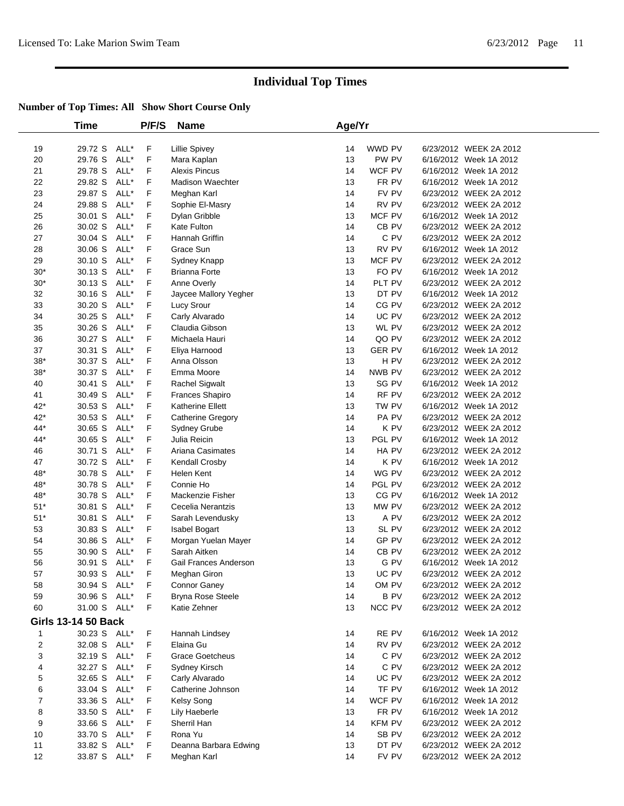|                | Time                       |      | P/F/S | <b>Name</b>              | Age/Yr |                  |                        |  |
|----------------|----------------------------|------|-------|--------------------------|--------|------------------|------------------------|--|
| 19             | 29.72 S                    | ALL* | F     | Lillie Spivey            | 14     | WWD PV           | 6/23/2012 WEEK 2A 2012 |  |
| 20             | 29.76 S                    | ALL* | F     | Mara Kaplan              | 13     | PW PV            | 6/16/2012 Week 1A 2012 |  |
| 21             | 29.78 S                    | ALL* | F     | <b>Alexis Pincus</b>     | 14     | WCF PV           | 6/16/2012 Week 1A 2012 |  |
| 22             | 29.82 S                    | ALL* | F     | <b>Madison Waechter</b>  | 13     | FR PV            | 6/16/2012 Week 1A 2012 |  |
| 23             | 29.87 S                    | ALL* | F     | Meghan Karl              | 14     | FV PV            | 6/23/2012 WEEK 2A 2012 |  |
| 24             | 29.88 S                    | ALL* | F     | Sophie El-Masry          | 14     | RV PV            | 6/23/2012 WEEK 2A 2012 |  |
| 25             | 30.01 S                    | ALL* | F     | Dylan Gribble            | 13     | MCF PV           | 6/16/2012 Week 1A 2012 |  |
| 26             | 30.02 S                    | ALL* | F     | Kate Fulton              | 14     | CB PV            | 6/23/2012 WEEK 2A 2012 |  |
| 27             | 30.04 S                    | ALL* | F     | Hannah Griffin           | 14     | C PV             | 6/23/2012 WEEK 2A 2012 |  |
| 28             | 30.06 S                    | ALL* | F     | Grace Sun                | 13     | RV PV            | 6/16/2012 Week 1A 2012 |  |
| 29             | 30.10 S                    | ALL* | F     | Sydney Knapp             | 13     | MCF PV           | 6/23/2012 WEEK 2A 2012 |  |
| $30*$          | 30.13 S                    | ALL* | F     | Brianna Forte            | 13     | FO PV            | 6/16/2012 Week 1A 2012 |  |
| $30*$          | 30.13 S                    | ALL* | F     | Anne Overly              | 14     | PLT PV           | 6/23/2012 WEEK 2A 2012 |  |
| 32             | 30.16 S                    | ALL* | F     | Jaycee Mallory Yegher    | 13     | DT PV            | 6/16/2012 Week 1A 2012 |  |
| 33             | 30.20 S                    | ALL* | F     | Lucy Srour               | 14     | CG PV            | 6/23/2012 WEEK 2A 2012 |  |
| 34             | 30.25 S                    | ALL* | F     | Carly Alvarado           | 14     | UC PV            | 6/23/2012 WEEK 2A 2012 |  |
| 35             | 30.26 S                    | ALL* | F     | Claudia Gibson           | 13     | WL PV            | 6/23/2012 WEEK 2A 2012 |  |
| 36             | 30.27 S                    | ALL* | F     | Michaela Hauri           | 14     | QO PV            | 6/23/2012 WEEK 2A 2012 |  |
| 37             | 30.31 S                    | ALL* | F     | Eliya Harnood            | 13     | <b>GER PV</b>    | 6/16/2012 Week 1A 2012 |  |
| $38*$          | 30.37 S                    | ALL* | F     | Anna Olsson              | 13     | H PV             | 6/23/2012 WEEK 2A 2012 |  |
| $38*$          | 30.37 S                    | ALL* | F     | Emma Moore               | 14     | NWB PV           | 6/23/2012 WEEK 2A 2012 |  |
| 40             | 30.41 S                    | ALL* | F     | Rachel Sigwalt           | 13     | SG PV            | 6/16/2012 Week 1A 2012 |  |
| 41             | 30.49 S                    | ALL* | F     | Frances Shapiro          | 14     | RF PV            | 6/23/2012 WEEK 2A 2012 |  |
| $42*$          | 30.53 S                    | ALL* | F     | Katherine Ellett         | 13     | TW PV            | 6/16/2012 Week 1A 2012 |  |
| $42*$          | 30.53 S                    | ALL* | F     | <b>Catherine Gregory</b> | 14     | PA PV            | 6/23/2012 WEEK 2A 2012 |  |
| 44*            | 30.65 S                    | ALL* | F     | Sydney Grube             | 14     | K PV             | 6/23/2012 WEEK 2A 2012 |  |
| 44*            | 30.65 S                    | ALL* | F     | Julia Reicin             | 13     | PGL PV           | 6/16/2012 Week 1A 2012 |  |
| 46             | 30.71 S                    | ALL* | F     | Ariana Casimates         | 14     | HA PV            | 6/23/2012 WEEK 2A 2012 |  |
| 47             | 30.72 S                    | ALL* | F     | Kendall Crosby           | 14     | K PV             | 6/16/2012 Week 1A 2012 |  |
| 48*            | 30.78 S                    | ALL* | F     | Helen Kent               | 14     | WG PV            | 6/23/2012 WEEK 2A 2012 |  |
| 48*            | 30.78 S                    | ALL* | F     | Connie Ho                | 14     | PGL PV           | 6/23/2012 WEEK 2A 2012 |  |
| 48*            | 30.78 S                    | ALL* | F     | Mackenzie Fisher         | 13     | CG PV            | 6/16/2012 Week 1A 2012 |  |
| $51*$          | 30.81 S                    | ALL* | F     | Cecelia Nerantzis        | 13     | MW PV            | 6/23/2012 WEEK 2A 2012 |  |
| $51*$          | 30.81 S                    | ALL* | F     | Sarah Levendusky         | 13     | A PV             | 6/23/2012 WEEK 2A 2012 |  |
| 53             | 30.83 S                    | ALL* | F     | Isabel Bogart            | 13     | SL PV            | 6/23/2012 WEEK 2A 2012 |  |
| 54             | 30.86 S                    | ALL* | F     | Morgan Yuelan Mayer      | 14     | GP PV            | 6/23/2012 WEEK 2A 2012 |  |
| 55             | 30.90 S                    | ALL* | F     | Sarah Aitken             | 14     | CB <sub>PV</sub> | 6/23/2012 WEEK 2A 2012 |  |
| 56             | 30.91 S                    | ALL* | F     | Gail Frances Anderson    | 13     | G PV             | 6/16/2012 Week 1A 2012 |  |
| 57             | 30.93 S                    | ALL* | F     | Meghan Giron             | 13     | UC PV            | 6/23/2012 WEEK 2A 2012 |  |
| 58             | 30.94 S ALL*               |      | F     | <b>Connor Ganey</b>      | 14     | OM PV            | 6/23/2012 WEEK 2A 2012 |  |
| 59             | 30.96 S ALL*               |      | F     | Bryna Rose Steele        | 14     | <b>BPV</b>       | 6/23/2012 WEEK 2A 2012 |  |
| 60             | 31.00 S ALL*               |      | F     | Katie Zehner             | 13     | NCC PV           | 6/23/2012 WEEK 2A 2012 |  |
|                | <b>Girls 13-14 50 Back</b> |      |       |                          |        |                  |                        |  |
| 1              | 30.23 S ALL*               |      | F     | Hannah Lindsey           | 14     | RE PV            | 6/16/2012 Week 1A 2012 |  |
| $\overline{c}$ | 32.08 S                    | ALL* | F     | Elaina Gu                | 14     | RV PV            | 6/23/2012 WEEK 2A 2012 |  |
| 3              | 32.19 S ALL*               |      | F     | <b>Grace Goetcheus</b>   | 14     | C PV             | 6/23/2012 WEEK 2A 2012 |  |
| 4              | 32.27 S ALL*               |      | F     | Sydney Kirsch            | 14     | C PV             | 6/23/2012 WEEK 2A 2012 |  |
| 5              | 32.65 S                    | ALL* | F     | Carly Alvarado           | 14     | UC PV            | 6/23/2012 WEEK 2A 2012 |  |
| 6              | 33.04 S                    | ALL* | F     | Catherine Johnson        | 14     | TF PV            | 6/16/2012 Week 1A 2012 |  |
| $\overline{7}$ | 33.36 S                    | ALL* | F     | Kelsy Song               | 14     | WCF PV           | 6/16/2012 Week 1A 2012 |  |
| 8              | 33.50 S                    | ALL* | F     | Lily Haeberle            | 13     | FR PV            | 6/16/2012 Week 1A 2012 |  |
| 9              | 33.66 S ALL*               |      | F     | Sherril Han              | 14     | <b>KFM PV</b>    | 6/23/2012 WEEK 2A 2012 |  |
| 10             | 33.70 S ALL*               |      | F     | Rona Yu                  | 14     | SB PV            | 6/23/2012 WEEK 2A 2012 |  |
| 11             | 33.82 S                    | ALL* | F     | Deanna Barbara Edwing    | 13     | DT PV            | 6/23/2012 WEEK 2A 2012 |  |
| 12             | 33.87 S                    | ALL* | F     | Meghan Karl              | 14     | FV PV            | 6/23/2012 WEEK 2A 2012 |  |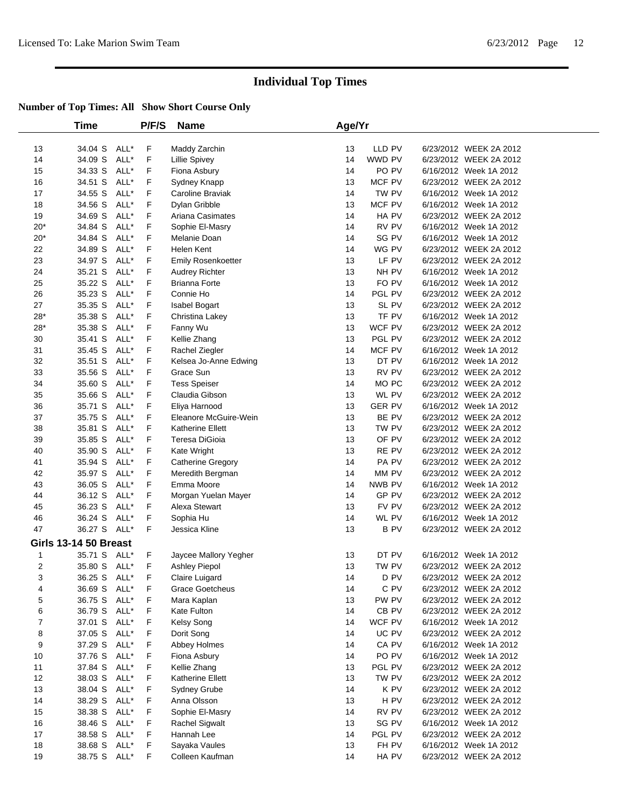|                | Time                         |      | P/F/S | <b>Name</b>             | Age/Yr |                 |                        |  |
|----------------|------------------------------|------|-------|-------------------------|--------|-----------------|------------------------|--|
| 13             | 34.04 S                      | ALL* | F     | Maddy Zarchin           | 13     | LLD PV          | 6/23/2012 WEEK 2A 2012 |  |
| 14             | 34.09 S                      | ALL* | F     | <b>Lillie Spivey</b>    | 14     | WWD PV          | 6/23/2012 WEEK 2A 2012 |  |
| 15             | 34.33 S                      | ALL* | F     | Fiona Asbury            | 14     | PO PV           | 6/16/2012 Week 1A 2012 |  |
| 16             | 34.51 S                      | ALL* | F     | Sydney Knapp            | 13     | MCF PV          | 6/23/2012 WEEK 2A 2012 |  |
| 17             | 34.55 S                      | ALL* | F     | Caroline Braviak        | 14     | TW PV           | 6/16/2012 Week 1A 2012 |  |
| 18             | 34.56 S                      | ALL* | F     | Dylan Gribble           | 13     | MCF PV          | 6/16/2012 Week 1A 2012 |  |
| 19             | 34.69 S                      | ALL* | F     | Ariana Casimates        | 14     | HA PV           | 6/23/2012 WEEK 2A 2012 |  |
| 20*            | 34.84 S                      | ALL* | F     | Sophie El-Masry         | 14     | RV PV           | 6/16/2012 Week 1A 2012 |  |
| $20*$          | 34.84 S                      | ALL* | F     | Melanie Doan            | 14     | SG PV           | 6/16/2012 Week 1A 2012 |  |
| 22             | 34.89 S                      | ALL* | F     | Helen Kent              | 14     | WG PV           | 6/23/2012 WEEK 2A 2012 |  |
| 23             | 34.97 S                      | ALL* | F     | Emily Rosenkoetter      | 13     | LF PV           | 6/23/2012 WEEK 2A 2012 |  |
| 24             | 35.21 S                      | ALL* | F     | Audrey Richter          | 13     | NH PV           | 6/16/2012 Week 1A 2012 |  |
| 25             | 35.22 S                      | ALL* | F     | <b>Brianna Forte</b>    | 13     | FO PV           | 6/16/2012 Week 1A 2012 |  |
| 26             | 35.23 S                      | ALL* | F     | Connie Ho               | 14     | PGL PV          | 6/23/2012 WEEK 2A 2012 |  |
| 27             | 35.35 S                      | ALL* | F     | Isabel Bogart           | 13     | SL PV           | 6/23/2012 WEEK 2A 2012 |  |
| $28*$          | 35.38 S                      | ALL* | F     | Christina Lakey         | 13     | TF PV           | 6/16/2012 Week 1A 2012 |  |
| $28*$          | 35.38 S                      | ALL* | F     | Fanny Wu                | 13     | WCF PV          | 6/23/2012 WEEK 2A 2012 |  |
| 30             | 35.41 S                      | ALL* | F     | Kellie Zhang            | 13     | PGL PV          | 6/23/2012 WEEK 2A 2012 |  |
| 31             | 35.45 S                      | ALL* | F     | Rachel Ziegler          | 14     | MCF PV          | 6/16/2012 Week 1A 2012 |  |
| 32             | 35.51 S                      | ALL* | F     | Kelsea Jo-Anne Edwing   | 13     | DT PV           | 6/16/2012 Week 1A 2012 |  |
| 33             | 35.56 S                      | ALL* | F     | Grace Sun               | 13     | RV PV           | 6/23/2012 WEEK 2A 2012 |  |
| 34             | 35.60 S                      | ALL* | F     | <b>Tess Speiser</b>     | 14     | MO PC           | 6/23/2012 WEEK 2A 2012 |  |
| 35             | 35.66 S                      | ALL* | F     | Claudia Gibson          | 13     | WL PV           | 6/23/2012 WEEK 2A 2012 |  |
| 36             | 35.71 S                      | ALL* | F     | Eliya Harnood           | 13     | <b>GER PV</b>   | 6/16/2012 Week 1A 2012 |  |
| 37             | 35.75 S                      | ALL* | F     | Eleanore McGuire-Wein   | 13     | BE PV           | 6/23/2012 WEEK 2A 2012 |  |
| 38             | 35.81 S                      | ALL* | F     | <b>Katherine Ellett</b> | 13     | TW PV           | 6/23/2012 WEEK 2A 2012 |  |
| 39             | 35.85 S                      | ALL* | F     | Teresa DiGioia          | 13     | OF PV           | 6/23/2012 WEEK 2A 2012 |  |
| 40             | 35.90 S                      | ALL* | F     | Kate Wright             | 13     | RE PV           | 6/23/2012 WEEK 2A 2012 |  |
| 41             | 35.94 S                      | ALL* | F     | Catherine Gregory       | 14     | PA PV           | 6/23/2012 WEEK 2A 2012 |  |
| 42             | 35.97 S                      | ALL* | F     | Meredith Bergman        | 14     | MM PV           | 6/23/2012 WEEK 2A 2012 |  |
| 43             | 36.05 S                      | ALL* | F     | Emma Moore              | 14     | NWB PV          | 6/16/2012 Week 1A 2012 |  |
| 44             | 36.12 S                      | ALL* | F     | Morgan Yuelan Mayer     | 14     | GP PV           | 6/23/2012 WEEK 2A 2012 |  |
| 45             | 36.23 S                      | ALL* | F     | Alexa Stewart           | 13     | FV PV           | 6/23/2012 WEEK 2A 2012 |  |
| 46             | 36.24 S                      | ALL* | F     | Sophia Hu               | 14     | WL PV           | 6/16/2012 Week 1A 2012 |  |
| 47             | 36.27 S ALL*                 |      | F     | Jessica Kline           | 13     | <b>B PV</b>     | 6/23/2012 WEEK 2A 2012 |  |
|                | <b>Girls 13-14 50 Breast</b> |      |       |                         |        |                 |                        |  |
| 1              | 35.71 S ALL*                 |      | F     | Jaycee Mallory Yegher   | 13     | DT PV           | 6/16/2012 Week 1A 2012 |  |
| 2              | 35.80 S ALL*                 |      | F     | Ashley Piepol           | 13     | TW PV           | 6/23/2012 WEEK 2A 2012 |  |
| 3              | 36.25 S ALL*                 |      | F.    | Claire Luigard          | 14     | D PV            | 6/23/2012 WEEK 2A 2012 |  |
| 4              | 36.69 S ALL*                 |      | F     | <b>Grace Goetcheus</b>  | 14     | C PV            | 6/23/2012 WEEK 2A 2012 |  |
| 5              | 36.75 S ALL*                 |      | F     | Mara Kaplan             | 13     | PW PV           | 6/23/2012 WEEK 2A 2012 |  |
| 6              | 36.79 S                      | ALL* | F     | Kate Fulton             | 14     | CB PV           | 6/23/2012 WEEK 2A 2012 |  |
| $\overline{7}$ | 37.01 S                      | ALL* | F     | Kelsy Song              | 14     | WCF PV          | 6/16/2012 Week 1A 2012 |  |
| 8              | 37.05 S                      | ALL* | F     | Dorit Song              | 14     | UC PV           | 6/23/2012 WEEK 2A 2012 |  |
| 9              | 37.29 S                      | ALL* | F     | Abbey Holmes            | 14     | CA PV           | 6/16/2012 Week 1A 2012 |  |
| 10             | 37.76 S                      | ALL* | F     | Fiona Asbury            | 14     | PO PV           | 6/16/2012 Week 1A 2012 |  |
| 11             | 37.84 S                      | ALL* | F     | Kellie Zhang            | 13     | PGL PV          | 6/23/2012 WEEK 2A 2012 |  |
| 12             | 38.03 S                      | ALL* | F     | Katherine Ellett        | 13     | TW PV           | 6/23/2012 WEEK 2A 2012 |  |
| 13             | 38.04 S                      | ALL* | F     | Sydney Grube            | 14     | K PV            | 6/23/2012 WEEK 2A 2012 |  |
| 14             | 38.29 S                      | ALL* | F     | Anna Olsson             | 13     | H <sub>PV</sub> | 6/23/2012 WEEK 2A 2012 |  |
| 15             | 38.38 S                      | ALL* | F     | Sophie El-Masry         | 14     | RV PV           | 6/23/2012 WEEK 2A 2012 |  |
| 16             | 38.46 S                      | ALL* | F     | Rachel Sigwalt          | 13     | SG PV           | 6/16/2012 Week 1A 2012 |  |
| 17             | 38.58 S                      | ALL* | F     | Hannah Lee              | 14     | PGL PV          | 6/23/2012 WEEK 2A 2012 |  |
| 18             | 38.68 S                      | ALL* | F     | Sayaka Vaules           | 13     | FH PV           | 6/16/2012 Week 1A 2012 |  |
| 19             | 38.75 S ALL*                 |      | F     | Colleen Kaufman         | 14     | HA PV           | 6/23/2012 WEEK 2A 2012 |  |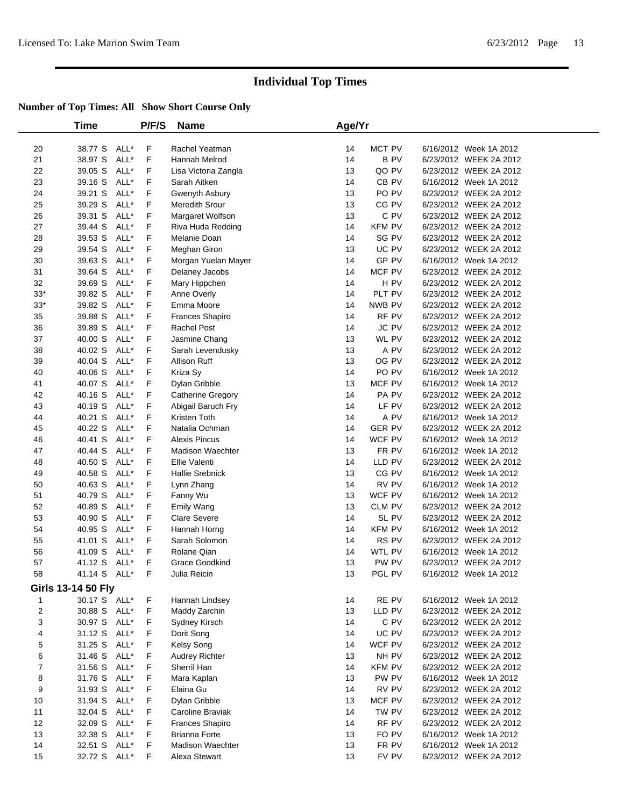|       | <b>Time</b>               |      | P/F/S | <b>Name</b>             | Age/Yr |                  |                        |  |
|-------|---------------------------|------|-------|-------------------------|--------|------------------|------------------------|--|
| 20    | 38.77 S                   | ALL* | F     | Rachel Yeatman          | 14     | MCT PV           | 6/16/2012 Week 1A 2012 |  |
| 21    | 38.97 S                   | ALL* | F     | Hannah Melrod           | 14     | <b>BPV</b>       | 6/23/2012 WEEK 2A 2012 |  |
| 22    | 39.05 S                   | ALL* | F     | Lisa Victoria Zangla    | 13     | QO PV            | 6/23/2012 WEEK 2A 2012 |  |
| 23    | 39.16 S                   | ALL* | F     | Sarah Aitken            | 14     | CB <sub>PV</sub> | 6/16/2012 Week 1A 2012 |  |
| 24    | 39.21 S                   | ALL* | F     | Gwenyth Asbury          | 13     | PO <sub>PV</sub> | 6/23/2012 WEEK 2A 2012 |  |
| 25    | 39.29 S                   | ALL* | F     | Meredith Srour          | 13     | CG PV            | 6/23/2012 WEEK 2A 2012 |  |
| 26    | 39.31 S                   | ALL* | F     | Margaret Wolfson        | 13     | C PV             | 6/23/2012 WEEK 2A 2012 |  |
| 27    | 39.44 S                   | ALL* | F     | Riva Huda Redding       | 14     | <b>KFM PV</b>    | 6/23/2012 WEEK 2A 2012 |  |
| 28    | 39.53 S                   | ALL* | F     | Melanie Doan            | 14     | SG PV            | 6/23/2012 WEEK 2A 2012 |  |
| 29    | 39.54 S                   | ALL* | F     | Meghan Giron            | 13     | UC PV            | 6/23/2012 WEEK 2A 2012 |  |
| 30    | 39.63 S                   | ALL* | F     | Morgan Yuelan Mayer     | 14     | GP PV            | 6/16/2012 Week 1A 2012 |  |
| 31    | 39.64 S                   | ALL* | F     | Delaney Jacobs          | 14     | MCF PV           | 6/23/2012 WEEK 2A 2012 |  |
| 32    | 39.69 S                   | ALL* | F     | Mary Hippchen           | 14     | H <sub>PV</sub>  | 6/23/2012 WEEK 2A 2012 |  |
| $33*$ | 39.82 S                   | ALL* | F     | Anne Overly             | 14     | PLT PV           | 6/23/2012 WEEK 2A 2012 |  |
| $33*$ | 39.82 S                   | ALL* | F     | Emma Moore              | 14     | NWB PV           | 6/23/2012 WEEK 2A 2012 |  |
| 35    | 39.88 S                   | ALL* | F     | Frances Shapiro         | 14     | RF PV            | 6/23/2012 WEEK 2A 2012 |  |
| 36    | 39.89 S                   | ALL* | F     | <b>Rachel Post</b>      | 14     | <b>JC PV</b>     | 6/23/2012 WEEK 2A 2012 |  |
| 37    | 40.00 S                   | ALL* | F     | Jasmine Chang           | 13     | WL PV            | 6/23/2012 WEEK 2A 2012 |  |
| 38    | 40.02 S                   | ALL* | F     | Sarah Levendusky        | 13     | A PV             | 6/23/2012 WEEK 2A 2012 |  |
| 39    | 40.04 S                   | ALL* | F     | Allison Ruff            | 13     | OG PV            | 6/23/2012 WEEK 2A 2012 |  |
| 40    | 40.06 S                   | ALL* | F     | Kriza Sy                | 14     | PO PV            | 6/16/2012 Week 1A 2012 |  |
| 41    | 40.07 S                   | ALL* | F     | Dylan Gribble           | 13     | MCF PV           | 6/16/2012 Week 1A 2012 |  |
| 42    | 40.16 S                   | ALL* | F     | Catherine Gregory       | 14     | PA PV            | 6/23/2012 WEEK 2A 2012 |  |
| 43    | 40.19 S                   | ALL* | F     | Abigail Baruch Fry      | 14     | LF PV            | 6/23/2012 WEEK 2A 2012 |  |
| 44    | 40.21 S                   | ALL* | F     | Kristen Toth            | 14     | A PV             | 6/16/2012 Week 1A 2012 |  |
| 45    | 40.22 S                   | ALL* | F     | Natalia Ochman          | 14     | <b>GER PV</b>    | 6/23/2012 WEEK 2A 2012 |  |
| 46    | 40.41 S                   | ALL* | F     | <b>Alexis Pincus</b>    | 14     | WCF PV           | 6/16/2012 Week 1A 2012 |  |
| 47    | 40.44 S                   | ALL* | F     | <b>Madison Waechter</b> | 13     | FR PV            | 6/16/2012 Week 1A 2012 |  |
| 48    | 40.50 S                   | ALL* | F     | Ellie Valenti           | 14     | LLD PV           | 6/23/2012 WEEK 2A 2012 |  |
| 49    | 40.58 S                   | ALL* | F     | Hallie Srebnick         | 13     | CG PV            | 6/16/2012 Week 1A 2012 |  |
| 50    | 40.63 S                   | ALL* | F     | Lynn Zhang              | 14     | RV PV            | 6/16/2012 Week 1A 2012 |  |
| 51    | 40.79 S                   | ALL* | F     | Fanny Wu                | 13     | WCF PV           | 6/16/2012 Week 1A 2012 |  |
| 52    | 40.89 S                   | ALL* | F     | <b>Emily Wang</b>       | 13     | CLM PV           | 6/23/2012 WEEK 2A 2012 |  |
| 53    | 40.90 S                   | ALL* | F     | <b>Clare Severe</b>     | 14     | SL PV            | 6/23/2012 WEEK 2A 2012 |  |
| 54    | 40.95 S                   | ALL* | F     | Hannah Horng            | 14     | <b>KFM PV</b>    | 6/16/2012 Week 1A 2012 |  |
| 55    | 41.01 S                   | ALL* | F     | Sarah Solomon           | 14     | RS PV            | 6/23/2012 WEEK 2A 2012 |  |
| 56    | 41.09 S                   | ALL* | F     | Rolane Qian             | 14     | WTL PV           | 6/16/2012 Week 1A 2012 |  |
| 57    | 41.12 S                   | ALL* | F     | <b>Grace Goodkind</b>   | 13     | PW PV            | 6/23/2012 WEEK 2A 2012 |  |
| 58    | 41.14 S                   | ALL* | F     | Julia Reicin            | 13     | PGL PV           | 6/16/2012 Week 1A 2012 |  |
|       | <b>Girls 13-14 50 Fly</b> |      |       |                         |        |                  |                        |  |
| 1     | 30.17 S ALL*              |      | F     | Hannah Lindsey          | 14     | RE PV            | 6/16/2012 Week 1A 2012 |  |
| 2     | 30.88 S                   | ALL* | F     | Maddy Zarchin           | 13     | LLD PV           | 6/23/2012 WEEK 2A 2012 |  |
| 3     | 30.97 S                   | ALL* | F     | Sydney Kirsch           | 14     | C PV             | 6/23/2012 WEEK 2A 2012 |  |
| 4     | 31.12 S                   | ALL* | F     | Dorit Song              | 14     | UC PV            | 6/23/2012 WEEK 2A 2012 |  |
| 5     | 31.25 S                   | ALL* | F     | Kelsy Song              | 14     | WCF PV           | 6/23/2012 WEEK 2A 2012 |  |
| 6     | 31.46 S                   | ALL* | F     | Audrey Richter          | 13     | NH PV            | 6/23/2012 WEEK 2A 2012 |  |
| 7     | 31.56 S                   | ALL* | F     | Sherril Han             | 14     | <b>KFM PV</b>    | 6/23/2012 WEEK 2A 2012 |  |
| 8     | 31.76 S                   | ALL* | F     | Mara Kaplan             | 13     | PW PV            | 6/16/2012 Week 1A 2012 |  |
| 9     | 31.93 S                   | ALL* | F     | Elaina Gu               | 14     | RV PV            | 6/23/2012 WEEK 2A 2012 |  |
| 10    | 31.94 S                   | ALL* | F     | Dylan Gribble           | 13     | MCF PV           | 6/23/2012 WEEK 2A 2012 |  |
| 11    | 32.04 S                   | ALL* | F     | Caroline Braviak        | 14     | TW PV            | 6/23/2012 WEEK 2A 2012 |  |
| 12    | 32.09 S                   | ALL* | F     | Frances Shapiro         | 14     | RF PV            | 6/23/2012 WEEK 2A 2012 |  |
| 13    | 32.38 S                   | ALL* | F     | <b>Brianna Forte</b>    | 13     | FO PV            | 6/16/2012 Week 1A 2012 |  |
| 14    | 32.51 S                   | ALL* | F     | <b>Madison Waechter</b> | 13     | FR PV            | 6/16/2012 Week 1A 2012 |  |
| 15    | 32.72 S                   | ALL* | F     | Alexa Stewart           | 13     | FV PV            | 6/23/2012 WEEK 2A 2012 |  |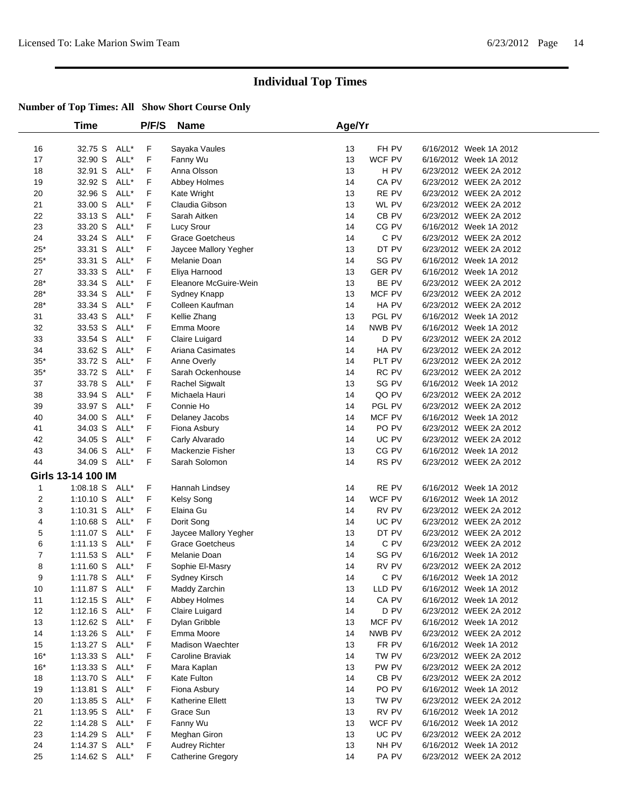|                | <b>Time</b>        |      | P/F/S       | Name                   | Age/Yr |                           |                        |
|----------------|--------------------|------|-------------|------------------------|--------|---------------------------|------------------------|
| 16             | 32.75 S            | ALL* | F           | Sayaka Vaules          | 13     | FH PV                     | 6/16/2012 Week 1A 2012 |
| 17             | 32.90 S            | ALL* | F           | Fanny Wu               | 13     | WCF PV                    | 6/16/2012 Week 1A 2012 |
| 18             | 32.91 S            | ALL* | F           | Anna Olsson            | 13     | H PV                      | 6/23/2012 WEEK 2A 2012 |
| 19             | 32.92 S            | ALL* | F           | Abbey Holmes           | 14     | CA PV                     | 6/23/2012 WEEK 2A 2012 |
| 20             | 32.96 S            | ALL* | F           | Kate Wright            | 13     | RE PV                     | 6/23/2012 WEEK 2A 2012 |
| 21             | 33.00 S            | ALL* | F           | Claudia Gibson         | 13     | WL PV                     | 6/23/2012 WEEK 2A 2012 |
| 22             | 33.13 S            | ALL* | F           | Sarah Aitken           | 14     | CB PV                     | 6/23/2012 WEEK 2A 2012 |
| 23             | 33.20 S            | ALL* | F           | Lucy Srour             | 14     | CG PV                     | 6/16/2012 Week 1A 2012 |
| 24             | 33.24 S            | ALL* | F           | <b>Grace Goetcheus</b> | 14     | C PV                      | 6/23/2012 WEEK 2A 2012 |
| $25*$          | 33.31 S            | ALL* | F           | Jaycee Mallory Yegher  | 13     | DT PV                     | 6/23/2012 WEEK 2A 2012 |
| $25*$          | 33.31 S            | ALL* | F           | Melanie Doan           | 14     | SG PV                     | 6/16/2012 Week 1A 2012 |
| 27             | 33.33 S            | ALL* | F           | Eliya Harnood          | 13     | <b>GER PV</b>             | 6/16/2012 Week 1A 2012 |
| $28*$          | 33.34 S            | ALL* | F           | Eleanore McGuire-Wein  | 13     | BE PV                     | 6/23/2012 WEEK 2A 2012 |
| $28*$          | 33.34 S            | ALL* | F           | Sydney Knapp           | 13     | MCF PV                    | 6/23/2012 WEEK 2A 2012 |
| $28*$          | 33.34 S            | ALL* | F           | Colleen Kaufman        | 14     | HA PV                     | 6/23/2012 WEEK 2A 2012 |
| 31             | 33.43 S            | ALL* | F           | Kellie Zhang           | 13     | PGL PV                    | 6/16/2012 Week 1A 2012 |
| 32             | 33.53 S            | ALL* | F           | Emma Moore             | 14     | NWB PV                    | 6/16/2012 Week 1A 2012 |
| 33             | 33.54 S            | ALL* | F           | Claire Luigard         | 14     | D PV                      | 6/23/2012 WEEK 2A 2012 |
| 34             | 33.62 S            | ALL* | F           | Ariana Casimates       | 14     | HA PV                     | 6/23/2012 WEEK 2A 2012 |
| $35^{\ast}$    | 33.72 S            | ALL* | F           | Anne Overly            | 14     | PLT PV                    | 6/23/2012 WEEK 2A 2012 |
| $35^{\ast}$    | 33.72 S            | ALL* | F           | Sarah Ockenhouse       | 14     | RC PV                     | 6/23/2012 WEEK 2A 2012 |
| 37             | 33.78 S            | ALL* | F           | Rachel Sigwalt         | 13     | SG PV                     | 6/16/2012 Week 1A 2012 |
| 38             | 33.94 S            | ALL* | F           | Michaela Hauri         | 14     | QO PV                     | 6/23/2012 WEEK 2A 2012 |
| 39             | 33.97 S            | ALL* | F           | Connie Ho              | 14     | PGL PV                    | 6/23/2012 WEEK 2A 2012 |
| 40             | 34.00 S            | ALL* | F           | Delaney Jacobs         | 14     | MCF PV                    | 6/16/2012 Week 1A 2012 |
| 41             | 34.03 S            | ALL* | F           | Fiona Asbury           | 14     | PO PV                     | 6/23/2012 WEEK 2A 2012 |
| 42             | 34.05 S            | ALL* | F           | Carly Alvarado         | 14     | UC PV                     | 6/23/2012 WEEK 2A 2012 |
| 43             | 34.06 S            | ALL* | F           | Mackenzie Fisher       | 13     | CG PV                     | 6/16/2012 Week 1A 2012 |
| 44             | 34.09 S            | ALL* | F           | Sarah Solomon          | 14     | RS PV                     | 6/23/2012 WEEK 2A 2012 |
|                | Girls 13-14 100 IM |      |             |                        |        |                           |                        |
| 1              | 1:08.18 S ALL*     |      | F           | Hannah Lindsey         | 14     | RE PV                     | 6/16/2012 Week 1A 2012 |
| 2              | 1:10.10 S          | ALL* | F           | Kelsy Song             | 14     | WCF PV                    | 6/16/2012 Week 1A 2012 |
| 3              | 1:10.31 S          | ALL* | F           | Elaina Gu              | 14     | RV PV                     | 6/23/2012 WEEK 2A 2012 |
| 4              | $1:10.68$ S        | ALL* | F           | Dorit Song             | 14     | UC PV                     | 6/23/2012 WEEK 2A 2012 |
| 5              | 1:11.07 S          | ALL* | F           | Jaycee Mallory Yegher  | 13     | DT PV                     | 6/23/2012 WEEK 2A 2012 |
| 6              | $1:11.13$ S        | ALL* | F           | <b>Grace Goetcheus</b> | 14     | C PV                      | 6/23/2012 WEEK 2A 2012 |
| $\overline{7}$ | $1:11.53$ S        | ALL* | F           | Melanie Doan           | 14     | SG PV                     | 6/16/2012 Week 1A 2012 |
| 8              | 1:11.60 S          | ALL* | F           | Sophie El-Masry        | 14     | RV PV                     | 6/23/2012 WEEK 2A 2012 |
| 9              | 1:11.78 S ALL*     |      | F           | Sydney Kirsch          | 14     | C PV                      | 6/16/2012 Week 1A 2012 |
| 10             | 1:11.87 S ALL*     |      | F           | Maddy Zarchin          | 13     | LLD PV                    | 6/16/2012 Week 1A 2012 |
| 11             | $1:12.15$ S        | ALL* | F           | Abbey Holmes           | 14     | CA PV                     | 6/16/2012 Week 1A 2012 |
| 12             | 1:12.16 S ALL*     |      | F           | Claire Luigard         | 14     | $\mathsf{D}\;\mathsf{PV}$ | 6/23/2012 WEEK 2A 2012 |
| 13             | 1:12.62 S ALL*     |      | F           | Dylan Gribble          | 13     | MCF PV                    | 6/16/2012 Week 1A 2012 |
| 14             | 1:13.26 S          | ALL* | $\mathsf F$ | Emma Moore             | 14     | NWB PV                    | 6/23/2012 WEEK 2A 2012 |
| 15             | 1:13.27 S          | ALL* | F           | Madison Waechter       | 13     | FR PV                     | 6/16/2012 Week 1A 2012 |
| $16*$          | 1:13.33 S          | ALL* | F           | Caroline Braviak       | 14     | TW PV                     | 6/23/2012 WEEK 2A 2012 |
| $16*$          | 1:13.33 S          | ALL* | F           | Mara Kaplan            | 13     | PW PV                     | 6/23/2012 WEEK 2A 2012 |
| 18             | $1:13.70$ S        | ALL* | F           | Kate Fulton            | 14     | CB PV                     | 6/23/2012 WEEK 2A 2012 |
| 19             | $1:13.81$ S        | ALL* | F           | Fiona Asbury           | 14     | PO PV                     | 6/16/2012 Week 1A 2012 |
| 20             | 1:13.85 S          | ALL* | F           | Katherine Ellett       | 13     | TW PV                     | 6/23/2012 WEEK 2A 2012 |
| 21             | 1:13.95 S          | ALL* | F           | Grace Sun              | 13     | RV PV                     | 6/16/2012 Week 1A 2012 |
| 22             | 1:14.28 S          | ALL* | F           | Fanny Wu               | 13     | WCF PV                    | 6/16/2012 Week 1A 2012 |
| 23             | 1:14.29 S          | ALL* | F           | Meghan Giron           | 13     | UC PV                     | 6/23/2012 WEEK 2A 2012 |
| 24             | 1:14.37 S          | ALL* | F           | <b>Audrey Richter</b>  | 13     | NH PV                     | 6/16/2012 Week 1A 2012 |
| 25             | 1:14.62 $S$        | ALL* | F           | Catherine Gregory      | 14     | PA PV                     | 6/23/2012 WEEK 2A 2012 |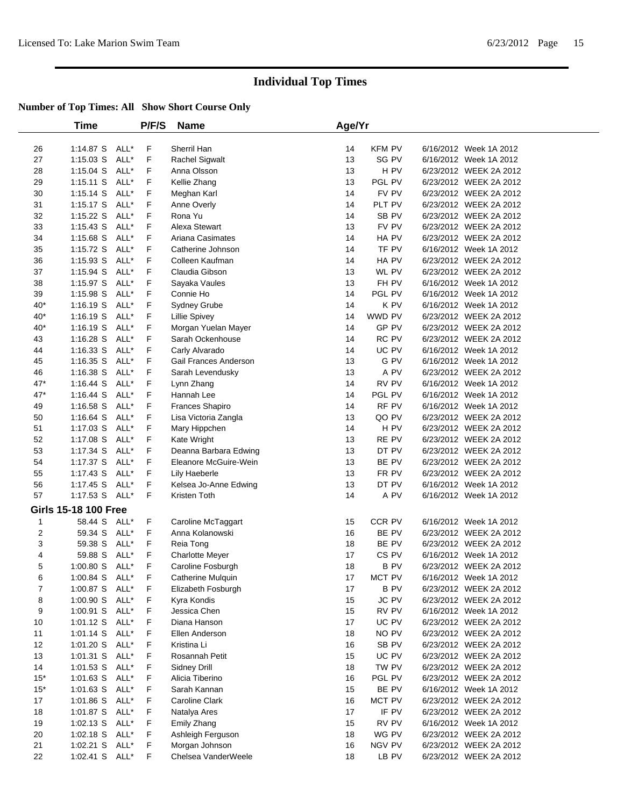|              | <b>Time</b>                      |      | P/F/S  | <b>Name</b>                 | Age/Yr   |                      |                                                  |  |
|--------------|----------------------------------|------|--------|-----------------------------|----------|----------------------|--------------------------------------------------|--|
| 26           | 1:14.87 S ALL*                   |      | F      | Sherril Han                 | 14       | <b>KFM PV</b>        | 6/16/2012 Week 1A 2012                           |  |
| 27           | $1:15.03$ S                      | ALL* | F      | Rachel Sigwalt              | 13       | SG PV                | 6/16/2012 Week 1A 2012                           |  |
| 28           | 1:15.04 S                        | ALL* | F      | Anna Olsson                 | 13       | H PV                 | 6/23/2012 WEEK 2A 2012                           |  |
| 29           | $1:15.11$ S                      | ALL* | F      | Kellie Zhang                | 13       | PGL PV               | 6/23/2012 WEEK 2A 2012                           |  |
| 30           | 1:15.14 S                        | ALL* | F      | Meghan Karl                 | 14       | FV PV                | 6/23/2012 WEEK 2A 2012                           |  |
| 31           | $1:15.17$ S                      | ALL* | F      | Anne Overly                 | 14       | PLT PV               | 6/23/2012 WEEK 2A 2012                           |  |
| 32           | $1:15.22$ S                      | ALL* | F      | Rona Yu                     | 14       | SB PV                | 6/23/2012 WEEK 2A 2012                           |  |
| 33           | 1:15.43 S                        | ALL* | F      | Alexa Stewart               | 13       | FV PV                | 6/23/2012 WEEK 2A 2012                           |  |
| 34           | 1:15.68 S                        | ALL* | F      | Ariana Casimates            | 14       | HA PV                | 6/23/2012 WEEK 2A 2012                           |  |
| 35           | 1:15.72 S                        | ALL* | F      | Catherine Johnson           | 14       | TF PV                | 6/16/2012 Week 1A 2012                           |  |
| 36           | 1:15.93 S                        | ALL* | F      | Colleen Kaufman             | 14       | HA PV                | 6/23/2012 WEEK 2A 2012                           |  |
| 37           | 1:15.94 S                        | ALL* | F      | Claudia Gibson              | 13       | WL PV                | 6/23/2012 WEEK 2A 2012                           |  |
| 38           | 1:15.97 S                        | ALL* | F      | Sayaka Vaules               | 13       | FH PV                | 6/16/2012 Week 1A 2012                           |  |
| 39           | 1:15.98 S                        | ALL* | F      | Connie Ho                   | 14       | PGL PV               | 6/16/2012 Week 1A 2012                           |  |
| $40*$        | $1:16.19$ S                      | ALL* | F      | Sydney Grube                | 14       | K PV                 | 6/16/2012 Week 1A 2012                           |  |
| $40*$        | $1:16.19$ S                      | ALL* | F      | Lillie Spivey               | 14       | WWD PV               | 6/23/2012 WEEK 2A 2012                           |  |
| $40*$        | $1:16.19$ S                      | ALL* | F      | Morgan Yuelan Mayer         | 14       | GP PV                | 6/23/2012 WEEK 2A 2012                           |  |
| 43           | $1:16.28$ S                      | ALL* | F      | Sarah Ockenhouse            | 14       | RC PV                | 6/23/2012 WEEK 2A 2012                           |  |
| 44           | $1:16.33$ S                      | ALL* | F      | Carly Alvarado              | 14       | UC PV                | 6/16/2012 Week 1A 2012                           |  |
| 45           | $1:16.35$ S                      | ALL* | F      | Gail Frances Anderson       | 13       | G PV                 | 6/16/2012 Week 1A 2012                           |  |
| 46           | 1:16.38 S                        | ALL* | F      | Sarah Levendusky            | 13       | A PV                 | 6/23/2012 WEEK 2A 2012                           |  |
| $47*$        | $1:16.44$ S                      | ALL* | F      | Lynn Zhang                  | 14       | RV PV                | 6/16/2012 Week 1A 2012                           |  |
| $47*$        | $1:16.44$ S                      | ALL* | F      | Hannah Lee                  | 14       | PGL PV               | 6/16/2012 Week 1A 2012                           |  |
| 49           | 1:16.58 S                        | ALL* | F      | <b>Frances Shapiro</b>      | 14       | RF PV                | 6/16/2012 Week 1A 2012                           |  |
| 50           | 1:16.64 S                        | ALL* | F      | Lisa Victoria Zangla        | 13       | QO PV                | 6/23/2012 WEEK 2A 2012                           |  |
| 51           | 1:17.03 S                        | ALL* | F      | Mary Hippchen               | 14       | H PV                 | 6/23/2012 WEEK 2A 2012                           |  |
| 52           | 1:17.08 S                        | ALL* | F      | Kate Wright                 | 13       | RE PV                | 6/23/2012 WEEK 2A 2012                           |  |
| 53           | 1:17.34 S                        | ALL* | F      | Deanna Barbara Edwing       | 13       | DT PV                | 6/23/2012 WEEK 2A 2012                           |  |
| 54           | 1:17.37 S                        | ALL* | F      | Eleanore McGuire-Wein       | 13       | BE PV                | 6/23/2012 WEEK 2A 2012                           |  |
| 55           | 1:17.43 S                        | ALL* | F      | Lily Haeberle               | 13       | FR PV                | 6/23/2012 WEEK 2A 2012                           |  |
| 56           | 1:17.45 S                        | ALL* | F      | Kelsea Jo-Anne Edwing       | 13       | DT PV                | 6/16/2012 Week 1A 2012                           |  |
| 57           | 1:17.53 S ALL*                   |      | F      | Kristen Toth                | 14       | A PV                 | 6/16/2012 Week 1A 2012                           |  |
|              | <b>Girls 15-18 100 Free</b>      |      |        |                             |          |                      |                                                  |  |
| $\mathbf{1}$ | 58.44 S ALL*                     |      | F.     | Caroline McTaggart          | 15       | CCR PV               | 6/16/2012 Week 1A 2012                           |  |
| 2            | 59.34 S                          | ALL* | F      | Anna Kolanowski             | 16       | BE PV                | 6/23/2012 WEEK 2A 2012                           |  |
| 3            | 59.38 S                          | ALL* | F      | Reia Tong                   | 18       | BE PV                | 6/23/2012 WEEK 2A 2012                           |  |
| 4            | 59.88 S                          | ALL* | F      | <b>Charlotte Meyer</b>      | 17       | CS <sub>PV</sub>     | 6/16/2012 Week 1A 2012                           |  |
| 5            | $1:00.80$ S                      | ALL* | F<br>F | Caroline Fosburgh           | 18<br>17 | <b>BPV</b><br>MCT PV | 6/23/2012 WEEK 2A 2012                           |  |
| 6            | 1:00.84 S ALL*<br>1:00.87 S ALL* |      |        | Catherine Mulquin           |          |                      | 6/16/2012 Week 1A 2012                           |  |
| 7            |                                  |      | F      | Elizabeth Fosburgh          | 17       | B PV                 | 6/23/2012 WEEK 2A 2012                           |  |
| 8            | 1:00.90 S ALL*<br>1:00.91 S ALL* |      | F      | Kyra Kondis<br>Jessica Chen | 15<br>15 | JC PV                | 6/23/2012 WEEK 2A 2012                           |  |
| 9            |                                  |      | F      | Diana Hanson                | 17       | RV PV                | 6/16/2012 Week 1A 2012                           |  |
| 10<br>11     | 1:01.12 S ALL*<br>$1:01.14$ S    | ALL* | F<br>F | Ellen Anderson              | 18       | UC PV<br>NO PV       | 6/23/2012 WEEK 2A 2012<br>6/23/2012 WEEK 2A 2012 |  |
| 12           | $1:01.20$ S                      | ALL* | F      | Kristina Li                 | 16       | SB PV                | 6/23/2012 WEEK 2A 2012                           |  |
|              | 1:01.31 S ALL*                   |      | F      | Rosannah Petit              | 15       | UC PV                | 6/23/2012 WEEK 2A 2012                           |  |
| 13<br>14     | $1:01.53$ S                      | ALL* | F      | <b>Sidney Drill</b>         | 18       | TW PV                | 6/23/2012 WEEK 2A 2012                           |  |
| $15*$        | 1:01.63 S ALL*                   |      | F      | Alicia Tiberino             | 16       | PGL PV               | 6/23/2012 WEEK 2A 2012                           |  |
| $15*$        | 1:01.63 S ALL*                   |      | F      | Sarah Kannan                | 15       | BE PV                | 6/16/2012 Week 1A 2012                           |  |
| 17           | $1:01.86$ S                      | ALL* | F      | Caroline Clark              | 16       | MCT PV               | 6/23/2012 WEEK 2A 2012                           |  |
| 18           | 1:01.87 S ALL*                   |      | F      | Natalya Ares                | 17       | IF PV                | 6/23/2012 WEEK 2A 2012                           |  |
| 19           | 1:02.13 S ALL*                   |      | F      | Emily Zhang                 | 15       | RV PV                | 6/16/2012 Week 1A 2012                           |  |
| 20           | $1:02.18$ S                      | ALL* | F      | Ashleigh Ferguson           | 18       | WG PV                | 6/23/2012 WEEK 2A 2012                           |  |
| 21           | $1:02.21$ S                      | ALL* | F      | Morgan Johnson              | 16       | NGV PV               | 6/23/2012 WEEK 2A 2012                           |  |
| 22           | 1:02.41 S ALL*                   |      | F      | Chelsea VanderWeele         | 18       | LB PV                | 6/23/2012 WEEK 2A 2012                           |  |
|              |                                  |      |        |                             |          |                      |                                                  |  |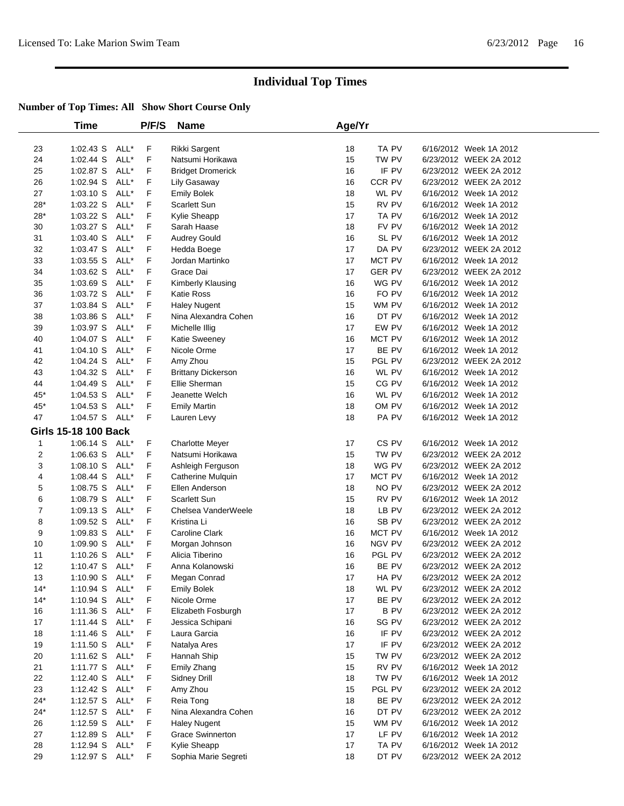|                | Time                        |      | P/F/S | <b>Name</b>               | Age/Yr |                  |                        |  |
|----------------|-----------------------------|------|-------|---------------------------|--------|------------------|------------------------|--|
| 23             | 1:02.43 S ALL*              |      | F     | Rikki Sargent             | 18     | TA PV            | 6/16/2012 Week 1A 2012 |  |
| 24             | $1:02.44$ S                 | ALL* | F     | Natsumi Horikawa          | 15     | TW PV            | 6/23/2012 WEEK 2A 2012 |  |
| 25             | 1:02.87 S                   | ALL* | F     | <b>Bridget Dromerick</b>  | 16     | IF PV            | 6/23/2012 WEEK 2A 2012 |  |
| 26             | $1:02.94$ S                 | ALL* | F     | Lily Gasaway              | 16     | CCR PV           | 6/23/2012 WEEK 2A 2012 |  |
| 27             | 1:03.10 S                   | ALL* | F     | <b>Emily Bolek</b>        | 18     | WL PV            | 6/16/2012 Week 1A 2012 |  |
| $28*$          | 1:03.22 S                   | ALL* | F     | Scarlett Sun              | 15     | RV PV            | 6/16/2012 Week 1A 2012 |  |
| $28*$          | 1:03.22 S ALL*              |      | F     | Kylie Sheapp              | 17     | TA PV            | 6/16/2012 Week 1A 2012 |  |
| 30             | $1:03.27$ S                 | ALL* | F     | Sarah Haase               | 18     | FV PV            | 6/16/2012 Week 1A 2012 |  |
| 31             | 1:03.40 S                   | ALL* | F     | <b>Audrey Gould</b>       | 16     | SL PV            | 6/16/2012 Week 1A 2012 |  |
| 32             | $1:03.47$ S                 | ALL* | F     | Hedda Boege               | 17     | DA PV            | 6/23/2012 WEEK 2A 2012 |  |
| 33             | $1:03.55$ S                 | ALL* | F     | Jordan Martinko           | 17     | MCT PV           | 6/16/2012 Week 1A 2012 |  |
| 34             | 1:03.62 S                   | ALL* | F     | Grace Dai                 | 17     | <b>GER PV</b>    | 6/23/2012 WEEK 2A 2012 |  |
| 35             | $1:03.69$ S                 | ALL* | F     | Kimberly Klausing         | 16     | WG PV            | 6/16/2012 Week 1A 2012 |  |
| 36             | $1:03.72$ S                 | ALL* | F     | <b>Katie Ross</b>         | 16     | FO PV            | 6/16/2012 Week 1A 2012 |  |
| 37             | 1:03.84 S                   | ALL* | F     | <b>Haley Nugent</b>       | 15     | WM PV            | 6/16/2012 Week 1A 2012 |  |
| 38             | 1:03.86 S                   | ALL* | F     | Nina Alexandra Cohen      | 16     | DT PV            | 6/16/2012 Week 1A 2012 |  |
| 39             | $1:03.97$ S                 | ALL* | F     | Michelle Illig            | 17     | EW PV            | 6/16/2012 Week 1A 2012 |  |
| 40             | $1:04.07$ S                 | ALL* | F     | Katie Sweeney             | 16     | MCT PV           | 6/16/2012 Week 1A 2012 |  |
| 41             | 1:04.10 S ALL*              |      | F     | Nicole Orme               | 17     | BE PV            | 6/16/2012 Week 1A 2012 |  |
| 42             | $1:04.24$ S                 | ALL* | F     | Amy Zhou                  | 15     | PGL PV           | 6/23/2012 WEEK 2A 2012 |  |
| 43             | $1:04.32$ S                 | ALL* | F     | <b>Brittany Dickerson</b> | 16     | WL PV            | 6/16/2012 Week 1A 2012 |  |
| 44             | 1:04.49 S                   | ALL* | F     | Ellie Sherman             | 15     | CG PV            | 6/16/2012 Week 1A 2012 |  |
| 45*            | 1:04.53 S                   | ALL* | F     | Jeanette Welch            | 16     | WL PV            | 6/16/2012 Week 1A 2012 |  |
| 45*            | $1:04.53$ S                 | ALL* | F     | <b>Emily Martin</b>       | 18     | OM PV            | 6/16/2012 Week 1A 2012 |  |
| 47             | 1:04.57 S ALL*              |      | F     | Lauren Levy               | 18     | PA PV            | 6/16/2012 Week 1A 2012 |  |
|                | <b>Girls 15-18 100 Back</b> |      |       |                           |        |                  |                        |  |
| 1              | $1:06.14$ S                 | ALL* | F     | <b>Charlotte Meyer</b>    | 17     | CS <sub>PV</sub> | 6/16/2012 Week 1A 2012 |  |
| $\overline{2}$ | $1:06.63$ S                 | ALL* | F     | Natsumi Horikawa          | 15     | TW PV            | 6/23/2012 WEEK 2A 2012 |  |
| 3              | 1:08.10 S                   | ALL* | F     | Ashleigh Ferguson         | 18     | WG PV            | 6/23/2012 WEEK 2A 2012 |  |
| 4              | $1:08.44$ S                 | ALL* | F     | Catherine Mulquin         | 17     | MCT PV           | 6/16/2012 Week 1A 2012 |  |
| 5              | 1:08.75 S                   | ALL* | F     | Ellen Anderson            | 18     | NO PV            | 6/23/2012 WEEK 2A 2012 |  |
| 6              | 1:08.79 S                   | ALL* | F     | Scarlett Sun              | 15     | RV PV            | 6/16/2012 Week 1A 2012 |  |
| $\overline{7}$ | 1:09.13 S                   | ALL* | F     | Chelsea VanderWeele       | 18     | LB PV            | 6/23/2012 WEEK 2A 2012 |  |
| 8              | 1:09.52 S                   | ALL* | F     | Kristina Li               | 16     | SB PV            | 6/23/2012 WEEK 2A 2012 |  |
| 9              | $1:09.83$ S                 | ALL* | F     | Caroline Clark            | 16     | MCT PV           | 6/16/2012 Week 1A 2012 |  |
| 10             | 1:09.90 S                   | ALL* | F     | Morgan Johnson            | 16     | NGV PV           | 6/23/2012 WEEK 2A 2012 |  |
| 11             | $1:10.26$ S                 | ALL* | F     | Alicia Tiberino           | 16     | PGL PV           | 6/23/2012 WEEK 2A 2012 |  |
| 12             | 1:10.47 S ALL*              |      | F     | Anna Kolanowski           | 16     | BE PV            | 6/23/2012 WEEK 2A 2012 |  |
| 13             | 1:10.90 S ALL*              |      | F     | Megan Conrad              | 17     | HA PV            | 6/23/2012 WEEK 2A 2012 |  |
| $14*$          | 1:10.94 S ALL*              |      | F     | <b>Emily Bolek</b>        | 18     | WL PV            | 6/23/2012 WEEK 2A 2012 |  |
| $14*$          | 1:10.94 S ALL*              |      | F     | Nicole Orme               | 17     | BE PV            | 6/23/2012 WEEK 2A 2012 |  |
| 16             | 1:11.36 S ALL*              |      | F     | Elizabeth Fosburgh        | 17     | B PV             | 6/23/2012 WEEK 2A 2012 |  |
| 17             | $1:11.44$ S                 | ALL* | F     | Jessica Schipani          | 16     | SG PV            | 6/23/2012 WEEK 2A 2012 |  |
| 18             | $1:11.46$ S                 | ALL* | F     | Laura Garcia              | 16     | IF PV            | 6/23/2012 WEEK 2A 2012 |  |
| 19             | 1:11.50 S                   | ALL* | F     | Natalya Ares              | 17     | IF PV            | 6/23/2012 WEEK 2A 2012 |  |
| 20             | 1:11.62 S                   | ALL* | F     | Hannah Ship               | 15     | TW PV            | 6/23/2012 WEEK 2A 2012 |  |
| 21             | 1:11.77 S ALL*              |      | F     | Emily Zhang               | 15     | RV PV            | 6/16/2012 Week 1A 2012 |  |
| 22             | 1:12.40 S                   | ALL* | F     | Sidney Drill              | 18     | TW PV            | 6/16/2012 Week 1A 2012 |  |
| 23             | 1:12.42 S                   | ALL* | F     | Amy Zhou                  | 15     | PGL PV           | 6/23/2012 WEEK 2A 2012 |  |
| $24*$          | 1:12.57 S ALL*              |      | F     | Reia Tong                 | 18     | BE PV            | 6/23/2012 WEEK 2A 2012 |  |
| $24*$          | 1:12.57 S ALL*              |      | F     | Nina Alexandra Cohen      | 16     | DT PV            | 6/23/2012 WEEK 2A 2012 |  |
| 26             | 1:12.59 S ALL*              |      | F     | <b>Haley Nugent</b>       | 15     | WM PV            | 6/16/2012 Week 1A 2012 |  |
| 27             | 1:12.89 S ALL*              |      | F     | <b>Grace Swinnerton</b>   | 17     | LF PV            | 6/16/2012 Week 1A 2012 |  |
| 28             | 1:12.94 $S$                 | ALL* | F.    | Kylie Sheapp              | 17     | TA PV            | 6/16/2012 Week 1A 2012 |  |
| 29             | 1:12.97 S ALL*              |      | F     | Sophia Marie Segreti      | 18     | DT PV            | 6/23/2012 WEEK 2A 2012 |  |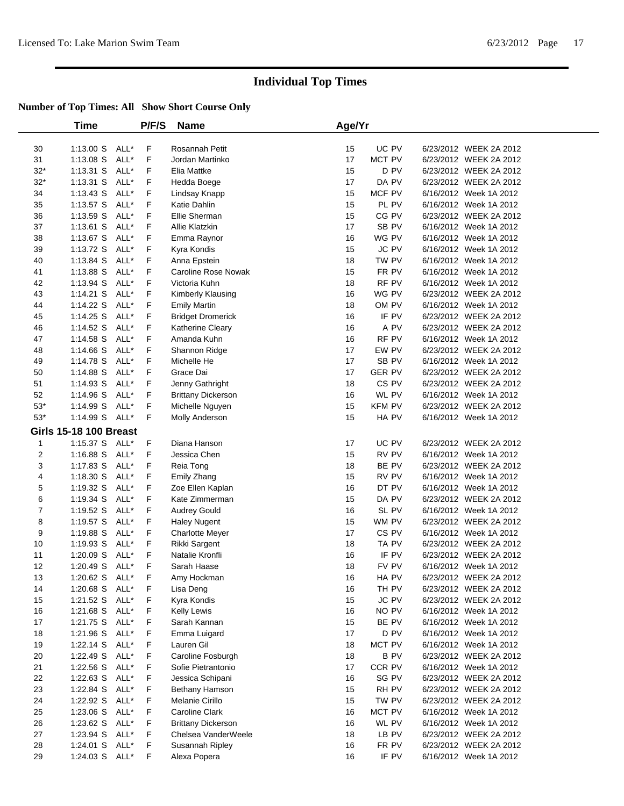|                | <b>Time</b>                   |      | P/F/S | <b>Name</b>                | Age/Yr |               |                        |  |
|----------------|-------------------------------|------|-------|----------------------------|--------|---------------|------------------------|--|
| 30             | 1:13.00 S ALL*                |      | F     | Rosannah Petit             | 15     | UC PV         | 6/23/2012 WEEK 2A 2012 |  |
| 31             | $1:13.08$ S                   | ALL* | F     | Jordan Martinko            | 17     | MCT PV        | 6/23/2012 WEEK 2A 2012 |  |
| $32*$          | $1:13.31$ S                   | ALL* | F     | Elia Mattke                | 15     | D PV          | 6/23/2012 WEEK 2A 2012 |  |
| $32*$          | $1:13.31$ S                   | ALL* | F     | Hedda Boege                | 17     | DA PV         | 6/23/2012 WEEK 2A 2012 |  |
| 34             | $1:13.43$ S                   | ALL* | F     | Lindsay Knapp              | 15     | MCF PV        | 6/16/2012 Week 1A 2012 |  |
| 35             | $1:13.57$ S                   | ALL* | F     | Katie Dahlin               | 15     | PL PV         | 6/16/2012 Week 1A 2012 |  |
| 36             | $1:13.59$ S                   | ALL* | F     | Ellie Sherman              | 15     | CG PV         | 6/23/2012 WEEK 2A 2012 |  |
| 37             | $1:13.61$ S                   | ALL* | F     | Allie Klatzkin             | 17     | SB PV         | 6/16/2012 Week 1A 2012 |  |
| 38             | $1:13.67$ S                   | ALL* | F     | Emma Raynor                | 16     | WG PV         | 6/16/2012 Week 1A 2012 |  |
| 39             | $1:13.72$ S                   | ALL* | F     | Kyra Kondis                | 15     | JC PV         | 6/16/2012 Week 1A 2012 |  |
| 40             | 1:13.84 S                     | ALL* | F     | Anna Epstein               | 18     | TW PV         | 6/16/2012 Week 1A 2012 |  |
| 41             | 1:13.88 S                     | ALL* | F     | <b>Caroline Rose Nowak</b> | 15     | FR PV         | 6/16/2012 Week 1A 2012 |  |
| 42             | $1:13.94$ S                   | ALL* | F     | Victoria Kuhn              | 18     | RF PV         | 6/16/2012 Week 1A 2012 |  |
| 43             | $1:14.21$ S                   | ALL* | F     | Kimberly Klausing          | 16     | WG PV         | 6/23/2012 WEEK 2A 2012 |  |
| 44             | 1:14.22 S                     | ALL* | F     | <b>Emily Martin</b>        | 18     | OM PV         | 6/16/2012 Week 1A 2012 |  |
| 45             | $1:14.25$ S                   | ALL* | F     | <b>Bridget Dromerick</b>   | 16     | IF PV         | 6/23/2012 WEEK 2A 2012 |  |
| 46             | 1:14.52 S                     | ALL* | F     | Katherine Cleary           | 16     | A PV          | 6/23/2012 WEEK 2A 2012 |  |
| 47             | 1:14.58 S                     | ALL* | F     | Amanda Kuhn                | 16     | RF PV         | 6/16/2012 Week 1A 2012 |  |
| 48             | $1:14.66$ S                   | ALL* | F     | Shannon Ridge              | 17     | EW PV         | 6/23/2012 WEEK 2A 2012 |  |
| 49             | 1:14.78 S                     | ALL* | F     | Michelle He                | 17     | SB PV         | 6/16/2012 Week 1A 2012 |  |
| 50             | 1:14.88 S                     | ALL* | F     | Grace Dai                  | 17     | <b>GER PV</b> | 6/23/2012 WEEK 2A 2012 |  |
| 51             | 1:14.93 S                     | ALL* | F     | Jenny Gathright            | 18     | CS PV         | 6/23/2012 WEEK 2A 2012 |  |
| 52             | 1:14.96 S                     | ALL* | F     | <b>Brittany Dickerson</b>  | 16     | WL PV         | 6/16/2012 Week 1A 2012 |  |
| $53*$          | 1:14.99 S                     | ALL* | F     | Michelle Nguyen            | 15     | <b>KFM PV</b> | 6/23/2012 WEEK 2A 2012 |  |
| $53^{\ast}$    | 1:14.99 S ALL*                |      | F     | Molly Anderson             | 15     | HA PV         | 6/16/2012 Week 1A 2012 |  |
|                | <b>Girls 15-18 100 Breast</b> |      |       |                            |        |               |                        |  |
| $\mathbf{1}$   | 1:15.37 S ALL*                |      | F     | Diana Hanson               | 17     | UC PV         | 6/23/2012 WEEK 2A 2012 |  |
| 2              | 1:16.88 S ALL*                |      | F     | Jessica Chen               | 15     | RV PV         | 6/16/2012 Week 1A 2012 |  |
| 3              | $1:17.83$ S                   | ALL* | F     | Reia Tong                  | 18     | BE PV         | 6/23/2012 WEEK 2A 2012 |  |
| 4              | $1:18.30$ S                   | ALL* | F     | Emily Zhang                | 15     | RV PV         | 6/16/2012 Week 1A 2012 |  |
| 5              | 1:19.32 S ALL*                |      | F     | Zoe Ellen Kaplan           | 16     | DT PV         | 6/16/2012 Week 1A 2012 |  |
| 6              | $1:19.34$ S                   | ALL* | F     | Kate Zimmerman             | 15     | DA PV         | 6/23/2012 WEEK 2A 2012 |  |
| $\overline{7}$ | $1:19.52$ S                   | ALL* | F     | <b>Audrey Gould</b>        | 16     | SL PV         | 6/16/2012 Week 1A 2012 |  |
| 8              | 1:19.57 $S$                   | ALL* | F     | <b>Haley Nugent</b>        | 15     | WM PV         | 6/23/2012 WEEK 2A 2012 |  |
| 9              | 1:19.88 S                     | ALL* | F     | <b>Charlotte Meyer</b>     | 17     | CS PV         | 6/16/2012 Week 1A 2012 |  |
| 10             | $1:19.93$ S                   | ALL* | F     | Rikki Sargent              | 18     | TA PV         | 6/23/2012 WEEK 2A 2012 |  |
| 11             | 1:20.09 S                     | ALL* | F     | Natalie Kronfli            | 16     | IF PV         | 6/23/2012 WEEK 2A 2012 |  |
| 12             | 1:20.49 S ALL*                |      | F     | Sarah Haase                | 18     | FV PV         | 6/16/2012 Week 1A 2012 |  |
| 13             | 1:20.62 S ALL*                |      | F     | Amy Hockman                | $16\,$ | HA PV         | 6/23/2012 WEEK 2A 2012 |  |
| 14             | 1:20.68 S ALL*                |      | F     | Lisa Deng                  | 16     | TH PV         | 6/23/2012 WEEK 2A 2012 |  |
| 15             | 1:21.52 S ALL*                |      | F     | Kyra Kondis                | 15     | JC PV         | 6/23/2012 WEEK 2A 2012 |  |
| 16             | 1:21.68 S ALL*                |      | F     | <b>Kelly Lewis</b>         | 16     | NO PV         | 6/16/2012 Week 1A 2012 |  |
| 17             | 1:21.75 S ALL*                |      | F     | Sarah Kannan               | 15     | BE PV         | 6/16/2012 Week 1A 2012 |  |
| 18             | 1:21.96 S                     | ALL* | F     | Emma Luigard               | 17     | D PV          | 6/16/2012 Week 1A 2012 |  |
| 19             | $1:22.14$ S                   | ALL* | F     | Lauren Gil                 | 18     | MCT PV        | 6/16/2012 Week 1A 2012 |  |
| 20             | 1:22.49 S                     | ALL* | F.    | Caroline Fosburgh          | 18     | <b>BPV</b>    | 6/23/2012 WEEK 2A 2012 |  |
| 21             | $1:22.56$ S                   | ALL* | F     | Sofie Pietrantonio         | 17     | CCR PV        | 6/16/2012 Week 1A 2012 |  |
| 22             | 1:22.63 S                     | ALL* | F     | Jessica Schipani           | 16     | SG PV         | 6/23/2012 WEEK 2A 2012 |  |
| 23             | 1:22.84 S ALL*                |      | F     | Bethany Hamson             | 15     | RH PV         | 6/23/2012 WEEK 2A 2012 |  |
| 24             | 1:22.92 S                     | ALL* | F     | Melanie Cirillo            | 15     | TW PV         | 6/23/2012 WEEK 2A 2012 |  |
| 25             | 1:23.06 S                     | ALL* | F     | Caroline Clark             | 16     | MCT PV        | 6/16/2012 Week 1A 2012 |  |
| 26             | 1:23.62 S ALL*                |      | F     | <b>Brittany Dickerson</b>  | 16     | WL PV         | 6/16/2012 Week 1A 2012 |  |
| 27             | 1:23.94 S                     | ALL* | F     | Chelsea VanderWeele        | 18     | LB PV         | 6/23/2012 WEEK 2A 2012 |  |
| 28             | $1:24.01$ S                   | ALL* | F     | Susannah Ripley            | 16     | FR PV         | 6/23/2012 WEEK 2A 2012 |  |
| 29             | 1:24.03 S ALL*                |      | F     | Alexa Popera               | 16     | IF PV         | 6/16/2012 Week 1A 2012 |  |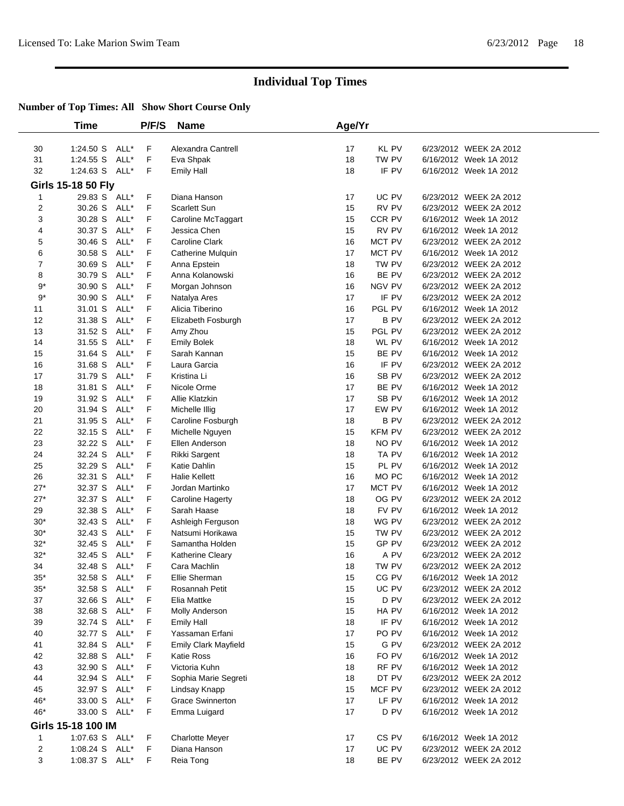|        | <b>Time</b>                          |      | P/F/S   | <b>Name</b>                            | Age/Yr   |               |                                                  |
|--------|--------------------------------------|------|---------|----------------------------------------|----------|---------------|--------------------------------------------------|
|        |                                      |      |         |                                        |          |               |                                                  |
| 30     | 1:24.50 S                            | ALL* | F       | Alexandra Cantrell                     | 17       | <b>KL PV</b>  | 6/23/2012 WEEK 2A 2012                           |
| 31     | 1:24.55 S                            | ALL* | F       | Eva Shpak                              | 18       | TW PV         | 6/16/2012 Week 1A 2012                           |
| 32     | 1:24.63 S ALL*                       |      | F       | <b>Emily Hall</b>                      | 18       | IF PV         | 6/16/2012 Week 1A 2012                           |
|        | <b>Girls 15-18 50 Fly</b>            |      |         |                                        |          |               |                                                  |
| 1      | 29.83 S ALL*                         |      | F       | Diana Hanson                           | 17       | UC PV         | 6/23/2012 WEEK 2A 2012                           |
| 2      | 30.26 S                              | ALL* | F       | <b>Scarlett Sun</b>                    | 15       | RV PV         | 6/23/2012 WEEK 2A 2012                           |
| 3      | 30.28 S                              | ALL* | F       | Caroline McTaggart                     | 15       | CCR PV        | 6/16/2012 Week 1A 2012                           |
| 4      | 30.37 S                              | ALL* | F       | Jessica Chen                           | 15       | RV PV         | 6/16/2012 Week 1A 2012                           |
| 5      | 30.46 S                              | ALL* | F       | <b>Caroline Clark</b>                  | 16       | MCT PV        | 6/23/2012 WEEK 2A 2012                           |
| 6      | 30.58 S                              | ALL* | F       | Catherine Mulquin                      | 17       | MCT PV        | 6/16/2012 Week 1A 2012                           |
| 7      | 30.69 S                              | ALL* | F       | Anna Epstein                           | 18       | TW PV         | 6/23/2012 WEEK 2A 2012                           |
| 8      | 30.79 S                              | ALL* | F       | Anna Kolanowski                        | 16       | BE PV         | 6/23/2012 WEEK 2A 2012                           |
| $9*$   | 30.90 S                              | ALL* | F       | Morgan Johnson                         | 16       | NGV PV        | 6/23/2012 WEEK 2A 2012                           |
| $9*$   | 30.90 S                              | ALL* | F       | Natalya Ares                           | 17       | IF PV         | 6/23/2012 WEEK 2A 2012                           |
| 11     | 31.01 S                              | ALL* | F       | Alicia Tiberino                        | 16       | PGL PV        | 6/16/2012 Week 1A 2012                           |
| 12     | 31.38 S                              | ALL* | F       | Elizabeth Fosburgh                     | 17       | <b>BPV</b>    | 6/23/2012 WEEK 2A 2012                           |
| 13     | 31.52 S                              | ALL* | F       | Amy Zhou                               | 15       | PGL PV        | 6/23/2012 WEEK 2A 2012                           |
| 14     | 31.55 S                              | ALL* | F       | <b>Emily Bolek</b>                     | 18       | WL PV         | 6/16/2012 Week 1A 2012                           |
| 15     | 31.64 S                              | ALL* | F       | Sarah Kannan                           | 15       | BE PV         | 6/16/2012 Week 1A 2012                           |
| 16     | 31.68 S                              | ALL* | F       | Laura Garcia                           | 16       | IF PV         | 6/23/2012 WEEK 2A 2012                           |
| 17     | 31.79 S                              | ALL* | F       | Kristina Li                            | 16       | SB PV         | 6/23/2012 WEEK 2A 2012                           |
| 18     | 31.81 S                              | ALL* | F       | Nicole Orme                            | 17       | BE PV         | 6/16/2012 Week 1A 2012                           |
| 19     | 31.92 S                              | ALL* | F       | Allie Klatzkin                         | 17       | SB PV         | 6/16/2012 Week 1A 2012                           |
| 20     | 31.94 S                              | ALL* | F       | Michelle Illig                         | 17       | EW PV         | 6/16/2012 Week 1A 2012                           |
| 21     | 31.95 S                              | ALL* | F       | Caroline Fosburgh                      | 18       | <b>BPV</b>    | 6/23/2012 WEEK 2A 2012                           |
| 22     | 32.15 S                              | ALL* | F       | Michelle Nguyen                        | 15       | <b>KFM PV</b> | 6/23/2012 WEEK 2A 2012                           |
| 23     | 32.22 S                              | ALL* | F       | Ellen Anderson                         | 18       | NO PV         | 6/16/2012 Week 1A 2012                           |
| 24     | 32.24 S                              | ALL* | F       | <b>Rikki Sargent</b>                   | 18       | TA PV         | 6/16/2012 Week 1A 2012                           |
| 25     | 32.29 S                              | ALL* | F       | Katie Dahlin                           | 15       | PL PV         | 6/16/2012 Week 1A 2012                           |
| 26     | 32.31 S                              | ALL* | F       | <b>Halie Kellett</b>                   | 16       | MO PC         | 6/16/2012 Week 1A 2012                           |
| $27*$  | 32.37 S                              | ALL* | F       | Jordan Martinko                        | 17       | MCT PV        | 6/16/2012 Week 1A 2012                           |
| $27*$  | 32.37 S                              | ALL* | F       | Caroline Hagerty                       | 18       | OG PV         | 6/23/2012 WEEK 2A 2012                           |
| 29     | 32.38 S                              | ALL* | F       | Sarah Haase                            | 18       | FV PV         | 6/16/2012 Week 1A 2012                           |
| $30*$  | 32.43 S                              | ALL* | F       | Ashleigh Ferguson                      | 18       | WG PV         | 6/23/2012 WEEK 2A 2012                           |
| $30*$  | 32.43 S                              | ALL* | F       | Natsumi Horikawa                       | 15       | TW PV         | 6/23/2012 WEEK 2A 2012                           |
| $32*$  | 32.45 S                              | ALL* | F       | Samantha Holden                        | 15       | GP PV         | 6/23/2012 WEEK 2A 2012                           |
| $32*$  | 32.45 S                              | ALL* | F       | Katherine Cleary                       | 16       | A PV          | 6/23/2012 WEEK 2A 2012                           |
| 34     | 32.48 S ALL*                         |      | F       | Cara Machlin                           | 18       | TW PV         | 6/23/2012 WEEK 2A 2012                           |
| $35*$  | 32.58 S ALL*                         |      | F       | Ellie Sherman                          | 15       | CG PV         | 6/16/2012 Week 1A 2012                           |
| $35*$  | 32.58 S ALL*                         |      | F       | Rosannah Petit                         | 15       | UC PV         | 6/23/2012 WEEK 2A 2012                           |
| 37     | 32.66 S ALL*                         |      | F       | Elia Mattke                            | 15       | D PV          | 6/23/2012 WEEK 2A 2012                           |
| 38     | 32.68 S ALL*                         |      | F       | Molly Anderson                         | 15       | HA PV         | 6/16/2012 Week 1A 2012                           |
| 39     | 32.74 S ALL*                         |      | F       | <b>Emily Hall</b>                      | 18       | IF PV         | 6/16/2012 Week 1A 2012                           |
| 40     | 32.77 S ALL*                         |      | F       | Yassaman Erfani                        | 17       | PO PV         | 6/16/2012 Week 1A 2012                           |
| 41     | 32.84 S ALL*                         |      | F       | <b>Emily Clark Mayfield</b>            | 15       | G PV          | 6/23/2012 WEEK 2A 2012                           |
| 42     | 32.88 S ALL*                         |      | F       | Katie Ross                             | 16       | FO PV         | 6/16/2012 Week 1A 2012                           |
| 43     | 32.90 S                              | ALL* | F       | Victoria Kuhn                          | 18       | RF PV         | 6/16/2012 Week 1A 2012                           |
| 44     | 32.94 S ALL*                         |      | F       | Sophia Marie Segreti                   | 18       | DT PV         | 6/23/2012 WEEK 2A 2012                           |
| 45     | 32.97 S ALL*                         |      | F       | Lindsay Knapp                          | 15       | MCF PV        | 6/23/2012 WEEK 2A 2012                           |
| 46*    | 33.00 S ALL*                         |      | F       | <b>Grace Swinnerton</b>                | 17       | LF PV         | 6/16/2012 Week 1A 2012                           |
| 46*    | 33.00 S ALL*                         |      | F       | Emma Luigard                           | 17       | D PV          | 6/16/2012 Week 1A 2012                           |
|        |                                      |      |         |                                        |          |               |                                                  |
| 1      | Girls 15-18 100 IM<br>1:07.63 S ALL* |      |         |                                        |          | CS PV         | 6/16/2012 Week 1A 2012                           |
|        | 1:08.24 S ALL*                       |      | F       | <b>Charlotte Meyer</b><br>Diana Hanson | 17       | UC PV         |                                                  |
| 2<br>3 |                                      |      | F<br>F. |                                        | 17<br>18 | BE PV         | 6/23/2012 WEEK 2A 2012<br>6/23/2012 WEEK 2A 2012 |
|        | 1:08.37 S ALL*                       |      |         | Reia Tong                              |          |               |                                                  |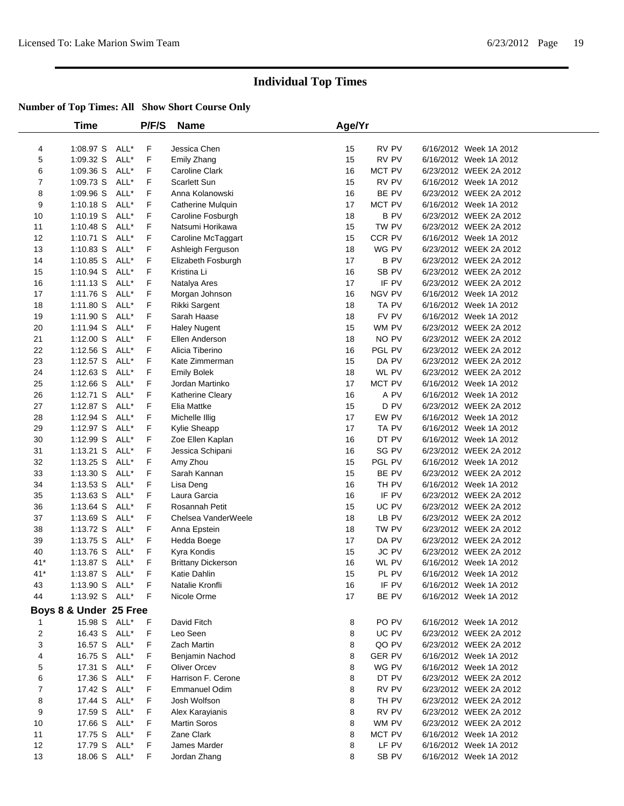|       | Time                   |      | P/F/S | <b>Name</b>               | Age/Yr |               |                        |  |
|-------|------------------------|------|-------|---------------------------|--------|---------------|------------------------|--|
| 4     | 1:08.97 S              | ALL* | F     | Jessica Chen              | 15     | RV PV         | 6/16/2012 Week 1A 2012 |  |
| 5     | 1:09.32 S              | ALL* | F     | Emily Zhang               | 15     | RV PV         | 6/16/2012 Week 1A 2012 |  |
| 6     | 1:09.36 S              | ALL* | F     | Caroline Clark            | 16     | MCT PV        | 6/23/2012 WEEK 2A 2012 |  |
| 7     | 1:09.73 S              | ALL* | F     | Scarlett Sun              | 15     | RV PV         | 6/16/2012 Week 1A 2012 |  |
| 8     | $1:09.96$ S            | ALL* | F     | Anna Kolanowski           | 16     | BE PV         | 6/23/2012 WEEK 2A 2012 |  |
| 9     | $1:10.18$ S            | ALL* | F     | Catherine Mulquin         | 17     | MCT PV        | 6/16/2012 Week 1A 2012 |  |
| 10    | $1:10.19$ S            | ALL* | F     | Caroline Fosburgh         | 18     | <b>BPV</b>    | 6/23/2012 WEEK 2A 2012 |  |
| 11    | 1:10.48 S              | ALL* | F     | Natsumi Horikawa          | 15     | TW PV         | 6/23/2012 WEEK 2A 2012 |  |
| 12    | $1:10.71$ S            | ALL* | F     | Caroline McTaggart        | 15     | CCR PV        | 6/16/2012 Week 1A 2012 |  |
| 13    | $1:10.83$ S            | ALL* | F     | Ashleigh Ferguson         | 18     | WG PV         | 6/23/2012 WEEK 2A 2012 |  |
| 14    | 1:10.85 S              | ALL* | F     | Elizabeth Fosburgh        | 17     | <b>BPV</b>    | 6/23/2012 WEEK 2A 2012 |  |
| 15    | 1:10.94 S              | ALL* | F     | Kristina Li               | 16     | SB PV         | 6/23/2012 WEEK 2A 2012 |  |
| 16    | $1:11.13$ S            | ALL* | F     | Natalya Ares              | 17     | IF PV         | 6/23/2012 WEEK 2A 2012 |  |
| 17    | 1:11.76 S              | ALL* | F     | Morgan Johnson            | 16     | NGV PV        | 6/16/2012 Week 1A 2012 |  |
| 18    | 1:11.80 S              | ALL* | F     | Rikki Sargent             | 18     | TA PV         | 6/16/2012 Week 1A 2012 |  |
| 19    | 1:11.90 S              | ALL* | F     | Sarah Haase               | 18     | FV PV         | 6/16/2012 Week 1A 2012 |  |
| 20    | 1:11.94 S              | ALL* | F     | <b>Haley Nugent</b>       | 15     | WM PV         | 6/23/2012 WEEK 2A 2012 |  |
| 21    | 1:12.00 S              | ALL* | F     | Ellen Anderson            | 18     | NO PV         | 6/23/2012 WEEK 2A 2012 |  |
| 22    | $1:12.56$ S            | ALL* | F     | Alicia Tiberino           | 16     | PGL PV        | 6/23/2012 WEEK 2A 2012 |  |
| 23    | 1:12.57 S              | ALL* | F     | Kate Zimmerman            | 15     | DA PV         | 6/23/2012 WEEK 2A 2012 |  |
| 24    | $1:12.63$ S            | ALL* | F     | <b>Emily Bolek</b>        | 18     | WL PV         | 6/23/2012 WEEK 2A 2012 |  |
| 25    | $1:12.66$ S            | ALL* | F     | Jordan Martinko           | 17     | MCT PV        | 6/16/2012 Week 1A 2012 |  |
| 26    | $1:12.71$ S            | ALL* | F     | Katherine Cleary          | 16     | A PV          | 6/16/2012 Week 1A 2012 |  |
| 27    | 1:12.87 S              | ALL* | F     | Elia Mattke               | 15     | D PV          | 6/23/2012 WEEK 2A 2012 |  |
| 28    | 1:12.94 S              | ALL* | F     | Michelle Illig            | 17     | EW PV         | 6/16/2012 Week 1A 2012 |  |
| 29    | 1:12.97 S              | ALL* | F     | Kylie Sheapp              | 17     | TA PV         | 6/16/2012 Week 1A 2012 |  |
| 30    | 1:12.99 S              | ALL* | F     | Zoe Ellen Kaplan          | 16     | DT PV         | 6/16/2012 Week 1A 2012 |  |
| 31    | $1:13.21$ S            | ALL* | F     | Jessica Schipani          | 16     | SG PV         | 6/23/2012 WEEK 2A 2012 |  |
| 32    | 1:13.25 S              | ALL* | F     | Amy Zhou                  | 15     | PGL PV        | 6/16/2012 Week 1A 2012 |  |
| 33    | $1:13.30$ S            | ALL* | F     | Sarah Kannan              | 15     | BE PV         | 6/23/2012 WEEK 2A 2012 |  |
| 34    | $1:13.53$ S            | ALL* | F     | Lisa Deng                 | 16     | TH PV         | 6/16/2012 Week 1A 2012 |  |
| 35    | 1:13.63 S              | ALL* | F     | Laura Garcia              | 16     | IF PV         | 6/23/2012 WEEK 2A 2012 |  |
| 36    | $1:13.64$ S            | ALL* | F     | Rosannah Petit            | 15     | UC PV         | 6/23/2012 WEEK 2A 2012 |  |
| 37    | 1:13.69 S              | ALL* | F     | Chelsea VanderWeele       | 18     | LB PV         | 6/23/2012 WEEK 2A 2012 |  |
| 38    | 1:13.72 S              | ALL* | F     | Anna Epstein              | 18     | TW PV         | 6/23/2012 WEEK 2A 2012 |  |
| 39    | 1:13.75 S              | ALL* | F     | Hedda Boege               | 17     | DA PV         | 6/23/2012 WEEK 2A 2012 |  |
| 40    | 1:13.76 S              | ALL* | F     | Kyra Kondis               | 15     | JC PV         | 6/23/2012 WEEK 2A 2012 |  |
| $41*$ | 1:13.87 S              | ALL* | F     | <b>Brittany Dickerson</b> | 16     | WL PV         | 6/16/2012 Week 1A 2012 |  |
| $41*$ | 1:13.87 S              | ALL* | F     | Katie Dahlin              | 15     | PL PV         | 6/16/2012 Week 1A 2012 |  |
| 43    | 1:13.90 S ALL*         |      | F     | Natalie Kronfli           | 16     | IF PV         | 6/16/2012 Week 1A 2012 |  |
| 44    | 1:13.92 S ALL*         |      | F     | Nicole Orme               | 17     | BE PV         | 6/16/2012 Week 1A 2012 |  |
|       | Boys 8 & Under 25 Free |      |       |                           |        |               |                        |  |
| 1     | 15.98 S ALL*           |      | F     | David Fitch               | 8      | PO PV         | 6/16/2012 Week 1A 2012 |  |
| 2     | 16.43 S                | ALL* | F     | Leo Seen                  | 8      | UC PV         | 6/23/2012 WEEK 2A 2012 |  |
| 3     | 16.57 S                | ALL* | F     | Zach Martin               | 8      | QO PV         | 6/23/2012 WEEK 2A 2012 |  |
| 4     | 16.75 S                | ALL* | F     | Benjamin Nachod           | 8      | <b>GER PV</b> | 6/16/2012 Week 1A 2012 |  |
| 5     | 17.31 S                | ALL* | F     | Oliver Orcev              | 8      | WG PV         | 6/16/2012 Week 1A 2012 |  |
| 6     | 17.36 S                | ALL* | F     | Harrison F. Cerone        | 8      | DT PV         | 6/23/2012 WEEK 2A 2012 |  |
| 7     | 17.42 S                | ALL* | F     | <b>Emmanuel Odim</b>      | 8      | RV PV         | 6/23/2012 WEEK 2A 2012 |  |
| 8     | 17.44 S                | ALL* | F     | Josh Wolfson              | 8      | TH PV         | 6/23/2012 WEEK 2A 2012 |  |
| 9     | 17.59 S                | ALL* | F     | Alex Karayianis           | 8      | RV PV         | 6/23/2012 WEEK 2A 2012 |  |
| 10    | 17.66 S                | ALL* | F     | <b>Martin Soros</b>       | 8      | WM PV         | 6/23/2012 WEEK 2A 2012 |  |
| 11    | 17.75 S                | ALL* | F     | Zane Clark                | 8      | MCT PV        | 6/16/2012 Week 1A 2012 |  |
| 12    | 17.79 S                | ALL* | F     | James Marder              | 8      | LF PV         | 6/16/2012 Week 1A 2012 |  |
| 13    | 18.06 S ALL*           |      | F.    | Jordan Zhang              | 8      | SB PV         | 6/16/2012 Week 1A 2012 |  |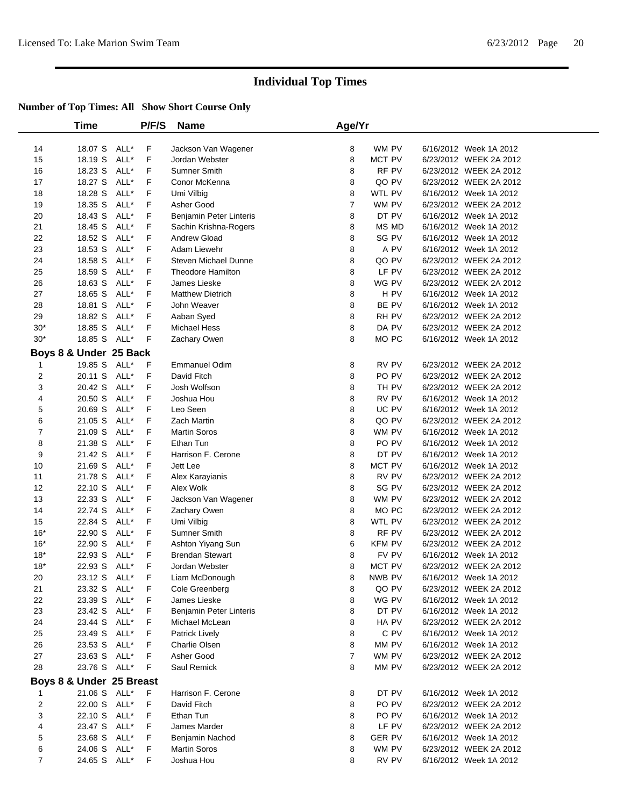|                | Time                     |      | P/F/S | <b>Name</b>                 | Age/Yr         |                  |                                                  |  |
|----------------|--------------------------|------|-------|-----------------------------|----------------|------------------|--------------------------------------------------|--|
|                |                          |      |       |                             |                |                  |                                                  |  |
| 14             | 18.07 S                  | ALL* | F     | Jackson Van Wagener         | 8              | WM PV            | 6/16/2012 Week 1A 2012                           |  |
| 15             | 18.19 S                  | ALL* | F     | Jordan Webster              | 8              | MCT PV           | 6/23/2012 WEEK 2A 2012                           |  |
| 16             | 18.23 S                  | ALL* | F     | Sumner Smith                | 8              | RF PV            | 6/23/2012 WEEK 2A 2012                           |  |
| 17             | 18.27 S                  | ALL* | F     | Conor McKenna               | 8              | QO PV            | 6/23/2012 WEEK 2A 2012                           |  |
| 18             | 18.28 S                  | ALL* | F     | Umi Vilbig                  | 8              | WTL PV           | 6/16/2012 Week 1A 2012                           |  |
| 19             | 18.35 S                  | ALL* | F     | Asher Good                  | 7              | WM PV            | 6/23/2012 WEEK 2A 2012                           |  |
| 20             | 18.43 S                  | ALL* | F     | Benjamin Peter Linteris     | 8              | DT PV            | 6/16/2012 Week 1A 2012                           |  |
| 21             | 18.45 S                  | ALL* | F     | Sachin Krishna-Rogers       | 8              | MS MD            | 6/16/2012 Week 1A 2012                           |  |
| 22             | 18.52 S                  | ALL* | F     | Andrew Gload                | 8              | SG PV            | 6/16/2012 Week 1A 2012                           |  |
| 23             | 18.53 S                  | ALL* | F     | Adam Liewehr                | 8              | A PV             | 6/16/2012 Week 1A 2012                           |  |
| 24             | 18.58 S                  | ALL* | F     | <b>Steven Michael Dunne</b> | 8              | QO PV            | 6/23/2012 WEEK 2A 2012                           |  |
| 25             | 18.59 S                  | ALL* | F     | <b>Theodore Hamilton</b>    | 8              | LF PV            | 6/23/2012 WEEK 2A 2012                           |  |
| 26             | 18.63 S                  | ALL* | F     | James Lieske                | 8              | WG PV            | 6/23/2012 WEEK 2A 2012                           |  |
| 27             | 18.65 S                  | ALL* | F     | <b>Matthew Dietrich</b>     | 8              | H PV             | 6/16/2012 Week 1A 2012                           |  |
| 28             | 18.81 S                  | ALL* | F     | John Weaver                 | 8              | BE PV            | 6/16/2012 Week 1A 2012                           |  |
| 29             | 18.82 S                  | ALL* | F     | Aaban Syed                  | 8              | RH PV            | 6/23/2012 WEEK 2A 2012                           |  |
| $30*$          | 18.85 S                  | ALL* | F     | Michael Hess                | 8              | DA PV            | 6/23/2012 WEEK 2A 2012                           |  |
| $30*$          | 18.85 S                  | ALL* | F     | Zachary Owen                | 8              | MO PC            | 6/16/2012 Week 1A 2012                           |  |
|                | Boys 8 & Under 25 Back   |      |       |                             |                |                  |                                                  |  |
| 1              | 19.85 S                  | ALL* | F     | <b>Emmanuel Odim</b>        | 8              | RV PV            | 6/23/2012 WEEK 2A 2012                           |  |
| 2              | 20.11 S                  | ALL* | F     | David Fitch                 | 8              | PO <sub>PV</sub> | 6/23/2012 WEEK 2A 2012                           |  |
| 3              | 20.42 S                  | ALL* | F     | Josh Wolfson                | 8              | TH PV            | 6/23/2012 WEEK 2A 2012                           |  |
| 4              | 20.50 S                  | ALL* | F     | Joshua Hou                  | 8              | RV PV            | 6/16/2012 Week 1A 2012                           |  |
| 5              | 20.69 S                  | ALL* | F     | Leo Seen                    | 8              | UC PV            | 6/16/2012 Week 1A 2012                           |  |
| 6              | 21.05 S                  | ALL* | F     | Zach Martin                 | 8              | QO PV            | 6/23/2012 WEEK 2A 2012                           |  |
| 7              | 21.09 S                  | ALL* | F     | <b>Martin Soros</b>         | 8              | WM PV            | 6/16/2012 Week 1A 2012                           |  |
| 8              | 21.38 S                  | ALL* | F     | Ethan Tun                   | 8              | PO PV            | 6/16/2012 Week 1A 2012                           |  |
| 9              | 21.42 S                  | ALL* | F     | Harrison F. Cerone          | 8              | DT PV            | 6/16/2012 Week 1A 2012                           |  |
| 10             | 21.69 S                  | ALL* | F     | Jett Lee                    | 8              | MCT PV           | 6/16/2012 Week 1A 2012                           |  |
| 11             | 21.78 S                  | ALL* | F     | Alex Karayianis             | 8              | RV PV            | 6/23/2012 WEEK 2A 2012                           |  |
| 12             | 22.10 S                  | ALL* | F     | Alex Wolk                   | 8              | SG PV            | 6/23/2012 WEEK 2A 2012                           |  |
| 13             | 22.33 S                  | ALL* | F     | Jackson Van Wagener         | 8              | WM PV            | 6/23/2012 WEEK 2A 2012                           |  |
| 14             | 22.74 S                  | ALL* | F     | Zachary Owen                | 8              | MO PC            | 6/23/2012 WEEK 2A 2012                           |  |
| 15             | 22.84 S                  | ALL* | F     | Umi Vilbig                  | 8              | WTL PV           | 6/23/2012 WEEK 2A 2012                           |  |
| $16*$          | 22.90 S                  | ALL* | F     | Sumner Smith                | 8              | RF PV            | 6/23/2012 WEEK 2A 2012                           |  |
| $16*$          | 22.90 S                  | ALL* | F     | Ashton Yiyang Sun           | 6              | KFM PV           | 6/23/2012 WEEK 2A 2012                           |  |
| $18*$          | 22.93 S                  | ALL* | F     | <b>Brendan Stewart</b>      | 8              | FV PV            | 6/16/2012 Week 1A 2012                           |  |
| $18*$          | 22.93 S                  | ALL* | F     | Jordan Webster              | 8              | MCT PV           | 6/23/2012 WEEK 2A 2012                           |  |
| 20             | 23.12 S ALL*             |      | F     | Liam McDonough              | 8              | NWB PV           | 6/16/2012 Week 1A 2012                           |  |
| 21             | 23.32 S ALL*             |      | F.    | Cole Greenberg              | 8              | QO PV            | 6/23/2012 WEEK 2A 2012                           |  |
| 22             | 23.39 S ALL*             |      | F.    | James Lieske                | 8              | WG PV            | 6/16/2012 Week 1A 2012                           |  |
| 23             | 23.42 S ALL*             |      | F     | Benjamin Peter Linteris     | 8              | DT PV            | 6/16/2012 Week 1A 2012                           |  |
| 24             | 23.44 S ALL*             |      | F.    | Michael McLean              | 8              | HA PV            | 6/23/2012 WEEK 2A 2012                           |  |
| 25             | 23.49 S ALL*             |      | F     | <b>Patrick Lively</b>       | 8              | C PV             | 6/16/2012 Week 1A 2012                           |  |
| 26             | 23.53 S ALL*             |      | F     | Charlie Olsen               | 8              | MM PV            | 6/16/2012 Week 1A 2012                           |  |
| 27             | 23.63 S ALL*             |      | F     | Asher Good                  | $\overline{7}$ | WM PV            | 6/23/2012 WEEK 2A 2012                           |  |
| 28             | 23.76 S ALL*             |      | F     | Saul Remick                 | 8              | MM PV            | 6/23/2012 WEEK 2A 2012                           |  |
|                |                          |      |       |                             |                |                  |                                                  |  |
|                | Boys 8 & Under 25 Breast |      |       |                             |                |                  |                                                  |  |
| $\mathbf 1$    | 21.06 S ALL*             |      | F.    | Harrison F. Cerone          | 8              | DT PV            | 6/16/2012 Week 1A 2012<br>6/23/2012 WEEK 2A 2012 |  |
| 2              | 22.00 S ALL*             |      | F     | David Fitch                 | 8              | PO PV            |                                                  |  |
| 3              | 22.10 S ALL*             |      | F     | Ethan Tun                   | 8              | PO PV            | 6/16/2012 Week 1A 2012                           |  |
| 4              | 23.47 S ALL*             |      | F     | James Marder                | 8              | LF PV            | 6/23/2012 WEEK 2A 2012                           |  |
| 5              | 23.68 S ALL*             |      | F.    | Benjamin Nachod             | 8              | <b>GER PV</b>    | 6/16/2012 Week 1A 2012                           |  |
| 6              | 24.06 S ALL*             |      | F.    | <b>Martin Soros</b>         | 8              | WM PV            | 6/23/2012 WEEK 2A 2012                           |  |
| $\overline{7}$ | 24.65 S ALL*             |      | F     | Joshua Hou                  | 8              | RV PV            | 6/16/2012 Week 1A 2012                           |  |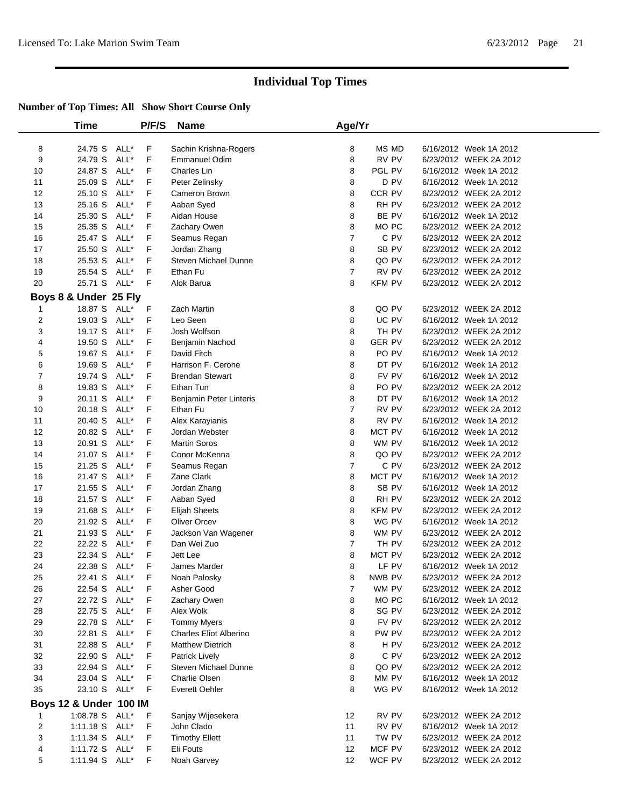|                         | Time                   |              | P/F/S | <b>Name</b>                       | Age/Yr         |                  |                        |  |
|-------------------------|------------------------|--------------|-------|-----------------------------------|----------------|------------------|------------------------|--|
|                         |                        |              |       |                                   |                |                  |                        |  |
| 8                       | 24.75 S                | ALL*         | F     | Sachin Krishna-Rogers             | 8              | MS MD            | 6/16/2012 Week 1A 2012 |  |
| 9                       | 24.79 S                | ALL*         | F     | <b>Emmanuel Odim</b>              | 8              | RV PV            | 6/23/2012 WEEK 2A 2012 |  |
| 10                      | 24.87 S                | ALL*         | F     | Charles Lin                       | 8              | PGL PV           | 6/16/2012 Week 1A 2012 |  |
| 11                      | 25.09 S                | ALL*         | F     | Peter Zelinsky                    | 8              | D PV             | 6/16/2012 Week 1A 2012 |  |
| 12                      | 25.10 S                | ALL*         | F     | Cameron Brown                     | 8              | CCR PV           | 6/23/2012 WEEK 2A 2012 |  |
| 13                      | 25.16 S                | ALL*         | F     | Aaban Syed                        | 8              | RH PV            | 6/23/2012 WEEK 2A 2012 |  |
| 14                      | 25.30 S                | ALL*         | F     | Aidan House                       | 8              | BE PV            | 6/16/2012 Week 1A 2012 |  |
| 15                      | 25.35 S                | ALL*         | F     | Zachary Owen                      | 8              | MO PC            | 6/23/2012 WEEK 2A 2012 |  |
| 16                      | 25.47 S                | ALL*         | F     | Seamus Regan                      | $\overline{7}$ | C PV             | 6/23/2012 WEEK 2A 2012 |  |
| 17                      | 25.50 S                | ALL*         | F     | Jordan Zhang                      | 8              | SB <sub>PV</sub> | 6/23/2012 WEEK 2A 2012 |  |
| 18                      | 25.53 S                | ALL*         | F     | <b>Steven Michael Dunne</b>       | 8              | QO PV            | 6/23/2012 WEEK 2A 2012 |  |
| 19                      | 25.54 S                | ALL*         | F     | Ethan Fu                          | 7              | RV PV            | 6/23/2012 WEEK 2A 2012 |  |
| 20                      | 25.71 S                | ALL*         | F     | Alok Barua                        | 8              | <b>KFM PV</b>    | 6/23/2012 WEEK 2A 2012 |  |
|                         | Boys 8 & Under 25 Fly  |              |       |                                   |                |                  |                        |  |
| 1                       | 18.87 S                | ALL*         | F     | Zach Martin                       | 8              | QO PV            | 6/23/2012 WEEK 2A 2012 |  |
| 2                       | 19.03 S                | ALL*         | F     | Leo Seen                          | 8              | UC PV            | 6/16/2012 Week 1A 2012 |  |
| 3                       | 19.17 S                | ALL*         | F     | Josh Wolfson                      | 8              | TH PV            | 6/23/2012 WEEK 2A 2012 |  |
| 4                       | 19.50 S                | ALL*         | F     | Benjamin Nachod                   | 8              | <b>GER PV</b>    | 6/23/2012 WEEK 2A 2012 |  |
| 5                       | 19.67 S                | ALL*         | F     | David Fitch                       | 8              | PO PV            | 6/16/2012 Week 1A 2012 |  |
| 6                       | 19.69 S                | ALL*         | F     | Harrison F. Cerone                | 8              | DT PV            | 6/16/2012 Week 1A 2012 |  |
| 7                       | 19.74 S                | ALL*         | F     | <b>Brendan Stewart</b>            | 8              | FV PV            | 6/16/2012 Week 1A 2012 |  |
| 8                       | 19.83 S                | ALL*         | F     | Ethan Tun                         | 8              | PO PV            | 6/23/2012 WEEK 2A 2012 |  |
| 9                       | 20.11 S                | ALL*         | F     | Benjamin Peter Linteris           | 8              | DT PV            | 6/16/2012 Week 1A 2012 |  |
| 10                      | 20.18 S                | ALL*         | F     | Ethan Fu                          | 7              | RV PV            | 6/23/2012 WEEK 2A 2012 |  |
| 11                      | 20.40 S                | ALL*         | F     |                                   | 8              | RV PV            | 6/16/2012 Week 1A 2012 |  |
| 12                      | 20.82 S                | ALL*         | F     | Alex Karayianis<br>Jordan Webster | 8              | MCT PV           | 6/16/2012 Week 1A 2012 |  |
| 13                      | 20.91 S                | ALL*         | F     | <b>Martin Soros</b>               | 8              | WM PV            | 6/16/2012 Week 1A 2012 |  |
| 14                      |                        | ALL*         | F     |                                   |                |                  | 6/23/2012 WEEK 2A 2012 |  |
|                         | 21.07 S                |              | F     | Conor McKenna                     | 8              | QO PV            |                        |  |
| 15<br>16                | 21.25 S                | ALL*<br>ALL* | F     | Seamus Regan                      | 7              | C PV             | 6/23/2012 WEEK 2A 2012 |  |
|                         | 21.47 S                |              |       | Zane Clark                        | 8              | MCT PV           | 6/16/2012 Week 1A 2012 |  |
| 17                      | 21.55 S                | ALL*         | F     | Jordan Zhang                      | 8              | SB PV            | 6/16/2012 Week 1A 2012 |  |
| 18                      | 21.57 S                | ALL*         | F     | Aaban Syed                        | 8              | RH PV            | 6/23/2012 WEEK 2A 2012 |  |
| 19                      | 21.68 S                | ALL*         | F     | <b>Elijah Sheets</b>              | 8              | <b>KFM PV</b>    | 6/23/2012 WEEK 2A 2012 |  |
| 20                      | 21.92 S                | ALL*         | F     | <b>Oliver Orcev</b>               | 8              | WG PV            | 6/16/2012 Week 1A 2012 |  |
| 21                      | 21.93 S                | ALL*         | F     | Jackson Van Wagener               | 8              | WM PV            | 6/23/2012 WEEK 2A 2012 |  |
| 22                      | 22.22 S                | ALL*         | F     | Dan Wei Zuo                       | 7              | TH PV            | 6/23/2012 WEEK 2A 2012 |  |
| 23                      | 22.34 S                | ALL*         | F     | Jett Lee                          | 8              | MCT PV           | 6/23/2012 WEEK 2A 2012 |  |
| 24                      | 22.38 S                | ALL*         | F     | James Marder                      | 8              | LF PV            | 6/16/2012 Week 1A 2012 |  |
| 25                      | 22.41 S ALL*           |              | F     | Noah Palosky                      | 8              | NWB PV           | 6/23/2012 WEEK 2A 2012 |  |
| 26                      | 22.54 S ALL*           |              | F     | Asher Good                        | 7              | WM PV            | 6/23/2012 WEEK 2A 2012 |  |
| 27                      | 22.72 S                | ALL*         | F     | Zachary Owen                      | 8              | MO <sub>PC</sub> | 6/16/2012 Week 1A 2012 |  |
| 28                      | 22.75 S                | ALL*         | F     | Alex Wolk                         | 8              | SG PV            | 6/23/2012 WEEK 2A 2012 |  |
| 29                      | 22.78 S                | ALL*         | F     | <b>Tommy Myers</b>                | 8              | FV PV            | 6/23/2012 WEEK 2A 2012 |  |
| 30                      | 22.81 S                | ALL*         | F     | <b>Charles Eliot Alberino</b>     | 8              | PW PV            | 6/23/2012 WEEK 2A 2012 |  |
| 31                      | 22.88 S                | ALL*         | F     | <b>Matthew Dietrich</b>           | 8              | H PV             | 6/23/2012 WEEK 2A 2012 |  |
| 32                      | 22.90 S                | ALL*         | F     | Patrick Lively                    | 8              | C PV             | 6/23/2012 WEEK 2A 2012 |  |
| 33                      | 22.94 S                | ALL*         | F     | Steven Michael Dunne              | 8              | QO PV            | 6/23/2012 WEEK 2A 2012 |  |
| 34                      | 23.04 S                | ALL*         | F     | Charlie Olsen                     | 8              | MM PV            | 6/16/2012 Week 1A 2012 |  |
| 35                      | 23.10 S                | ALL*         | F     | Everett Oehler                    | 8              | WG PV            | 6/16/2012 Week 1A 2012 |  |
|                         | Boys 12 & Under 100 IM |              |       |                                   |                |                  |                        |  |
| 1                       | 1:08.78 S              | ALL*         | F     | Sanjay Wijesekera                 | 12             | RV PV            | 6/23/2012 WEEK 2A 2012 |  |
| $\overline{\mathbf{c}}$ | $1:11.18$ S            | ALL*         | F     | John Clado                        | 11             | RV PV            | 6/16/2012 Week 1A 2012 |  |
| 3                       | 1:11.34 S ALL*         |              | F     | <b>Timothy Ellett</b>             | 11             | TW PV            | 6/23/2012 WEEK 2A 2012 |  |
| 4                       | 1:11.72 S              | ALL*         | F     | Eli Fouts                         | 12             | MCF PV           | 6/23/2012 WEEK 2A 2012 |  |
| 5                       | 1:11.94 S ALL*         |              | F     | Noah Garvey                       | 12             | WCF PV           | 6/23/2012 WEEK 2A 2012 |  |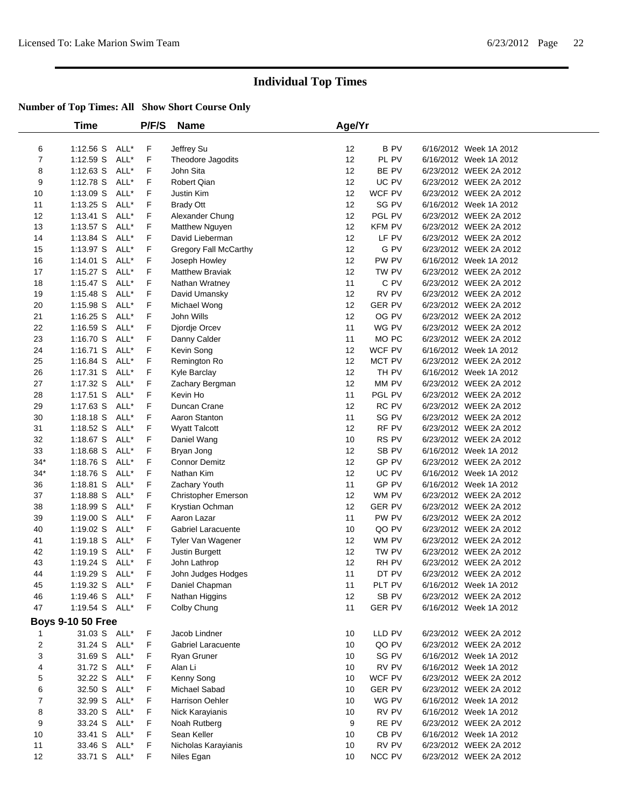|                | Time                     |      | P/F/S | <b>Name</b>            | Age/Yr |                  |                        |
|----------------|--------------------------|------|-------|------------------------|--------|------------------|------------------------|
| 6              | 1:12.56 S                | ALL* | F     | Jeffrey Su             | 12     | <b>BPV</b>       | 6/16/2012 Week 1A 2012 |
| $\overline{7}$ | $1:12.59$ S              | ALL* | F     | Theodore Jagodits      | 12     | PL PV            | 6/16/2012 Week 1A 2012 |
| 8              | $1:12.63$ S              | ALL* | F     | John Sita              | 12     | BE PV            | 6/23/2012 WEEK 2A 2012 |
| 9              | 1:12.78 S                | ALL* | F     | <b>Robert Qian</b>     | 12     | UC PV            | 6/23/2012 WEEK 2A 2012 |
| 10             | $1:13.09$ S              | ALL* | F     | Justin Kim             | 12     | WCF PV           | 6/23/2012 WEEK 2A 2012 |
| 11             | $1:13.25$ S              | ALL* | F     | <b>Brady Ott</b>       | 12     | SG PV            | 6/16/2012 Week 1A 2012 |
| 12             | $1:13.41$ S              | ALL* | F     | Alexander Chung        | 12     | PGL PV           | 6/23/2012 WEEK 2A 2012 |
| 13             | $1:13.57$ S              | ALL* | F     | Matthew Nguyen         | 12     | KFM PV           | 6/23/2012 WEEK 2A 2012 |
| 14             | 1:13.84 S                | ALL* | F     | David Lieberman        | 12     | LF PV            | 6/23/2012 WEEK 2A 2012 |
| 15             | 1:13.97 S                | ALL* | F     | Gregory Fall McCarthy  | 12     | G PV             | 6/23/2012 WEEK 2A 2012 |
| 16             | $1:14.01$ S              | ALL* | F     | Joseph Howley          | 12     | PW PV            | 6/16/2012 Week 1A 2012 |
| 17             | $1:15.27$ S              | ALL* | F     | <b>Matthew Braviak</b> | 12     | TW PV            | 6/23/2012 WEEK 2A 2012 |
| 18             | $1:15.47$ S              | ALL* | F     | Nathan Wratney         | 11     | C PV             | 6/23/2012 WEEK 2A 2012 |
| 19             | $1:15.48$ S              | ALL* | F     | David Umansky          | 12     | RV PV            | 6/23/2012 WEEK 2A 2012 |
| 20             | 1:15.98 S                | ALL* | F     | Michael Wong           | 12     | <b>GER PV</b>    | 6/23/2012 WEEK 2A 2012 |
| 21             | $1:16.25$ S              | ALL* | F     | John Wills             | 12     | OG PV            | 6/23/2012 WEEK 2A 2012 |
| 22             | $1:16.59$ S              | ALL* | F     | Djordje Orcev          | 11     | WG PV            | 6/23/2012 WEEK 2A 2012 |
| 23             | 1:16.70 S                | ALL* | F     | Danny Calder           | 11     | MO PC            | 6/23/2012 WEEK 2A 2012 |
| 24             | $1:16.71$ S              | ALL* | F     | Kevin Song             | 12     | WCF PV           | 6/16/2012 Week 1A 2012 |
| 25             | 1:16.84 S                | ALL* | F     | Remington Ro           | 12     | MCT PV           | 6/23/2012 WEEK 2A 2012 |
| 26             | 1:17.31 S                | ALL* | F     | Kyle Barclay           | 12     | TH PV            | 6/16/2012 Week 1A 2012 |
| 27             | 1:17.32 S                | ALL* | F     | Zachary Bergman        | 12     | MM PV            | 6/23/2012 WEEK 2A 2012 |
| 28             | $1:17.51$ S              | ALL* | F     | Kevin Ho               | 11     | PGL PV           | 6/23/2012 WEEK 2A 2012 |
| 29             | 1:17.63 S                | ALL* | F     | Duncan Crane           | 12     | RC PV            | 6/23/2012 WEEK 2A 2012 |
| 30             | $1:18.18$ S              | ALL* | F     | Aaron Stanton          | 11     | SG PV            | 6/23/2012 WEEK 2A 2012 |
| 31             | 1:18.52 S                | ALL* | F     | <b>Wyatt Talcott</b>   | 12     | RF PV            | 6/23/2012 WEEK 2A 2012 |
| 32             | 1:18.67 S                | ALL* | F     | Daniel Wang            | 10     | RS PV            | 6/23/2012 WEEK 2A 2012 |
| 33             | 1:18.68 S                | ALL* | F     | Bryan Jong             | 12     | SB PV            | 6/16/2012 Week 1A 2012 |
| $34*$          | 1:18.76 S                | ALL* | F     | <b>Connor Demitz</b>   | 12     | GP PV            | 6/23/2012 WEEK 2A 2012 |
| $34*$          | 1:18.76 S                | ALL* | F     | Nathan Kim             | 12     | UC PV            | 6/16/2012 Week 1A 2012 |
| 36             | 1:18.81 S                | ALL* | F     | Zachary Youth          | 11     | GP PV            | 6/16/2012 Week 1A 2012 |
| 37             | 1:18.88 S                | ALL* | F     | Christopher Emerson    | 12     | WM PV            | 6/23/2012 WEEK 2A 2012 |
| 38             | 1:18.99 S                | ALL* | F     | Krystian Ochman        | 12     | <b>GER PV</b>    | 6/23/2012 WEEK 2A 2012 |
| 39             | 1:19.00 S                | ALL* | F     | Aaron Lazar            | 11     | PW PV            | 6/23/2012 WEEK 2A 2012 |
| 40             | 1:19.02 S                | ALL* | F     | Gabriel Laracuente     | 10     | QO PV            | 6/23/2012 WEEK 2A 2012 |
| 41             | 1:19.18 S                | ALL* | F     | Tyler Van Wagener      | 12     | WM PV            | 6/23/2012 WEEK 2A 2012 |
| 42             | 1:19.19 S                | ALL* | F     | Justin Burgett         | 12     | TW PV            | 6/23/2012 WEEK 2A 2012 |
| 43             | 1:19.24 S                | ALL* | F     | John Lathrop           | 12     | RH PV            | 6/23/2012 WEEK 2A 2012 |
| 44             | 1:19.29 S                | ALL* | F     | John Judges Hodges     | 11     | DT PV            | 6/23/2012 WEEK 2A 2012 |
| 45             | 1:19.32 S                | ALL* | F     | Daniel Chapman         | 11     | PLT PV           | 6/16/2012 Week 1A 2012 |
| 46             | 1:19.46 S                | ALL* | F     | Nathan Higgins         | 12     | SB <sub>PV</sub> | 6/23/2012 WEEK 2A 2012 |
| 47             | 1:19.54 S ALL*           |      | F     | Colby Chung            | 11     | <b>GER PV</b>    | 6/16/2012 Week 1A 2012 |
|                | <b>Boys 9-10 50 Free</b> |      |       |                        |        |                  |                        |
| 1              | 31.03 S ALL*             |      | F     | Jacob Lindner          | 10     | LLD PV           | 6/23/2012 WEEK 2A 2012 |
| $\overline{c}$ | 31.24 S                  | ALL* | F     | Gabriel Laracuente     | 10     | QO PV            | 6/23/2012 WEEK 2A 2012 |
| 3              | 31.69 S                  | ALL* | F     | Ryan Gruner            | 10     | SG PV            | 6/16/2012 Week 1A 2012 |
| 4              | 31.72 S                  | ALL* | F     | Alan Li                | 10     | RV PV            | 6/16/2012 Week 1A 2012 |
| 5              | 32.22 S                  | ALL* | F     | Kenny Song             | 10     | WCF PV           | 6/23/2012 WEEK 2A 2012 |
| 6              | 32.50 S                  | ALL* | F     | Michael Sabad          | 10     | <b>GER PV</b>    | 6/23/2012 WEEK 2A 2012 |
| $\overline{7}$ | 32.99 S                  | ALL* | F     | Harrison Oehler        | 10     | WG PV            | 6/16/2012 Week 1A 2012 |
| 8              | 33.20 S                  | ALL* | F     | Nick Karayianis        | 10     | RV PV            | 6/16/2012 Week 1A 2012 |
| 9              | 33.24 S                  | ALL* | F     | Noah Rutberg           | 9      | RE PV            | 6/23/2012 WEEK 2A 2012 |
| 10             | 33.41 S                  | ALL* | F     | Sean Keller            | 10     | CB PV            | 6/16/2012 Week 1A 2012 |
| 11             | 33.46 S                  | ALL* | F     | Nicholas Karayianis    | 10     | RV PV            | 6/23/2012 WEEK 2A 2012 |
| 12             | 33.71 S ALL*             |      | F     | Niles Egan             | 10     | <b>NCC PV</b>    | 6/23/2012 WEEK 2A 2012 |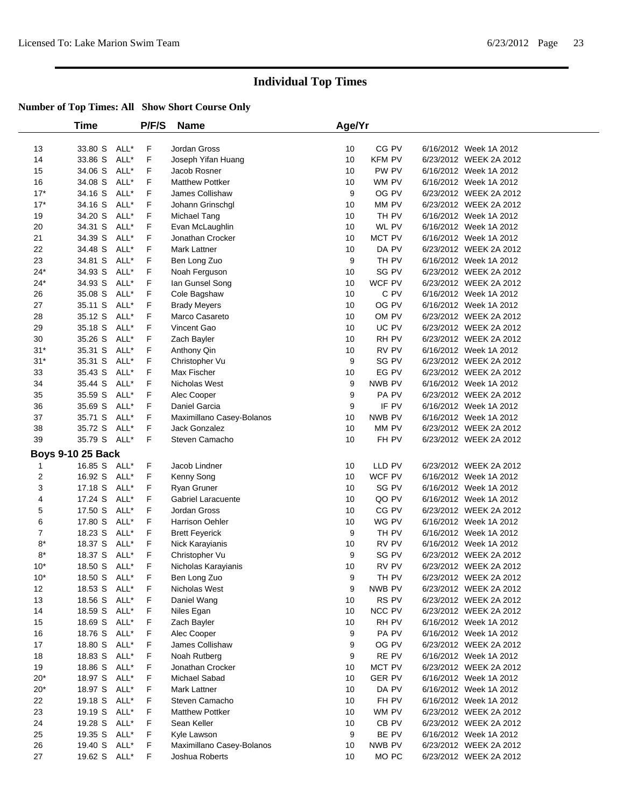|                | Time                         |      | P/F/S   | <b>Name</b>                | Age/Yr  |                |                                                  |  |
|----------------|------------------------------|------|---------|----------------------------|---------|----------------|--------------------------------------------------|--|
| 13             | 33.80 S ALL*                 |      | F       | Jordan Gross               | 10      | CG PV          | 6/16/2012 Week 1A 2012                           |  |
| 14             | 33.86 S                      | ALL* | F       | Joseph Yifan Huang         | 10      | <b>KFM PV</b>  | 6/23/2012 WEEK 2A 2012                           |  |
| 15             | 34.06 S                      | ALL* | F       | Jacob Rosner               | 10      | PW PV          | 6/16/2012 Week 1A 2012                           |  |
| 16             | 34.08 S                      | ALL* | F       | <b>Matthew Pottker</b>     | 10      | WM PV          | 6/16/2012 Week 1A 2012                           |  |
| $17*$          | 34.16 S                      | ALL* | F       | James Collishaw            | 9       | OG PV          | 6/23/2012 WEEK 2A 2012                           |  |
| $17*$          | 34.16 S                      | ALL* | F       | Johann Grinschgl           | 10      | MM PV          | 6/23/2012 WEEK 2A 2012                           |  |
| 19             | 34.20 S                      | ALL* | F       | Michael Tang               | 10      | TH PV          | 6/16/2012 Week 1A 2012                           |  |
| 20             | 34.31 S                      | ALL* | F       | Evan McLaughlin            | 10      | WL PV          | 6/16/2012 Week 1A 2012                           |  |
| 21             | 34.39 S                      | ALL* | F       | Jonathan Crocker           | 10      | MCT PV         | 6/16/2012 Week 1A 2012                           |  |
| 22             | 34.48 S                      | ALL* | F       | Mark Lattner               | 10      | DA PV          | 6/23/2012 WEEK 2A 2012                           |  |
| 23             | 34.81 S                      | ALL* | F       | Ben Long Zuo               | 9       | TH PV          | 6/16/2012 Week 1A 2012                           |  |
| $24*$          | 34.93 S                      | ALL* | F       | Noah Ferguson              | 10      | SG PV          | 6/23/2012 WEEK 2A 2012                           |  |
| $24*$          | 34.93 S                      | ALL* | F       | lan Gunsel Song            | 10      | WCF PV         | 6/23/2012 WEEK 2A 2012                           |  |
| 26             | 35.08 S                      | ALL* | F       | Cole Bagshaw               | 10      | C PV           | 6/16/2012 Week 1A 2012                           |  |
| 27             | 35.11 S                      | ALL* | F       | <b>Brady Meyers</b>        | 10      | OG PV          | 6/16/2012 Week 1A 2012                           |  |
| 28             | 35.12 S                      | ALL* | F       | Marco Casareto             | 10      | OM PV          | 6/23/2012 WEEK 2A 2012                           |  |
| 29             | 35.18 S                      | ALL* | F       | Vincent Gao                | 10      | UC PV          | 6/23/2012 WEEK 2A 2012                           |  |
| 30             | 35.26 S                      | ALL* | F       | Zach Bayler                | 10      | RH PV          | 6/23/2012 WEEK 2A 2012                           |  |
| $31*$          | 35.31 S                      | ALL* | F       | Anthony Qin                | 10      | RV PV          | 6/16/2012 Week 1A 2012                           |  |
| $31*$          | 35.31 S                      | ALL* | F       | Christopher Vu             | 9       | SG PV          | 6/23/2012 WEEK 2A 2012                           |  |
| 33             | 35.43 S                      | ALL* | F       | Max Fischer                | 10      | EG PV          | 6/23/2012 WEEK 2A 2012                           |  |
| 34             | 35.44 S                      | ALL* | F       | Nicholas West              | 9       | NWB PV         | 6/16/2012 Week 1A 2012                           |  |
| 35             | 35.59 S                      | ALL* | F       | Alec Cooper                | 9       | PA PV          | 6/23/2012 WEEK 2A 2012                           |  |
| 36             | 35.69 S                      | ALL* | F       | Daniel Garcia              | 9       | IF PV          | 6/16/2012 Week 1A 2012                           |  |
| 37             | 35.71 S                      | ALL* | F       | Maximillano Casey-Bolanos  | 10      | NWB PV         | 6/16/2012 Week 1A 2012                           |  |
| 38             | 35.72 S                      | ALL* | F       | Jack Gonzalez              | 10      | MM PV          | 6/23/2012 WEEK 2A 2012                           |  |
| 39             | 35.79 S                      | ALL* | F       | Steven Camacho             | 10      | FH PV          | 6/23/2012 WEEK 2A 2012                           |  |
|                | <b>Boys 9-10 25 Back</b>     |      |         |                            |         |                |                                                  |  |
| 1              | 16.85 S                      | ALL* | F       | Jacob Lindner              | 10      | LLD PV         | 6/23/2012 WEEK 2A 2012                           |  |
| $\overline{c}$ | 16.92 S                      | ALL* | F       | Kenny Song                 | 10      | WCF PV         | 6/16/2012 Week 1A 2012                           |  |
| 3              | 17.18 S                      | ALL* | F       | Ryan Gruner                | 10      | SG PV          | 6/16/2012 Week 1A 2012                           |  |
| 4              | 17.24 S                      | ALL* | F       | Gabriel Laracuente         | 10      | QO PV          | 6/16/2012 Week 1A 2012                           |  |
| 5              | 17.50 S                      | ALL* | F       | Jordan Gross               | 10      | CG PV          | 6/23/2012 WEEK 2A 2012                           |  |
| 6              | 17.80 S                      | ALL* | F       | <b>Harrison Oehler</b>     | 10      | WG PV          | 6/16/2012 Week 1A 2012                           |  |
| $\overline{7}$ | 18.23 S                      | ALL* | F       | <b>Brett Feyerick</b>      | 9       | TH PV          | 6/16/2012 Week 1A 2012                           |  |
| $8*$           | 18.37 S                      | ALL* | F       | Nick Karayianis            | 10      | RV PV          | 6/16/2012 Week 1A 2012                           |  |
| $8*$           | 18.37 S                      | ALL* | F       | Christopher Vu             | 9       | SG PV          | 6/23/2012 WEEK 2A 2012                           |  |
| $10*$          | 18.50 S                      | ALL* | F       | Nicholas Karayianis        | 10      | RV PV          | 6/23/2012 WEEK 2A 2012                           |  |
| $10*$          | 18.50 S ALL*                 |      | F       | Ben Long Zuo               | 9       | TH PV          | 6/23/2012 WEEK 2A 2012<br>6/23/2012 WEEK 2A 2012 |  |
| 12             | 18.53 S ALL*<br>18.56 S ALL* |      | F       | Nicholas West              | 9       | NWB PV         |                                                  |  |
| 13             |                              |      | F       | Daniel Wang<br>Niles Egan  | 10      | RS PV          | 6/23/2012 WEEK 2A 2012                           |  |
| 14             | 18.59 S ALL*                 |      | F<br>F  |                            | 10      | NCC PV         | 6/23/2012 WEEK 2A 2012                           |  |
| 15             | 18.69 S ALL*<br>18.76 S ALL* |      | F       | Zach Bayler<br>Alec Cooper | 10<br>9 | RH PV<br>PA PV | 6/16/2012 Week 1A 2012<br>6/16/2012 Week 1A 2012 |  |
| 16<br>17       | 18.80 S ALL*                 |      | F       | James Collishaw            | 9       | OG PV          | 6/23/2012 WEEK 2A 2012                           |  |
| 18             | 18.83 S                      | ALL* |         | Noah Rutberg               | 9       | RE PV          | 6/16/2012 Week 1A 2012                           |  |
| 19             | 18.86 S                      | ALL* | F.<br>F | Jonathan Crocker           | 10      | MCT PV         | 6/23/2012 WEEK 2A 2012                           |  |
| $20*$          | 18.97 S                      | ALL* | F       | Michael Sabad              | 10      | <b>GER PV</b>  | 6/16/2012 Week 1A 2012                           |  |
| $20*$          | 18.97 S                      | ALL* | F       | Mark Lattner               | 10      | DA PV          | 6/16/2012 Week 1A 2012                           |  |
| 22             | 19.18 S                      | ALL* | F       | Steven Camacho             | 10      | FH PV          | 6/16/2012 Week 1A 2012                           |  |
| 23             | 19.19 S ALL*                 |      | F       | <b>Matthew Pottker</b>     | 10      | WM PV          | 6/23/2012 WEEK 2A 2012                           |  |
| 24             | 19.28 S ALL*                 |      | F       | Sean Keller                | 10      | CB PV          | 6/23/2012 WEEK 2A 2012                           |  |
| 25             | 19.35 S ALL*                 |      | F       | Kyle Lawson                | 9       | BE PV          | 6/16/2012 Week 1A 2012                           |  |
| 26             | 19.40 S ALL*                 |      | F.      | Maximillano Casey-Bolanos  | 10      | NWB PV         | 6/23/2012 WEEK 2A 2012                           |  |
| 27             | 19.62 S ALL*                 |      | F       | Joshua Roberts             | 10      | MO PC          | 6/23/2012 WEEK 2A 2012                           |  |
|                |                              |      |         |                            |         |                |                                                  |  |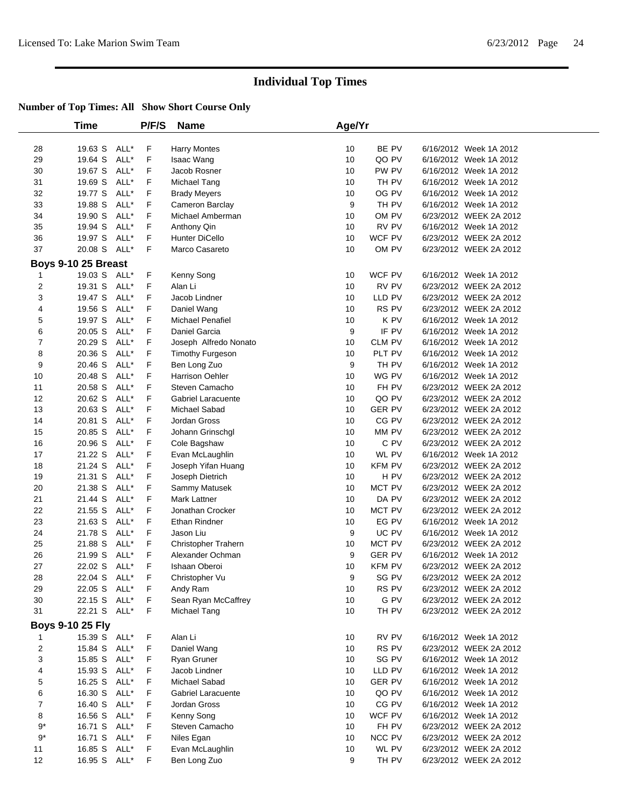|                | <b>Time</b>                             |      | P/F/S | <b>Name</b>               | Age/Yr |               |                        |
|----------------|-----------------------------------------|------|-------|---------------------------|--------|---------------|------------------------|
|                |                                         |      |       |                           |        |               |                        |
| 28             | 19.63 S                                 | ALL* | F     | <b>Harry Montes</b>       | 10     | BE PV         | 6/16/2012 Week 1A 2012 |
| 29             | 19.64 S                                 | ALL* | F     | Isaac Wang                | 10     | QO PV         | 6/16/2012 Week 1A 2012 |
| 30             | 19.67 S                                 | ALL* | F     | Jacob Rosner              | 10     | PW PV         | 6/16/2012 Week 1A 2012 |
| 31             | 19.69 S                                 | ALL* | F     | Michael Tang              | 10     | TH PV         | 6/16/2012 Week 1A 2012 |
| 32             | 19.77 S                                 | ALL* | F     | <b>Brady Meyers</b>       | 10     | OG PV         | 6/16/2012 Week 1A 2012 |
| 33             | 19.88 S                                 | ALL* | F     | Cameron Barclay           | 9      | TH PV         | 6/16/2012 Week 1A 2012 |
| 34             | 19.90 S                                 | ALL* | F     | Michael Amberman          | 10     | OM PV         | 6/23/2012 WEEK 2A 2012 |
| 35             | 19.94 S                                 | ALL* | F     | Anthony Qin               | 10     | RV PV         | 6/16/2012 Week 1A 2012 |
| 36             | 19.97 S                                 | ALL* | F     | <b>Hunter DiCello</b>     | 10     | WCF PV        | 6/23/2012 WEEK 2A 2012 |
| 37             | 20.08 S                                 | ALL* | F     | Marco Casareto            | 10     | OM PV         | 6/23/2012 WEEK 2A 2012 |
|                | Boys 9-10 25 Breast                     |      |       |                           |        |               |                        |
| 1              | 19.03 S                                 | ALL* | F     | Kenny Song                | 10     | WCF PV        | 6/16/2012 Week 1A 2012 |
| $\mathbf 2$    | 19.31 S                                 | ALL* | F     | Alan Li                   | 10     | RV PV         | 6/23/2012 WEEK 2A 2012 |
| 3              | 19.47 S                                 | ALL* | F     | Jacob Lindner             | 10     | LLD PV        | 6/23/2012 WEEK 2A 2012 |
| 4              | 19.56 S                                 | ALL* | F     | Daniel Wang               | 10     | RS PV         | 6/23/2012 WEEK 2A 2012 |
| 5              | 19.97 S                                 | ALL* | F     | <b>Michael Penafiel</b>   | 10     | K PV          | 6/16/2012 Week 1A 2012 |
| 6              | 20.05 S                                 | ALL* | F     | Daniel Garcia             | 9      | IF PV         | 6/16/2012 Week 1A 2012 |
| $\overline{7}$ | 20.29 S                                 | ALL* | F     | Joseph Alfredo Nonato     | 10     | <b>CLM PV</b> | 6/16/2012 Week 1A 2012 |
| 8              | 20.36 S                                 | ALL* | F     | <b>Timothy Furgeson</b>   | 10     | PLT PV        | 6/16/2012 Week 1A 2012 |
| 9              | 20.46 S                                 | ALL* | F     | Ben Long Zuo              | 9      | TH PV         | 6/16/2012 Week 1A 2012 |
| 10             | 20.48 S                                 | ALL* | F     | <b>Harrison Oehler</b>    | 10     | WG PV         | 6/16/2012 Week 1A 2012 |
| 11             | 20.58 S                                 | ALL* | F     | Steven Camacho            | 10     | FH PV         | 6/23/2012 WEEK 2A 2012 |
| 12             | 20.62 S                                 | ALL* | F     | <b>Gabriel Laracuente</b> | 10     | QO PV         | 6/23/2012 WEEK 2A 2012 |
| 13             | 20.63 S                                 | ALL* | F     | Michael Sabad             | 10     | <b>GER PV</b> | 6/23/2012 WEEK 2A 2012 |
| 14             | 20.81 S                                 | ALL* | F     | Jordan Gross              | 10     | CG PV         | 6/23/2012 WEEK 2A 2012 |
| 15             | 20.85 S                                 | ALL* | F     | Johann Grinschgl          | 10     | MM PV         | 6/23/2012 WEEK 2A 2012 |
| 16             | 20.96 S                                 | ALL* | F     | Cole Bagshaw              | 10     | C PV          | 6/23/2012 WEEK 2A 2012 |
| 17             | 21.22 S                                 | ALL* | F     | Evan McLaughlin           | 10     | WL PV         | 6/16/2012 Week 1A 2012 |
| 18             | 21.24 S                                 | ALL* | F     | Joseph Yifan Huang        | 10     | <b>KFM PV</b> | 6/23/2012 WEEK 2A 2012 |
| 19             | 21.31 S                                 | ALL* | F     | Joseph Dietrich           | 10     | H PV          | 6/23/2012 WEEK 2A 2012 |
| 20             | 21.38 S                                 | ALL* | F     | Sammy Matusek             | 10     | MCT PV        | 6/23/2012 WEEK 2A 2012 |
| 21             | 21.44 S                                 | ALL* | F     | Mark Lattner              | 10     | DA PV         | 6/23/2012 WEEK 2A 2012 |
| 22             | 21.55 S                                 | ALL* | F     | Jonathan Crocker          | 10     | MCT PV        | 6/23/2012 WEEK 2A 2012 |
| 23             | 21.63 S                                 | ALL* | F     | Ethan Rindner             | 10     | EG PV         | 6/16/2012 Week 1A 2012 |
| 24             | 21.78 S                                 | ALL* | F     | Jason Liu                 | 9      | UC PV         | 6/16/2012 Week 1A 2012 |
| 25             | 21.88 S                                 | ALL* | F     | Christopher Trahern       | 10     | MCT PV        | 6/23/2012 WEEK 2A 2012 |
| 26             | 21.99 S                                 | ALL* | F     | Alexander Ochman          | 9      | <b>GER PV</b> | 6/16/2012 Week 1A 2012 |
| 27             | 22.02 S                                 | ALL* | F     | Ishaan Oberoi             | 10     | <b>KFM PV</b> | 6/23/2012 WEEK 2A 2012 |
| 28             | 22.04 S ALL*                            |      | F     | Christopher Vu            | 9      | SG PV         | 6/23/2012 WEEK 2A 2012 |
| 29             | 22.05 S ALL*                            |      | F     | Andy Ram                  | 10     | RS PV         | 6/23/2012 WEEK 2A 2012 |
| 30             | 22.15 S                                 | ALL* | F     | Sean Ryan McCaffrey       | 10     | G PV          | 6/23/2012 WEEK 2A 2012 |
| 31             | 22.21 S ALL*                            |      | F     | Michael Tang              | 10     | TH PV         | 6/23/2012 WEEK 2A 2012 |
|                |                                         |      |       |                           |        |               |                        |
|                | <b>Boys 9-10 25 Fly</b><br>15.39 S ALL* |      |       |                           |        |               |                        |
| 1              |                                         |      | F     | Alan Li                   | 10     | RV PV         | 6/16/2012 Week 1A 2012 |
| 2              | 15.84 S                                 | ALL* | F     | Daniel Wang               | 10     | RS PV         | 6/23/2012 WEEK 2A 2012 |
| 3              | 15.85 S                                 | ALL* | F     | Ryan Gruner               | 10     | SG PV         | 6/16/2012 Week 1A 2012 |
| 4              | 15.93 S                                 | ALL* | F     | Jacob Lindner             | 10     | LLD PV        | 6/16/2012 Week 1A 2012 |
| 5              | 16.25 S                                 | ALL* | F     | Michael Sabad             | 10     | <b>GER PV</b> | 6/16/2012 Week 1A 2012 |
| 6              | 16.30 S                                 | ALL* | F     | Gabriel Laracuente        | 10     | QO PV         | 6/16/2012 Week 1A 2012 |
| 7              | 16.40 S                                 | ALL* | F     | Jordan Gross              | 10     | CG PV         | 6/16/2012 Week 1A 2012 |
| 8              | 16.56 S                                 | ALL* | F     | Kenny Song                | 10     | WCF PV        | 6/16/2012 Week 1A 2012 |
| $9*$           | 16.71 S                                 | ALL* | F     | Steven Camacho            | 10     | FH PV         | 6/23/2012 WEEK 2A 2012 |
| $9^{\ast}$     | 16.71 S                                 | ALL* | F     | Niles Egan                | 10     | NCC PV        | 6/23/2012 WEEK 2A 2012 |
| 11             | 16.85 S                                 | ALL* | F     | Evan McLaughlin           | 10     | WL PV         | 6/23/2012 WEEK 2A 2012 |
| 12             | 16.95 S ALL*                            |      | F     | Ben Long Zuo              | 9      | TH PV         | 6/23/2012 WEEK 2A 2012 |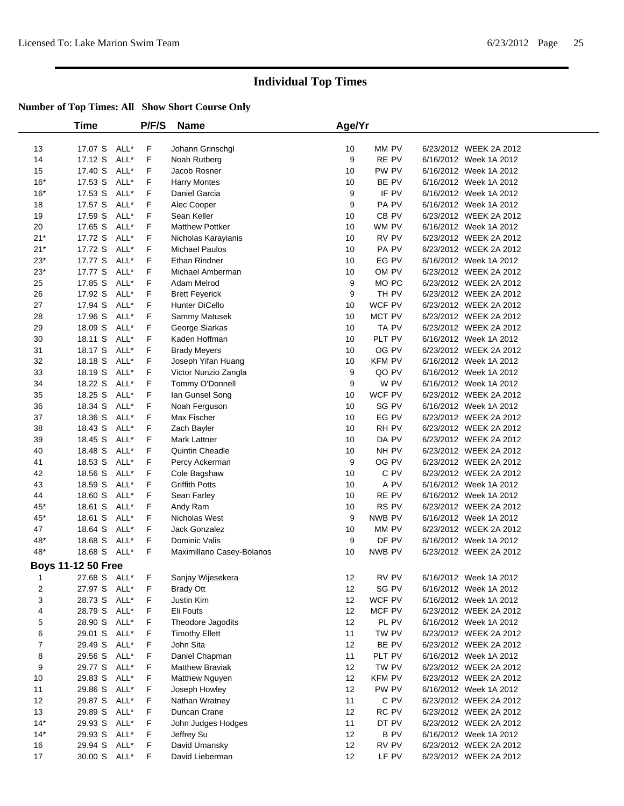|          | Time                      |              | P/F/S  | <b>Name</b>                    | Age/Yr   |               |                                                  |  |
|----------|---------------------------|--------------|--------|--------------------------------|----------|---------------|--------------------------------------------------|--|
| 13       | 17.07 S                   | ALL*         | F      | Johann Grinschgl               | 10       | MM PV         | 6/23/2012 WEEK 2A 2012                           |  |
| 14       | 17.12 S                   | ALL*         | F      | Noah Rutberg                   | 9        | RE PV         | 6/16/2012 Week 1A 2012                           |  |
| 15       | 17.40 S                   | ALL*         | F      | Jacob Rosner                   | 10       | PW PV         | 6/16/2012 Week 1A 2012                           |  |
| $16*$    | 17.53 S                   | ALL*         | F      | <b>Harry Montes</b>            | 10       | BE PV         | 6/16/2012 Week 1A 2012                           |  |
| $16*$    | 17.53 S                   | ALL*         | F      | Daniel Garcia                  | 9        | IF PV         | 6/16/2012 Week 1A 2012                           |  |
| 18       | 17.57 S                   | ALL*         | F      | Alec Cooper                    | 9        | PA PV         | 6/16/2012 Week 1A 2012                           |  |
| 19       | 17.59 S                   | ALL*         | F      | Sean Keller                    | 10       | CB PV         | 6/23/2012 WEEK 2A 2012                           |  |
| 20       | 17.65 S                   | ALL*         | F      | <b>Matthew Pottker</b>         | 10       | WM PV         | 6/16/2012 Week 1A 2012                           |  |
| $21*$    | 17.72 S                   | ALL*         | F      | Nicholas Karayianis            | 10       | RV PV         | 6/23/2012 WEEK 2A 2012                           |  |
| $21*$    | 17.72 S                   | ALL*         | F      | <b>Michael Paulos</b>          | 10       | PA PV         | 6/23/2012 WEEK 2A 2012                           |  |
| $23*$    | 17.77 S                   | ALL*         | F      | Ethan Rindner                  | 10       | EG PV         | 6/16/2012 Week 1A 2012                           |  |
| $23*$    | 17.77 S                   | ALL*         | F      | Michael Amberman               | 10       | OM PV         | 6/23/2012 WEEK 2A 2012                           |  |
| 25       | 17.85 S                   | ALL*         | F      | Adam Melrod                    | 9        | MO PC         | 6/23/2012 WEEK 2A 2012                           |  |
| 26       | 17.92 S                   | ALL*         | F      | <b>Brett Feyerick</b>          | 9        | TH PV         | 6/23/2012 WEEK 2A 2012                           |  |
| 27       | 17.94 S                   | ALL*         | F      | Hunter DiCello                 | 10       | WCF PV        | 6/23/2012 WEEK 2A 2012                           |  |
| 28       | 17.96 S                   | ALL*         | F      | Sammy Matusek                  | 10       | MCT PV        | 6/23/2012 WEEK 2A 2012                           |  |
| 29       | 18.09 S                   | ALL*         | F      | George Siarkas                 | 10       | TA PV         | 6/23/2012 WEEK 2A 2012                           |  |
| 30       | 18.11 S                   | ALL*         | F      | Kaden Hoffman                  | 10       | PLT PV        | 6/16/2012 Week 1A 2012                           |  |
| 31       | 18.17 S                   | ALL*         | F      | <b>Brady Meyers</b>            | 10       | OG PV         | 6/23/2012 WEEK 2A 2012                           |  |
| 32       | 18.18 S                   | ALL*         | F      | Joseph Yifan Huang             | 10       | <b>KFM PV</b> | 6/16/2012 Week 1A 2012                           |  |
| 33       | 18.19 S                   | ALL*         | F      | Victor Nunzio Zangla           | 9        | QO PV         | 6/16/2012 Week 1A 2012                           |  |
| 34       | 18.22 S                   | ALL*         | F      | Tommy O'Donnell                | 9        | W PV          | 6/16/2012 Week 1A 2012                           |  |
| 35       | 18.25 S                   | ALL*         | F      | lan Gunsel Song                | 10       | WCF PV        | 6/23/2012 WEEK 2A 2012                           |  |
| 36       | 18.34 S                   | ALL*         | F      | Noah Ferguson                  | 10       | SG PV         | 6/16/2012 Week 1A 2012                           |  |
| 37       | 18.36 S                   | ALL*         | F      | Max Fischer                    | 10       | EG PV         | 6/23/2012 WEEK 2A 2012                           |  |
| 38       | 18.43 S                   | ALL*         | F      | Zach Bayler                    | 10       | RH PV         | 6/23/2012 WEEK 2A 2012                           |  |
| 39       | 18.45 S                   | ALL*         | F      | <b>Mark Lattner</b>            | 10       | DA PV         | 6/23/2012 WEEK 2A 2012                           |  |
| 40       | 18.48 S                   | ALL*         | F      | <b>Quintin Cheadle</b>         | 10       | NH PV         | 6/23/2012 WEEK 2A 2012                           |  |
| 41       | 18.53 S                   | ALL*         | F      | Percy Ackerman                 | 9        | OG PV         | 6/23/2012 WEEK 2A 2012                           |  |
| 42       | 18.56 S                   | ALL*         | F      | Cole Bagshaw                   | 10       | C PV          | 6/23/2012 WEEK 2A 2012                           |  |
| 43       | 18.59 S                   | ALL*         | F      | <b>Griffith Potts</b>          | 10       | A PV          | 6/16/2012 Week 1A 2012                           |  |
| 44       | 18.60 S                   | ALL*         | F      | Sean Farley                    | 10       | RE PV         | 6/16/2012 Week 1A 2012                           |  |
| 45*      | 18.61 S                   | ALL*         | F      | Andy Ram                       | 10       | RS PV         | 6/23/2012 WEEK 2A 2012                           |  |
| $45*$    | 18.61 S                   | ALL*         | F      | Nicholas West                  | 9        | NWB PV        | 6/16/2012 Week 1A 2012                           |  |
| 47       | 18.64 S                   | ALL*         | F      | <b>Jack Gonzalez</b>           | 10       | MM PV         | 6/23/2012 WEEK 2A 2012                           |  |
| 48*      | 18.68 S                   | ALL*         | F      | Dominic Valis                  | 9        | DF PV         | 6/16/2012 Week 1A 2012                           |  |
| 48*      | 18.68 S ALL*              |              | F      | Maximillano Casey-Bolanos      | 10       | NWB PV        | 6/23/2012 WEEK 2A 2012                           |  |
|          | <b>Boys 11-12 50 Free</b> |              |        |                                |          |               |                                                  |  |
|          | 27.68 S ALL*              |              | F      | Sanjay Wijesekera              | 12       | RV PV         | 6/16/2012 Week 1A 2012                           |  |
| 2        | 27.97 S ALL*              |              | F      | <b>Brady Ott</b>               | 12       | SG PV         | 6/16/2012 Week 1A 2012                           |  |
| 3        | 28.73 S ALL*              |              | F      | Justin Kim                     | 12       | WCF PV        | 6/16/2012 Week 1A 2012                           |  |
| 4        | 28.79 S                   | ALL*         | F      | Eli Fouts                      | 12       | MCF PV        | 6/23/2012 WEEK 2A 2012                           |  |
| 5        | 28.90 S                   | ALL*         | F      | Theodore Jagodits              | 12       | PL PV         | 6/16/2012 Week 1A 2012                           |  |
| 6<br>7   | 29.01 S                   | ALL*         | F      | <b>Timothy Ellett</b>          | 11<br>12 | TW PV         | 6/23/2012 WEEK 2A 2012                           |  |
|          | 29.49 S                   | ALL*         | F      | John Sita                      |          | BE PV         | 6/23/2012 WEEK 2A 2012                           |  |
| 8        | 29.56 S                   | ALL*         | F      | Daniel Chapman                 | 11       | PLT PV        | 6/16/2012 Week 1A 2012                           |  |
| 9        | 29.77 S                   | ALL*         | F<br>F | <b>Matthew Braviak</b>         | 12       | TW PV         | 6/23/2012 WEEK 2A 2012                           |  |
| 10       | 29.83 S                   | ALL*         |        | Matthew Nguyen                 | 12       | <b>KFM PV</b> | 6/23/2012 WEEK 2A 2012                           |  |
| 11       | 29.86 S                   | ALL*         | F<br>F | Joseph Howley                  | 12       | PW PV         | 6/16/2012 Week 1A 2012                           |  |
| 12<br>13 | 29.87 S                   | ALL*<br>ALL* | F      | Nathan Wratney<br>Duncan Crane | 11<br>12 | C PV<br>RC PV | 6/23/2012 WEEK 2A 2012<br>6/23/2012 WEEK 2A 2012 |  |
| $14*$    | 29.89 S                   |              |        |                                |          |               |                                                  |  |
|          | 29.93 S                   | ALL*         | F      | John Judges Hodges             | 11       | DT PV         | 6/23/2012 WEEK 2A 2012                           |  |
| $14*$    | 29.93 S                   | ALL*         | F      | Jeffrey Su                     | 12       | <b>BPV</b>    | 6/16/2012 Week 1A 2012                           |  |
| 16       | 29.94 S                   | ALL*         | F      | David Umansky                  | 12       | RV PV         | 6/23/2012 WEEK 2A 2012                           |  |
| 17       | 30.00 S ALL*              |              | F      | David Lieberman                | 12       | LF PV         | 6/23/2012 WEEK 2A 2012                           |  |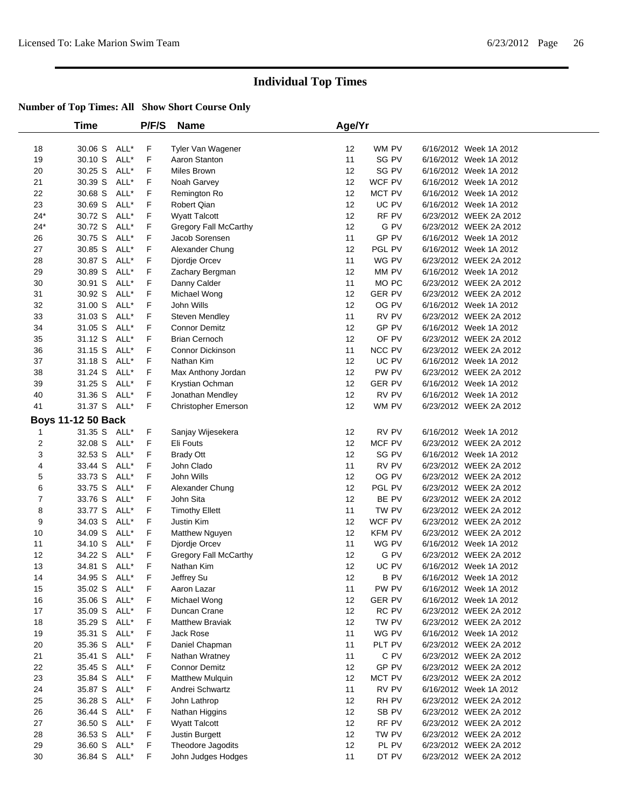|       | Time                      |      | P/F/S | <b>Name</b>                  | Age/Yr |                  |                        |  |
|-------|---------------------------|------|-------|------------------------------|--------|------------------|------------------------|--|
| 18    | 30.06 S                   | ALL* | F     | Tyler Van Wagener            | 12     | WM PV            | 6/16/2012 Week 1A 2012 |  |
| 19    | 30.10 S                   | ALL* | F     | Aaron Stanton                | 11     | SG PV            | 6/16/2012 Week 1A 2012 |  |
| 20    | 30.25 S                   | ALL* | F     | Miles Brown                  | 12     | SG PV            | 6/16/2012 Week 1A 2012 |  |
| 21    | 30.39 S                   | ALL* | F     | Noah Garvey                  | 12     | WCF PV           | 6/16/2012 Week 1A 2012 |  |
| 22    | 30.68 S                   | ALL* | F     | Remington Ro                 | 12     | MCT PV           | 6/16/2012 Week 1A 2012 |  |
| 23    | 30.69 S                   | ALL* | F     | Robert Qian                  | 12     | UC PV            | 6/16/2012 Week 1A 2012 |  |
| $24*$ | 30.72 S                   | ALL* | F     | <b>Wyatt Talcott</b>         | 12     | RF PV            | 6/23/2012 WEEK 2A 2012 |  |
| $24*$ | 30.72 S                   | ALL* | F     | <b>Gregory Fall McCarthy</b> | 12     | G PV             | 6/23/2012 WEEK 2A 2012 |  |
| 26    | 30.75 S                   | ALL* | F     | Jacob Sorensen               | 11     | GP PV            | 6/16/2012 Week 1A 2012 |  |
| 27    | 30.85 S                   | ALL* | F     | Alexander Chung              | 12     | PGL PV           | 6/16/2012 Week 1A 2012 |  |
| 28    | 30.87 S                   | ALL* | F     | Djordje Orcev                | 11     | WG PV            | 6/23/2012 WEEK 2A 2012 |  |
| 29    | 30.89 S                   | ALL* | F     | Zachary Bergman              | 12     | MM PV            | 6/16/2012 Week 1A 2012 |  |
| 30    | 30.91 S                   | ALL* | F     | Danny Calder                 | 11     | MO <sub>PC</sub> | 6/23/2012 WEEK 2A 2012 |  |
| 31    | 30.92 S                   | ALL* | F     | Michael Wong                 | 12     | <b>GER PV</b>    | 6/23/2012 WEEK 2A 2012 |  |
| 32    | 31.00 S                   | ALL* | F     | John Wills                   | 12     | OG PV            | 6/16/2012 Week 1A 2012 |  |
| 33    | 31.03 S                   | ALL* | F     | Steven Mendley               | 11     | RV PV            | 6/23/2012 WEEK 2A 2012 |  |
| 34    | 31.05 S                   | ALL* | F     | <b>Connor Demitz</b>         | 12     | GP PV            | 6/16/2012 Week 1A 2012 |  |
| 35    | 31.12 S                   | ALL* | F     | <b>Brian Cernoch</b>         | 12     | OF PV            | 6/23/2012 WEEK 2A 2012 |  |
| 36    | 31.15 S                   | ALL* | F     | <b>Connor Dickinson</b>      | 11     | NCC PV           | 6/23/2012 WEEK 2A 2012 |  |
| 37    | 31.18 S                   | ALL* | F     | Nathan Kim                   | 12     | UC PV            | 6/16/2012 Week 1A 2012 |  |
| 38    | 31.24 S                   | ALL* | F     | Max Anthony Jordan           | 12     | PW PV            | 6/23/2012 WEEK 2A 2012 |  |
| 39    | 31.25 S                   | ALL* | F     | Krystian Ochman              | 12     | <b>GER PV</b>    | 6/16/2012 Week 1A 2012 |  |
| 40    | 31.36 S                   | ALL* | F     | Jonathan Mendley             | 12     | RV PV            | 6/16/2012 Week 1A 2012 |  |
| 41    | 31.37 S                   | ALL* | F     | <b>Christopher Emerson</b>   | 12     | WM PV            | 6/23/2012 WEEK 2A 2012 |  |
|       | <b>Boys 11-12 50 Back</b> |      |       |                              |        |                  |                        |  |
| 1     | 31.35 S                   | ALL* | F     | Sanjay Wijesekera            | 12     | RV PV            | 6/16/2012 Week 1A 2012 |  |
| 2     | 32.08 S                   | ALL* | F     | Eli Fouts                    | 12     | MCF PV           | 6/23/2012 WEEK 2A 2012 |  |
| 3     | 32.53 S                   | ALL* | F     | <b>Brady Ott</b>             | 12     | SG PV            | 6/16/2012 Week 1A 2012 |  |
| 4     | 33.44 S                   | ALL* | F     | John Clado                   | 11     | RV PV            | 6/23/2012 WEEK 2A 2012 |  |
| 5     | 33.73 S                   | ALL* | F     | John Wills                   | 12     | OG PV            | 6/23/2012 WEEK 2A 2012 |  |
| 6     | 33.75 S                   | ALL* | F     | Alexander Chung              | 12     | PGL PV           | 6/23/2012 WEEK 2A 2012 |  |
| 7     | 33.76 S                   | ALL* | F     | John Sita                    | 12     | BE PV            | 6/23/2012 WEEK 2A 2012 |  |
| 8     | 33.77 S                   | ALL* | F     | <b>Timothy Ellett</b>        | 11     | TW PV            | 6/23/2012 WEEK 2A 2012 |  |
| 9     | 34.03 S                   | ALL* | F     | Justin Kim                   | 12     | WCF PV           | 6/23/2012 WEEK 2A 2012 |  |
| 10    | 34.09 S                   | ALL* | F     | Matthew Nguyen               | 12     | <b>KFM PV</b>    | 6/23/2012 WEEK 2A 2012 |  |
| 11    | 34.10 S                   | ALL* | F     | Djordje Orcev                | 11     | WG PV            | 6/16/2012 Week 1A 2012 |  |
| 12    | 34.22 S                   | ALL* | F     | <b>Gregory Fall McCarthy</b> | 12     | G PV             | 6/23/2012 WEEK 2A 2012 |  |
| 13    | 34.81 S ALL*              |      | F     | Nathan Kim                   | 12     | UC PV            | 6/16/2012 Week 1A 2012 |  |
| 14    | 34.95 S ALL*              |      | F     | Jeffrey Su                   | 12     | <b>BPV</b>       | 6/16/2012 Week 1A 2012 |  |
| 15    | 35.02 S ALL*              |      | F     | Aaron Lazar                  | 11     | PW PV            | 6/16/2012 Week 1A 2012 |  |
| 16    | 35.06 S ALL*              |      | F     | Michael Wong                 | 12     | <b>GER PV</b>    | 6/16/2012 Week 1A 2012 |  |
| 17    | 35.09 S                   | ALL* | F     | Duncan Crane                 | 12     | RC PV            | 6/23/2012 WEEK 2A 2012 |  |
| 18    | 35.29 S ALL*              |      | F     | Matthew Braviak              | 12     | TW PV            | 6/23/2012 WEEK 2A 2012 |  |
| 19    | 35.31 S                   | ALL* | F     | Jack Rose                    | 11     | WG PV            | 6/16/2012 Week 1A 2012 |  |
| 20    | 35.36 S                   | ALL* | F     | Daniel Chapman               | 11     | PLT PV           | 6/23/2012 WEEK 2A 2012 |  |
| 21    | 35.41 S                   | ALL* | F     | Nathan Wratney               | 11     | C PV             | 6/23/2012 WEEK 2A 2012 |  |
| 22    | 35.45 S                   | ALL* | F     | <b>Connor Demitz</b>         | 12     | GP PV            | 6/23/2012 WEEK 2A 2012 |  |
| 23    | 35.84 S                   | ALL* | F     | <b>Matthew Mulquin</b>       | 12     | MCT PV           | 6/23/2012 WEEK 2A 2012 |  |
| 24    | 35.87 S                   | ALL* | F     | Andrei Schwartz              | 11     | RV PV            | 6/16/2012 Week 1A 2012 |  |
| 25    | 36.28 S                   | ALL* | F     | John Lathrop                 | 12     | RH PV            | 6/23/2012 WEEK 2A 2012 |  |
| 26    | 36.44 S                   | ALL* | F     | Nathan Higgins               | 12     | SB PV            | 6/23/2012 WEEK 2A 2012 |  |
| 27    | 36.50 S                   | ALL* | F     | <b>Wyatt Talcott</b>         | 12     | RF PV            | 6/23/2012 WEEK 2A 2012 |  |
| 28    | 36.53 S                   | ALL* | F     | Justin Burgett               | 12     | TW PV            | 6/23/2012 WEEK 2A 2012 |  |
| 29    | 36.60 S                   | ALL* | F     | Theodore Jagodits            | 12     | PL PV            | 6/23/2012 WEEK 2A 2012 |  |
| 30    | 36.84 S ALL*              |      | F     | John Judges Hodges           | 11     | DT PV            | 6/23/2012 WEEK 2A 2012 |  |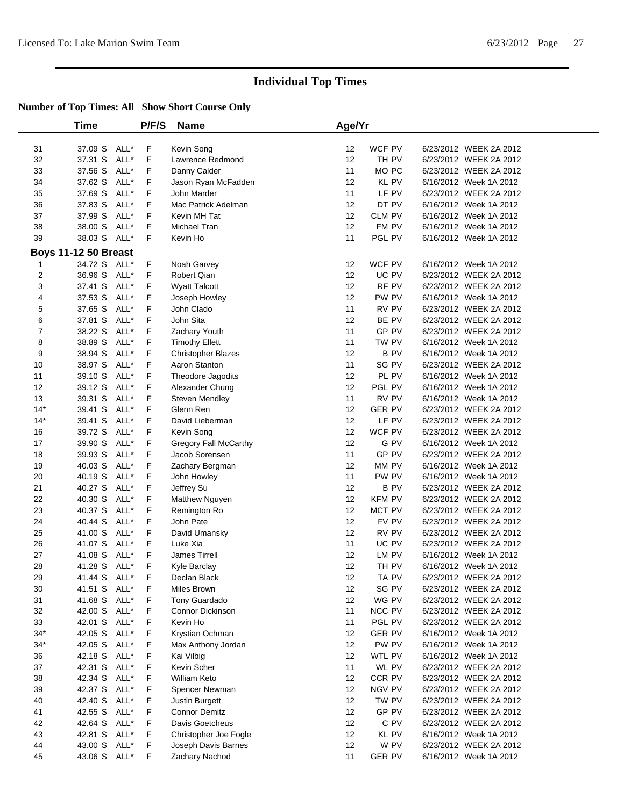|                         | Time                        |      | P/F/S | Name                      | Age/Yr |                  |                        |
|-------------------------|-----------------------------|------|-------|---------------------------|--------|------------------|------------------------|
|                         |                             |      |       |                           |        |                  |                        |
| 31                      | 37.09 S                     | ALL* | F     | Kevin Song                | 12     | WCF PV           | 6/23/2012 WEEK 2A 2012 |
| 32                      | 37.31 S                     | ALL* | F     | Lawrence Redmond          | 12     | TH PV            | 6/23/2012 WEEK 2A 2012 |
| 33                      | 37.56 S                     | ALL* | F     | Danny Calder              | 11     | MO <sub>PC</sub> | 6/23/2012 WEEK 2A 2012 |
| 34                      | 37.62 S                     | ALL* | F     | Jason Ryan McFadden       | 12     | <b>KL PV</b>     | 6/16/2012 Week 1A 2012 |
| 35                      | 37.69 S                     | ALL* | F     | John Marder               | 11     | LF PV            | 6/23/2012 WEEK 2A 2012 |
| 36                      | 37.83 S                     | ALL* | F     | Mac Patrick Adelman       | 12     | DT PV            | 6/16/2012 Week 1A 2012 |
| 37                      | 37.99 S                     | ALL* | F     | Kevin MH Tat              | 12     | CLM PV           | 6/16/2012 Week 1A 2012 |
| 38                      | 38.00 S                     | ALL* | F     | Michael Tran              | 12     | FM PV            | 6/16/2012 Week 1A 2012 |
| 39                      | 38.03 S                     | ALL* | F     | Kevin Ho                  | 11     | PGL PV           | 6/16/2012 Week 1A 2012 |
|                         | <b>Boys 11-12 50 Breast</b> |      |       |                           |        |                  |                        |
| 1                       | 34.72 S                     | ALL* | F     | Noah Garvey               | 12     | WCF PV           | 6/16/2012 Week 1A 2012 |
| $\overline{\mathbf{c}}$ | 36.96 S                     | ALL* | F     | Robert Qian               | 12     | UC PV            | 6/23/2012 WEEK 2A 2012 |
| 3                       | 37.41 S                     | ALL* | F     | <b>Wyatt Talcott</b>      | 12     | RF PV            | 6/23/2012 WEEK 2A 2012 |
| 4                       | 37.53 S                     | ALL* | F     | Joseph Howley             | 12     | PW PV            | 6/16/2012 Week 1A 2012 |
| 5                       | 37.65 S                     | ALL* | F     | John Clado                | 11     | RV PV            | 6/23/2012 WEEK 2A 2012 |
| 6                       | 37.81 S                     | ALL* | F     | John Sita                 | 12     | BE PV            | 6/23/2012 WEEK 2A 2012 |
| 7                       | 38.22 S                     | ALL* | F     | Zachary Youth             | 11     | GP PV            | 6/23/2012 WEEK 2A 2012 |
| 8                       | 38.89 S                     | ALL* | F     | <b>Timothy Ellett</b>     | 11     | TW PV            | 6/16/2012 Week 1A 2012 |
| 9                       | 38.94 S                     | ALL* | F     | <b>Christopher Blazes</b> | 12     | <b>BPV</b>       | 6/16/2012 Week 1A 2012 |
| 10                      | 38.97 S                     | ALL* | F     | Aaron Stanton             | 11     | SG PV            | 6/23/2012 WEEK 2A 2012 |
| 11                      | 39.10 S                     | ALL* | F     | Theodore Jagodits         | 12     | PL PV            | 6/16/2012 Week 1A 2012 |
| 12                      | 39.12 S                     | ALL* | F     | Alexander Chung           | 12     | PGL PV           | 6/16/2012 Week 1A 2012 |
| 13                      | 39.31 S                     | ALL* | F     | Steven Mendley            | 11     | RV PV            | 6/16/2012 Week 1A 2012 |
| $14*$                   | 39.41 S                     | ALL* | F     | Glenn Ren                 | 12     | <b>GER PV</b>    | 6/23/2012 WEEK 2A 2012 |
| $14*$                   | 39.41 S                     | ALL* | F     | David Lieberman           | 12     | LF PV            | 6/23/2012 WEEK 2A 2012 |
| 16                      | 39.72 S                     | ALL* | F     | Kevin Song                | 12     | WCF PV           | 6/23/2012 WEEK 2A 2012 |
| 17                      | 39.90 S                     | ALL* | F     | Gregory Fall McCarthy     | 12     | G PV             | 6/16/2012 Week 1A 2012 |
| 18                      | 39.93 S                     | ALL* | F     | Jacob Sorensen            | 11     | GP PV            | 6/23/2012 WEEK 2A 2012 |
| 19                      | 40.03 S                     | ALL* | F     | Zachary Bergman           | 12     | MM PV            | 6/16/2012 Week 1A 2012 |
| 20                      | 40.19 S                     | ALL* | F     | John Howley               | 11     | PW PV            | 6/16/2012 Week 1A 2012 |
| 21                      | 40.27 S                     | ALL* | F     | Jeffrey Su                | 12     | <b>BPV</b>       | 6/23/2012 WEEK 2A 2012 |
| 22                      | 40.30 S                     | ALL* | F     | Matthew Nguyen            | 12     | <b>KFM PV</b>    | 6/23/2012 WEEK 2A 2012 |
| 23                      | 40.37 S                     | ALL* | F     | Remington Ro              | 12     | MCT PV           | 6/23/2012 WEEK 2A 2012 |
| 24                      | 40.44 S                     | ALL* | F     | John Pate                 | 12     | FV PV            | 6/23/2012 WEEK 2A 2012 |
| 25                      | 41.00 S                     | ALL* | F     | David Umansky             | 12     | RV PV            | 6/23/2012 WEEK 2A 2012 |
| 26                      | 41.07 S                     | ALL* | F     | Luke Xia                  | 11     | UC PV            | 6/23/2012 WEEK 2A 2012 |
| 27                      | 41.08 S                     | ALL* | F     | James Tirrell             | 12     | LM PV            | 6/16/2012 Week 1A 2012 |
| 28                      | 41.28 S                     | ALL* | F     | Kyle Barclay              | 12     | TH PV            | 6/16/2012 Week 1A 2012 |
| 29                      | 41.44 S ALL*                |      | F     | Declan Black              | 12     | TA PV            | 6/23/2012 WEEK 2A 2012 |
| 30                      | 41.51 S ALL*                |      | F     | Miles Brown               | 12     | SG PV            | 6/23/2012 WEEK 2A 2012 |
| 31                      | 41.68 S                     | ALL* | F     | Tony Guardado             | 12     | WG PV            | 6/23/2012 WEEK 2A 2012 |
| 32                      | 42.00 S                     | ALL* | F     | Connor Dickinson          | 11     | <b>NCC PV</b>    | 6/23/2012 WEEK 2A 2012 |
| 33                      | 42.01 S                     | ALL* | F     | Kevin Ho                  | 11     | PGL PV           | 6/23/2012 WEEK 2A 2012 |
| $34*$                   | 42.05 S                     | ALL* | F     | Krystian Ochman           | 12     | <b>GER PV</b>    | 6/16/2012 Week 1A 2012 |
| $34*$                   | 42.05 S                     | ALL* | F     | Max Anthony Jordan        | 12     | PW PV            | 6/16/2012 Week 1A 2012 |
| 36                      | 42.18 S                     | ALL* | F     | Kai Vilbig                | 12     | WTL PV           | 6/16/2012 Week 1A 2012 |
| 37                      | 42.31 S                     | ALL* | F     | Kevin Scher               | 11     | WL PV            | 6/23/2012 WEEK 2A 2012 |
| 38                      | 42.34 S                     | ALL* | F     | <b>William Keto</b>       | 12     | CCR PV           | 6/23/2012 WEEK 2A 2012 |
| 39                      | 42.37 S                     | ALL* | F     | Spencer Newman            | 12     | <b>NGV PV</b>    | 6/23/2012 WEEK 2A 2012 |
| 40                      | 42.40 S                     | ALL* | F     | Justin Burgett            | 12     | TW PV            | 6/23/2012 WEEK 2A 2012 |
| 41                      | 42.55 S                     | ALL* | F     | <b>Connor Demitz</b>      | 12     | GP PV            | 6/23/2012 WEEK 2A 2012 |
| 42                      | 42.64 S                     | ALL* | F     | Davis Goetcheus           | 12     | C PV             | 6/23/2012 WEEK 2A 2012 |
| 43                      | 42.81 S                     | ALL* | F     | Christopher Joe Fogle     | 12     | KL PV            | 6/16/2012 Week 1A 2012 |
| 44                      | 43.00 S                     | ALL* | F     | Joseph Davis Barnes       | 12     | W PV             | 6/23/2012 WEEK 2A 2012 |
| 45                      | 43.06 S                     | ALL* | F.    | Zachary Nachod            | 11     | <b>GER PV</b>    | 6/16/2012 Week 1A 2012 |
|                         |                             |      |       |                           |        |                  |                        |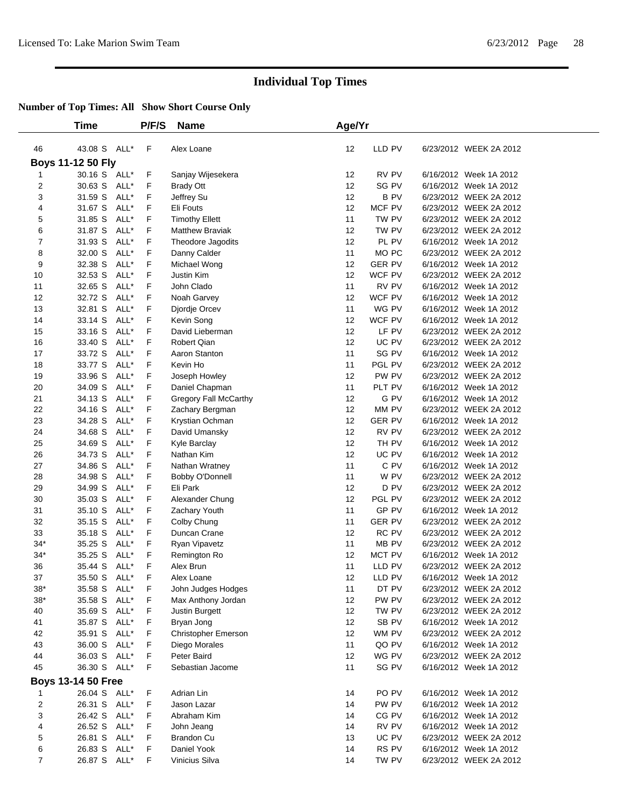|                              | Time                      |      | P/F/S       | <b>Name</b>            | Age/Yr          |                  |                        |
|------------------------------|---------------------------|------|-------------|------------------------|-----------------|------------------|------------------------|
|                              |                           |      |             |                        |                 |                  |                        |
| 46                           | 43.08 S ALL*              |      | $\mathsf F$ | Alex Loane             | 12              | LLD PV           | 6/23/2012 WEEK 2A 2012 |
|                              | Boys 11-12 50 Fly         |      |             |                        |                 |                  | 6/16/2012 Week 1A 2012 |
| 1                            | 30.16 S ALL*              |      | F           | Sanjay Wijesekera      | 12              | RV PV            |                        |
| 2                            | 30.63 S ALL*              |      | F           | <b>Brady Ott</b>       | 12              | SG PV            | 6/16/2012 Week 1A 2012 |
| 3                            | 31.59 S                   | ALL* | F           | Jeffrey Su             | 12              | <b>BPV</b>       | 6/23/2012 WEEK 2A 2012 |
| 4                            | 31.67 S                   | ALL* | F           | Eli Fouts              | 12              | MCF PV           | 6/23/2012 WEEK 2A 2012 |
| 5                            | 31.85 S                   | ALL* | F           | <b>Timothy Ellett</b>  | 11              | TW PV            | 6/23/2012 WEEK 2A 2012 |
| 6                            | 31.87 S                   | ALL* | F           | <b>Matthew Braviak</b> | 12              | TW PV            | 6/23/2012 WEEK 2A 2012 |
| $\overline{7}$               | 31.93 S                   | ALL* | F           | Theodore Jagodits      | 12              | PL PV            | 6/16/2012 Week 1A 2012 |
| 8                            | 32.00 S                   | ALL* | F           | Danny Calder           | 11              | MO <sub>PC</sub> | 6/23/2012 WEEK 2A 2012 |
| 9                            | 32.38 S                   | ALL* | F           | Michael Wong           | 12              | <b>GER PV</b>    | 6/16/2012 Week 1A 2012 |
| 10                           | 32.53 S                   | ALL* | F           | Justin Kim             | 12              | WCF PV           | 6/23/2012 WEEK 2A 2012 |
| 11                           | 32.65 S                   | ALL* | F           | John Clado             | 11              | RV PV            | 6/16/2012 Week 1A 2012 |
| 12                           | 32.72 S                   | ALL* | F           | Noah Garvey            | 12              | WCF PV           | 6/16/2012 Week 1A 2012 |
| 13                           | 32.81 S                   | ALL* | F           | Djordje Orcev          | 11              | WG PV            | 6/16/2012 Week 1A 2012 |
| 14                           | 33.14 S                   | ALL* | F           | Kevin Song             | 12              | WCF PV           | 6/16/2012 Week 1A 2012 |
| 15                           | 33.16 S                   | ALL* | F           | David Lieberman        | 12              | LF PV            | 6/23/2012 WEEK 2A 2012 |
| 16                           | 33.40 S                   | ALL* | F           | Robert Qian            | 12              | UC PV            | 6/23/2012 WEEK 2A 2012 |
| 17                           | 33.72 S                   | ALL* | F           | Aaron Stanton          | 11              | SG PV            | 6/16/2012 Week 1A 2012 |
| 18                           | 33.77 S                   | ALL* | F           | Kevin Ho               | 11              | PGL PV           | 6/23/2012 WEEK 2A 2012 |
| 19                           | 33.96 S                   | ALL* | F           | Joseph Howley          | 12              | PW PV            | 6/23/2012 WEEK 2A 2012 |
| 20                           | 34.09 S                   | ALL* | F           | Daniel Chapman         | 11              | PLT PV           | 6/16/2012 Week 1A 2012 |
| 21                           | 34.13 S                   | ALL* | F           | Gregory Fall McCarthy  | 12              | G PV             | 6/16/2012 Week 1A 2012 |
| 22                           | 34.16 S                   | ALL* | F           | Zachary Bergman        | 12              | MM PV            | 6/23/2012 WEEK 2A 2012 |
| 23                           | 34.28 S                   | ALL* | F           | Krystian Ochman        | 12              | <b>GER PV</b>    | 6/16/2012 Week 1A 2012 |
| 24                           | 34.68 S                   | ALL* | F           | David Umansky          | 12              | RV PV            | 6/23/2012 WEEK 2A 2012 |
| 25                           | 34.69 S                   | ALL* | F           | Kyle Barclay           | 12              | TH PV            | 6/16/2012 Week 1A 2012 |
| 26                           | 34.73 S                   | ALL* | F           | Nathan Kim             | 12              | UC PV            | 6/16/2012 Week 1A 2012 |
| 27                           | 34.86 S                   | ALL* | F           | Nathan Wratney         | 11              | C PV             | 6/16/2012 Week 1A 2012 |
| 28                           | 34.98 S                   | ALL* | F           | Bobby O'Donnell        | 11              | W PV             | 6/23/2012 WEEK 2A 2012 |
| 29                           | 34.99 S                   | ALL* | F           | Eli Park               | 12              | D PV             | 6/23/2012 WEEK 2A 2012 |
| 30                           | 35.03 S                   | ALL* | F           | Alexander Chung        | 12              | PGL PV           | 6/23/2012 WEEK 2A 2012 |
| 31                           | 35.10 S                   | ALL* | F           | Zachary Youth          | 11              | GP PV            | 6/16/2012 Week 1A 2012 |
| 32                           | 35.15 S                   | ALL* | F           | Colby Chung            | 11              | <b>GER PV</b>    | 6/23/2012 WEEK 2A 2012 |
| 33                           | 35.18 S                   | ALL* | F           | Duncan Crane           | 12              | RC PV            | 6/23/2012 WEEK 2A 2012 |
| $34*$                        | 35.25 S                   | ALL* | F           | Ryan Vipavetz          | 11              | MB PV            | 6/23/2012 WEEK 2A 2012 |
| $34*$                        | 35.25 S                   | ALL* | F           | Remington Ro           | 12              | MCT PV           | 6/16/2012 Week 1A 2012 |
| 36                           | 35.44 S                   | ALL* | F           | Alex Brun              | 11              | LLD PV           | 6/23/2012 WEEK 2A 2012 |
| 37                           | 35.50 S ALL*              |      | F           | Alex Loane             | 12 <sup>°</sup> | LLD PV           | 6/16/2012 Week 1A 2012 |
| 38*                          | 35.58 S ALL*              |      | F           | John Judges Hodges     | 11              | DT PV            | 6/23/2012 WEEK 2A 2012 |
| $38*$                        | 35.58 S ALL*              |      | F           | Max Anthony Jordan     | 12              | PW PV            | 6/23/2012 WEEK 2A 2012 |
| 40                           | 35.69 S ALL*              |      | F           | Justin Burgett         | 12              | TW PV            | 6/23/2012 WEEK 2A 2012 |
| 41                           | 35.87 S ALL*              |      | F           | Bryan Jong             | 12              | SB PV            | 6/16/2012 Week 1A 2012 |
| 42                           | 35.91 S                   | ALL* | F           | Christopher Emerson    | 12              | WM PV            | 6/23/2012 WEEK 2A 2012 |
| 43                           | 36.00 S ALL*              |      | F           | Diego Morales          | 11              | QO PV            | 6/16/2012 Week 1A 2012 |
| 44                           | 36.03 S ALL*              |      | F           | Peter Baird            | 12              | WG PV            | 6/23/2012 WEEK 2A 2012 |
| 45                           | 36.30 S ALL*              |      | F           | Sebastian Jacome       | 11              | SG PV            | 6/16/2012 Week 1A 2012 |
|                              | <b>Boys 13-14 50 Free</b> |      |             |                        |                 |                  |                        |
|                              | 26.04 S ALL*              |      | F           | Adrian Lin             | 14              | PO PV            | 6/16/2012 Week 1A 2012 |
| 1<br>$\overline{\mathbf{c}}$ | 26.31 S ALL*              |      | F           |                        |                 | PW PV            | 6/16/2012 Week 1A 2012 |
|                              | 26.42 S ALL*              |      | F           | Jason Lazar            | 14              |                  |                        |
| 3                            |                           |      |             | Abraham Kim            | 14              | CG PV            | 6/16/2012 Week 1A 2012 |
| 4                            | 26.52 S ALL*              |      | F           | John Jeang             | 14              | RV PV            | 6/16/2012 Week 1A 2012 |
| 5                            | 26.81 S ALL*              |      | F           | Brandon Cu             | 13              | UC PV            | 6/23/2012 WEEK 2A 2012 |
| 6                            | 26.83 S ALL*              |      | F           | Daniel Yook            | 14              | RS PV            | 6/16/2012 Week 1A 2012 |
| $\overline{7}$               | 26.87 S ALL*              |      | F           | Vinicius Silva         | 14              | TW PV            | 6/23/2012 WEEK 2A 2012 |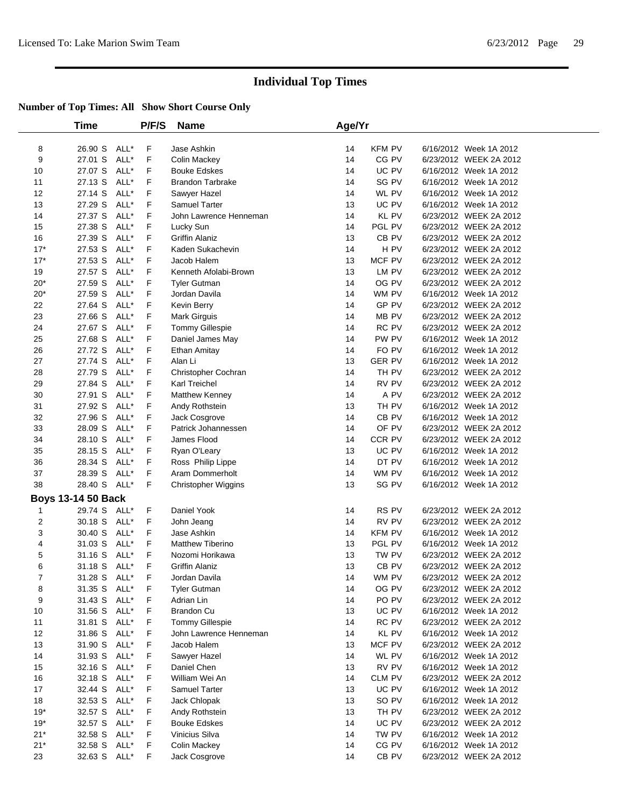|       | Time                      |      | P/F/S | <b>Name</b>                | Age/Yr |                  |                        |
|-------|---------------------------|------|-------|----------------------------|--------|------------------|------------------------|
| 8     | 26.90 S                   | ALL* | F     | Jase Ashkin                | 14     | <b>KFM PV</b>    | 6/16/2012 Week 1A 2012 |
| 9     | 27.01 S                   | ALL* | F     | Colin Mackey               | 14     | CG PV            | 6/23/2012 WEEK 2A 2012 |
| 10    | 27.07 S                   | ALL* | F     | <b>Bouke Edskes</b>        | 14     | UC PV            | 6/16/2012 Week 1A 2012 |
| 11    | 27.13 S                   | ALL* | F     | <b>Brandon Tarbrake</b>    | 14     | SG PV            | 6/16/2012 Week 1A 2012 |
| 12    | 27.14 S                   | ALL* | F     | Sawyer Hazel               | 14     | WL PV            | 6/16/2012 Week 1A 2012 |
| 13    | 27.29 S                   | ALL* | F     | <b>Samuel Tarter</b>       | 13     | UC PV            | 6/16/2012 Week 1A 2012 |
| 14    | 27.37 S                   | ALL* | F     | John Lawrence Henneman     | 14     | <b>KL PV</b>     | 6/23/2012 WEEK 2A 2012 |
| 15    | 27.38 S                   | ALL* | F     | Lucky Sun                  | 14     | PGL PV           | 6/23/2012 WEEK 2A 2012 |
| 16    | 27.39 S                   | ALL* | F     | <b>Griffin Alaniz</b>      | 13     | CB PV            | 6/23/2012 WEEK 2A 2012 |
| $17*$ | 27.53 S                   | ALL* | F     | Kaden Sukachevin           | 14     | H PV             | 6/23/2012 WEEK 2A 2012 |
| $17*$ | 27.53 S                   | ALL* | F     | Jacob Halem                | 13     | MCF PV           | 6/23/2012 WEEK 2A 2012 |
| 19    | 27.57 S                   | ALL* | F     | Kenneth Afolabi-Brown      | 13     | LM PV            | 6/23/2012 WEEK 2A 2012 |
| $20*$ | 27.59 S                   | ALL* | F     | <b>Tyler Gutman</b>        | 14     | OG PV            | 6/23/2012 WEEK 2A 2012 |
| $20*$ | 27.59 S                   | ALL* | F     | Jordan Davila              | 14     | WM PV            | 6/16/2012 Week 1A 2012 |
| 22    | 27.64 S                   | ALL* | F     | Kevin Berry                | 14     | GP PV            | 6/23/2012 WEEK 2A 2012 |
| 23    | 27.66 S                   | ALL* | F     | Mark Girguis               | 14     | MB PV            | 6/23/2012 WEEK 2A 2012 |
| 24    | 27.67 S                   | ALL* | F     | Tommy Gillespie            | 14     | RC PV            | 6/23/2012 WEEK 2A 2012 |
| 25    | 27.68 S                   | ALL* | F     | Daniel James May           | 14     | PW PV            | 6/16/2012 Week 1A 2012 |
| 26    | 27.72 S                   | ALL* | F     | Ethan Amitay               | 14     | FO PV            | 6/16/2012 Week 1A 2012 |
| 27    | 27.74 S                   | ALL* | F     | Alan Li                    | 13     | <b>GER PV</b>    | 6/16/2012 Week 1A 2012 |
| 28    | 27.79 S                   | ALL* | F     | Christopher Cochran        | 14     | TH PV            | 6/23/2012 WEEK 2A 2012 |
| 29    | 27.84 S                   | ALL* | F     | Karl Treichel              | 14     | RV PV            | 6/23/2012 WEEK 2A 2012 |
| 30    | 27.91 S                   | ALL* | F     | <b>Matthew Kenney</b>      | 14     | A PV             | 6/23/2012 WEEK 2A 2012 |
| 31    | 27.92 S                   | ALL* | F     | Andy Rothstein             | 13     | TH PV            | 6/16/2012 Week 1A 2012 |
| 32    | 27.96 S                   | ALL* | F     | Jack Cosgrove              | 14     | CB PV            | 6/16/2012 Week 1A 2012 |
| 33    | 28.09 S                   | ALL* | F     | Patrick Johannessen        | 14     | OF PV            | 6/23/2012 WEEK 2A 2012 |
| 34    | 28.10 S                   | ALL* | F     | James Flood                | 14     | CCR PV           | 6/23/2012 WEEK 2A 2012 |
| 35    | 28.15 S                   | ALL* | F     | Ryan O'Leary               | 13     | UC PV            | 6/16/2012 Week 1A 2012 |
| 36    | 28.34 S                   | ALL* | F     | Ross Philip Lippe          | 14     | DT PV            | 6/16/2012 Week 1A 2012 |
| 37    | 28.39 S                   | ALL* | F     | Aram Dommerholt            | 14     | WM PV            | 6/16/2012 Week 1A 2012 |
| 38    | 28.40 S ALL*              |      | F     | <b>Christopher Wiggins</b> | 13     | SG PV            | 6/16/2012 Week 1A 2012 |
|       | <b>Boys 13-14 50 Back</b> |      |       |                            |        |                  |                        |
| 1     | 29.74 S ALL*              |      | F     | Daniel Yook                | 14     | RS PV            | 6/23/2012 WEEK 2A 2012 |
| 2     | 30.18 S                   | ALL* | F     | John Jeang                 | 14     | RV PV            | 6/23/2012 WEEK 2A 2012 |
| 3     | 30.40 S                   | ALL* | F     | Jase Ashkin                | 14     | <b>KFM PV</b>    | 6/16/2012 Week 1A 2012 |
| 4     | 31.03 S                   | ALL* | F     | <b>Matthew Tiberino</b>    | 13     | PGL PV           | 6/16/2012 Week 1A 2012 |
| 5     | 31.16 S                   | ALL* | F     | Nozomi Horikawa            | 13     | TW PV            | 6/23/2012 WEEK 2A 2012 |
| 6     | 31.18 S ALL*              |      | F     | <b>Griffin Alaniz</b>      | 13     | CB <sub>PV</sub> | 6/23/2012 WEEK 2A 2012 |
| 7     | 31.28 S ALL*              |      | F     | Jordan Davila              | 14     | WM PV            | 6/23/2012 WEEK 2A 2012 |
| 8     | 31.35 S ALL*              |      | F     | <b>Tyler Gutman</b>        | 14     | OG PV            | 6/23/2012 WEEK 2A 2012 |
| 9     | 31.43 S                   | ALL* | F     | Adrian Lin                 | 14     | PO PV            | 6/23/2012 WEEK 2A 2012 |
| 10    | 31.56 S                   | ALL* | F     | Brandon Cu                 | 13     | UC PV            | 6/16/2012 Week 1A 2012 |
| 11    | 31.81 S ALL*              |      | F     | Tommy Gillespie            | 14     | RC PV            | 6/23/2012 WEEK 2A 2012 |
| 12    | 31.86 S                   | ALL* | F     | John Lawrence Henneman     | 14     | KL PV            | 6/16/2012 Week 1A 2012 |
| 13    | 31.90 S                   | ALL* | F     | Jacob Halem                | 13     | MCF PV           | 6/23/2012 WEEK 2A 2012 |
| 14    | 31.93 S                   | ALL* | F     | Sawyer Hazel               | 14     | WL PV            | 6/16/2012 Week 1A 2012 |
| 15    | 32.16 S                   | ALL* | F     | Daniel Chen                | 13     | RV PV            | 6/16/2012 Week 1A 2012 |
| 16    | 32.18 S                   | ALL* | F     | William Wei An             | 14     | <b>CLM PV</b>    | 6/23/2012 WEEK 2A 2012 |
| 17    | 32.44 S                   | ALL* | F     | Samuel Tarter              | 13     | UC PV            | 6/16/2012 Week 1A 2012 |
| 18    | 32.53 S                   | ALL* | F     | Jack Chlopak               | 13     | SO PV            | 6/16/2012 Week 1A 2012 |
| $19*$ | 32.57 S                   | ALL* | F     | Andy Rothstein             | 13     | TH PV            | 6/23/2012 WEEK 2A 2012 |
| $19*$ | 32.57 S                   | ALL* | F     | <b>Bouke Edskes</b>        | 14     | UC PV            | 6/23/2012 WEEK 2A 2012 |
| $21*$ | 32.58 S                   | ALL* | F     | Vinicius Silva             | 14     | TW PV            | 6/16/2012 Week 1A 2012 |
| $21*$ | 32.58 S                   | ALL* | F     | Colin Mackey               | 14     | CG PV            | 6/16/2012 Week 1A 2012 |
| 23    | 32.63 S ALL*              |      | F.    | Jack Cosgrove              | 14     | CB PV            | 6/23/2012 WEEK 2A 2012 |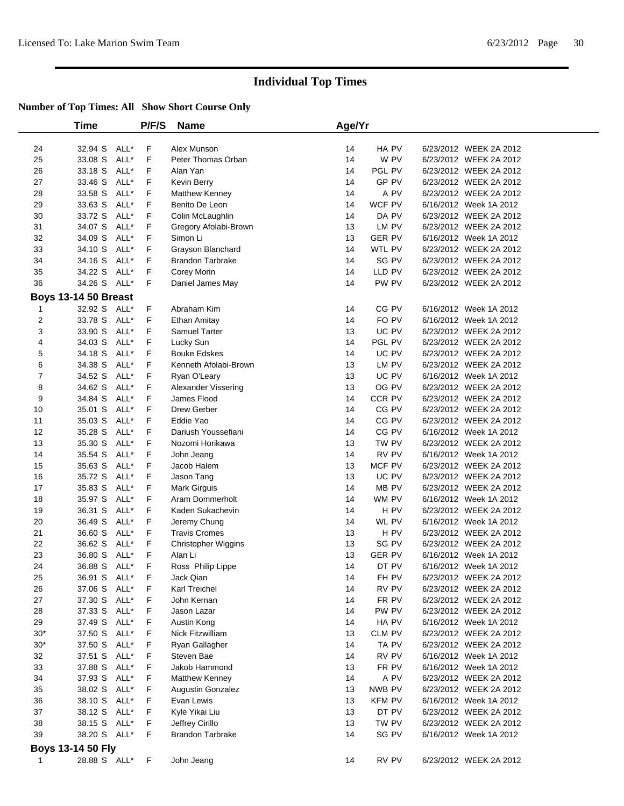|                | Time                        |      | P/F/S | <b>Name</b>             | Age/Yr |               |                        |
|----------------|-----------------------------|------|-------|-------------------------|--------|---------------|------------------------|
|                |                             |      |       |                         |        |               |                        |
| 24             | 32.94 S                     | ALL* | F     | Alex Munson             | 14     | HA PV         | 6/23/2012 WEEK 2A 2012 |
| 25             | 33.08 S                     | ALL* | F     | Peter Thomas Orban      | 14     | W PV          | 6/23/2012 WEEK 2A 2012 |
| 26             | 33.18 S                     | ALL* | F     | Alan Yan                | 14     | PGL PV        | 6/23/2012 WEEK 2A 2012 |
| 27             | 33.46 S                     | ALL* | F     | Kevin Berry             | 14     | GP PV         | 6/23/2012 WEEK 2A 2012 |
| 28             | 33.58 S                     | ALL* | F     | <b>Matthew Kenney</b>   | 14     | A PV          | 6/23/2012 WEEK 2A 2012 |
| 29             | 33.63 S                     | ALL* | F     | Benito De Leon          | 14     | WCF PV        | 6/16/2012 Week 1A 2012 |
| 30             | 33.72 S                     | ALL* | F     | Colin McLaughlin        | 14     | DA PV         | 6/23/2012 WEEK 2A 2012 |
| 31             | 34.07 S                     | ALL* | F     | Gregory Afolabi-Brown   | 13     | LM PV         | 6/23/2012 WEEK 2A 2012 |
| 32             | 34.09 S                     | ALL* | F     | Simon Li                | 13     | <b>GER PV</b> | 6/16/2012 Week 1A 2012 |
| 33             | 34.10 S                     | ALL* | F     | Grayson Blanchard       | 14     | WTL PV        | 6/23/2012 WEEK 2A 2012 |
| 34             | 34.16 S                     | ALL* | F     | <b>Brandon Tarbrake</b> | 14     | SG PV         | 6/23/2012 WEEK 2A 2012 |
| 35             | 34.22 S                     | ALL* | F     | Corey Morin             | 14     | LLD PV        | 6/23/2012 WEEK 2A 2012 |
| 36             | 34.26 S                     | ALL* | F     | Daniel James May        | 14     | PW PV         | 6/23/2012 WEEK 2A 2012 |
|                | <b>Boys 13-14 50 Breast</b> |      |       |                         |        |               |                        |
| 1              | 32.92 S                     | ALL* | F     | Abraham Kim             | 14     | CG PV         | 6/16/2012 Week 1A 2012 |
| $\overline{2}$ | 33.78 S                     | ALL* | F     | Ethan Amitay            | 14     | FO PV         | 6/16/2012 Week 1A 2012 |
| 3              | 33.90 S                     | ALL* | F     | <b>Samuel Tarter</b>    | 13     | UC PV         | 6/23/2012 WEEK 2A 2012 |
| $\overline{4}$ | 34.03 S                     | ALL* | F     | Lucky Sun               | 14     | PGL PV        | 6/23/2012 WEEK 2A 2012 |
| 5              | 34.18 S                     | ALL* | F     | <b>Bouke Edskes</b>     | 14     | UC PV         | 6/23/2012 WEEK 2A 2012 |
| 6              | 34.38 S                     | ALL* | F     | Kenneth Afolabi-Brown   | 13     | LM PV         | 6/23/2012 WEEK 2A 2012 |
| $\overline{7}$ | 34.52 S                     | ALL* | F     | Ryan O'Leary            | 13     | UC PV         | 6/16/2012 Week 1A 2012 |
| 8              | 34.62 S                     | ALL* | F     | Alexander Vissering     | 13     | OG PV         | 6/23/2012 WEEK 2A 2012 |
| 9              | 34.84 S                     | ALL* | F     | James Flood             | 14     | CCR PV        | 6/23/2012 WEEK 2A 2012 |
| 10             | 35.01 S                     | ALL* | F     | Drew Gerber             | 14     | CG PV         | 6/23/2012 WEEK 2A 2012 |
| 11             | 35.03 S                     | ALL* | F     | Eddie Yao               | 14     | CG PV         | 6/23/2012 WEEK 2A 2012 |
| 12             | 35.28 S                     | ALL* | F     | Dariush Youssefiani     | 14     | CG PV         | 6/16/2012 Week 1A 2012 |
| 13             | 35.30 S                     | ALL* | F     | Nozomi Horikawa         | 13     | TW PV         | 6/23/2012 WEEK 2A 2012 |
| 14             | 35.54 S                     | ALL* | F     | John Jeang              | 14     | RV PV         | 6/16/2012 Week 1A 2012 |
| 15             | 35.63 S                     | ALL* | F     | Jacob Halem             | 13     | MCF PV        | 6/23/2012 WEEK 2A 2012 |
| 16             | 35.72 S                     | ALL* | F     | Jason Tang              | 13     | UC PV         | 6/23/2012 WEEK 2A 2012 |
| 17             | 35.83 S                     | ALL* | F     | Mark Girguis            | 14     | MB PV         | 6/23/2012 WEEK 2A 2012 |
| 18             | 35.97 S                     | ALL* | F     | Aram Dommerholt         | 14     | WM PV         | 6/16/2012 Week 1A 2012 |
| 19             | 36.31 S                     | ALL* | F     | Kaden Sukachevin        | 14     | H PV          | 6/23/2012 WEEK 2A 2012 |
| 20             | 36.49 S                     | ALL* | F     | Jeremy Chung            | 14     | WL PV         | 6/16/2012 Week 1A 2012 |
| 21             | 36.60 S                     | ALL* | F     | <b>Travis Cromes</b>    | 13     | H PV          | 6/23/2012 WEEK 2A 2012 |
| 22             | 36.62 S                     | ALL* | F     | Christopher Wiggins     | 13     | SG PV         | 6/23/2012 WEEK 2A 2012 |
| 23             | 36.80 S                     | ALL* | F     | Alan Li                 | 13     | <b>GER PV</b> | 6/16/2012 Week 1A 2012 |
| 24             | 36.88 S                     | ALL* | F     | Ross Philip Lippe       | 14     | DT PV         | 6/16/2012 Week 1A 2012 |
| 25             | 36.91 S ALL*                |      | F     | Jack Qian               | 14     | FH PV         | 6/23/2012 WEEK 2A 2012 |
| 26             | 37.06 S ALL*                |      | F     | Karl Treichel           | 14     | RV PV         | 6/23/2012 WEEK 2A 2012 |
| 27             | 37.30 S                     | ALL* | F     | John Kernan             | 14     | FR PV         | 6/23/2012 WEEK 2A 2012 |
| 28             | 37.33 S                     | ALL* | F     | Jason Lazar             | 14     | PW PV         | 6/23/2012 WEEK 2A 2012 |
| 29             | 37.49 S                     | ALL* | F     | Austin Kong             | 14     | HA PV         | 6/16/2012 Week 1A 2012 |
| $30*$          | 37.50 S                     | ALL* | F     | Nick Fitzwilliam        | 13     | CLM PV        | 6/23/2012 WEEK 2A 2012 |
| $30*$          | 37.50 S                     | ALL* | F     | Ryan Gallagher          | 14     | TA PV         | 6/23/2012 WEEK 2A 2012 |
| 32             | 37.51 S                     | ALL* | F     | Steven Bae              | 14     | RV PV         | 6/16/2012 Week 1A 2012 |
| 33             | 37.88 S                     | ALL* | F     | Jakob Hammond           | 13     | FR PV         | 6/16/2012 Week 1A 2012 |
| 34             | 37.93 S                     | ALL* | F     | <b>Matthew Kenney</b>   | 14     | A PV          | 6/23/2012 WEEK 2A 2012 |
| 35             | 38.02 S                     | ALL* | F     | Augustin Gonzalez       | 13     | NWB PV        | 6/23/2012 WEEK 2A 2012 |
| 36             | 38.10 S                     | ALL* | F     | Evan Lewis              | 13     | <b>KFM PV</b> | 6/16/2012 Week 1A 2012 |
| 37             | 38.12 S                     | ALL* | F     | Kyle Yikai Liu          | 13     | DT PV         | 6/23/2012 WEEK 2A 2012 |
| 38             | 38.15 S ALL*                |      | F     | Jeffrey Cirillo         | 13     | TW PV         | 6/23/2012 WEEK 2A 2012 |
| 39             | 38.20 S ALL*                |      | F     | <b>Brandon Tarbrake</b> | 14     | SG PV         | 6/16/2012 Week 1A 2012 |
|                |                             |      |       |                         |        |               |                        |
|                | <b>Boys 13-14 50 Fly</b>    |      |       |                         |        |               |                        |
| 1              | 28.88 S ALL*                |      | F     | John Jeang              | 14     | RV PV         | 6/23/2012 WEEK 2A 2012 |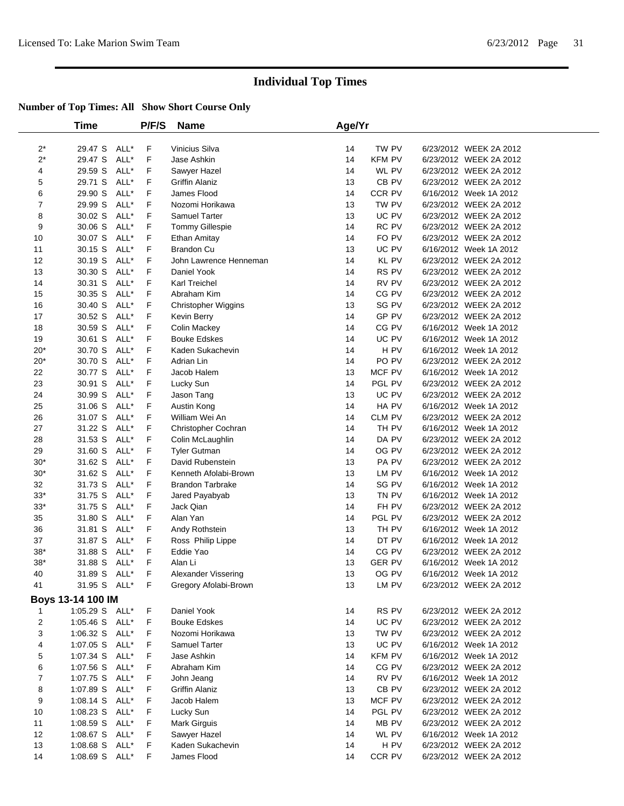|                | Time              |      | P/F/S  | <b>Name</b>                   | Age/Yr   |                 |                                                  |
|----------------|-------------------|------|--------|-------------------------------|----------|-----------------|--------------------------------------------------|
|                |                   |      |        |                               |          |                 |                                                  |
| $2^*$          | 29.47 S           | ALL* | F      | Vinicius Silva                | 14       | TW PV           | 6/23/2012 WEEK 2A 2012                           |
| $2^*$          | 29.47 S           | ALL* | F      | Jase Ashkin                   | 14       | <b>KFM PV</b>   | 6/23/2012 WEEK 2A 2012                           |
| 4              | 29.59 S           | ALL* | F      | Sawyer Hazel                  | 14       | WL PV           | 6/23/2012 WEEK 2A 2012                           |
| 5              | 29.71 S           | ALL* | F      | <b>Griffin Alaniz</b>         | 13       | CB PV           | 6/23/2012 WEEK 2A 2012                           |
| 6              | 29.90 S           | ALL* | F      | James Flood                   | 14       | CCR PV          | 6/16/2012 Week 1A 2012                           |
| 7              | 29.99 S           | ALL* | F      | Nozomi Horikawa               | 13       | TW PV           | 6/23/2012 WEEK 2A 2012                           |
| 8              | 30.02 S           | ALL* | F      | <b>Samuel Tarter</b>          | 13       | UC PV           | 6/23/2012 WEEK 2A 2012                           |
| 9              | 30.06 S           | ALL* | F      | Tommy Gillespie               | 14       | RC PV           | 6/23/2012 WEEK 2A 2012                           |
| 10             | 30.07 S           | ALL* | F      | <b>Ethan Amitay</b>           | 14       | FO PV           | 6/23/2012 WEEK 2A 2012                           |
| 11             | 30.15 S           | ALL* | F      | <b>Brandon Cu</b>             | 13       | UC PV           | 6/16/2012 Week 1A 2012                           |
| 12             | 30.19 S           | ALL* | F      | John Lawrence Henneman        | 14       | KL PV           | 6/23/2012 WEEK 2A 2012                           |
| 13             | 30.30 S           | ALL* | F      | Daniel Yook                   | 14       | RS PV           | 6/23/2012 WEEK 2A 2012                           |
| 14             | 30.31 S           | ALL* | F      | Karl Treichel                 | 14       | RV PV           | 6/23/2012 WEEK 2A 2012                           |
| 15             | 30.35 S           | ALL* | F      | Abraham Kim                   | 14       | CG PV           | 6/23/2012 WEEK 2A 2012                           |
| 16             | 30.40 S           | ALL* | F      | <b>Christopher Wiggins</b>    | 13       | SG PV           | 6/23/2012 WEEK 2A 2012                           |
| 17             | 30.52 S           | ALL* | F      | Kevin Berry                   | 14       | GP PV           | 6/23/2012 WEEK 2A 2012                           |
| 18             | 30.59 S           | ALL* | F      | Colin Mackey                  | 14       | CG PV           | 6/16/2012 Week 1A 2012                           |
| 19             | 30.61 S           | ALL* | F      | <b>Bouke Edskes</b>           | 14       | UC PV           | 6/16/2012 Week 1A 2012                           |
| $20*$          | 30.70 S           | ALL* | F      | Kaden Sukachevin              | 14       | H PV            | 6/16/2012 Week 1A 2012                           |
| $20*$          | 30.70 S           | ALL* | F      | Adrian Lin                    | 14       | PO PV           | 6/23/2012 WEEK 2A 2012                           |
| 22             | 30.77 S           | ALL* | F      | Jacob Halem                   | 13       | MCF PV          | 6/16/2012 Week 1A 2012                           |
| 23             | 30.91 S           | ALL* | F      | Lucky Sun                     | 14       | PGL PV          | 6/23/2012 WEEK 2A 2012                           |
| 24             | 30.99 S           | ALL* | F      | Jason Tang                    | 13       | UC PV           | 6/23/2012 WEEK 2A 2012                           |
| 25             | 31.06 S           | ALL* | F      | Austin Kong                   | 14       | HA PV           | 6/16/2012 Week 1A 2012                           |
| 26             | 31.07 S           | ALL* | F      | William Wei An                | 14       | CLM PV          | 6/23/2012 WEEK 2A 2012                           |
| 27             | 31.22 S           | ALL* | F      | Christopher Cochran           | 14       | TH PV           | 6/16/2012 Week 1A 2012                           |
| 28             | 31.53 S           | ALL* | F      | Colin McLaughlin              | 14       | DA PV           | 6/23/2012 WEEK 2A 2012                           |
| 29             | 31.60 S           | ALL* | F      | <b>Tyler Gutman</b>           | 14       | OG PV           | 6/23/2012 WEEK 2A 2012                           |
| $30*$          | 31.62 S           | ALL* | F      | David Rubenstein              | 13       | PA PV           | 6/23/2012 WEEK 2A 2012                           |
| $30*$          | 31.62 S           | ALL* | F      | Kenneth Afolabi-Brown         | 13       | LM PV           | 6/16/2012 Week 1A 2012                           |
| 32             | 31.73 S           | ALL* | F      | <b>Brandon Tarbrake</b>       | 14       | SG PV           | 6/16/2012 Week 1A 2012                           |
| $33*$          | 31.75 S           | ALL* | F      | Jared Payabyab                | 13       | TN PV           | 6/16/2012 Week 1A 2012                           |
| $33*$          | 31.75 S           | ALL* | F      | Jack Qian                     | 14       | FH PV           | 6/23/2012 WEEK 2A 2012                           |
| 35             | 31.80 S           | ALL* | F      | Alan Yan                      | 14       | PGL PV          | 6/23/2012 WEEK 2A 2012                           |
| 36             | 31.81 S           | ALL* | F      | Andy Rothstein                | 13       | TH PV           | 6/16/2012 Week 1A 2012                           |
| 37             | 31.87 S           | ALL* | F      | Ross Philip Lippe             | 14       | DT PV           | 6/16/2012 Week 1A 2012                           |
| $38*$          | 31.88 S           | ALL* | F      | Eddie Yao                     | 14       | CG PV           | 6/23/2012 WEEK 2A 2012                           |
| $38*$          | 31.88 S           | ALL* | F      | Alan Li                       | 13       | <b>GER PV</b>   | 6/16/2012 Week 1A 2012                           |
| 40             | 31.89 S           | ALL* | F      | Alexander Vissering           | 13       | OG PV           | 6/16/2012 Week 1A 2012                           |
| 41             | 31.95 S ALL*      |      | F      | Gregory Afolabi-Brown         | 13       | LM PV           | 6/23/2012 WEEK 2A 2012                           |
|                | Boys 13-14 100 IM |      |        |                               |          |                 |                                                  |
| 1              | 1:05.29 S ALL*    |      | F      | Daniel Yook                   | 14       | RS PV           | 6/23/2012 WEEK 2A 2012                           |
| 2              | 1:05.46 S ALL*    |      | F      | <b>Bouke Edskes</b>           | 14       | UC PV           | 6/23/2012 WEEK 2A 2012                           |
| 3              | 1:06.32 S         | ALL* | F      | Nozomi Horikawa               | 13       | TW PV           | 6/23/2012 WEEK 2A 2012                           |
| 4              | $1:07.05$ S       | ALL* | F      | <b>Samuel Tarter</b>          | 13       | UC PV           | 6/16/2012 Week 1A 2012                           |
| 5              | 1:07.34 S         | ALL* | F      | Jase Ashkin                   | 14       | <b>KFM PV</b>   | 6/16/2012 Week 1A 2012                           |
| 6              | $1:07.56$ S       | ALL* | F      | Abraham Kim                   | 14       | CG PV           | 6/23/2012 WEEK 2A 2012                           |
| $\overline{7}$ | 1:07.75 S ALL*    |      | F      | John Jeang                    | 14       | RV PV           | 6/16/2012 Week 1A 2012                           |
|                | 1:07.89 S ALL*    |      |        |                               |          |                 |                                                  |
| 8<br>9         | 1:08.14 S ALL*    |      | F<br>F | Griffin Alaniz<br>Jacob Halem | 13<br>13 | CB PV<br>MCF PV | 6/23/2012 WEEK 2A 2012<br>6/23/2012 WEEK 2A 2012 |
| 10             | 1:08.23 S ALL*    |      | F      |                               | 14       | PGL PV          | 6/23/2012 WEEK 2A 2012                           |
| 11             |                   |      |        | Lucky Sun                     |          |                 |                                                  |
| 12             | 1:08.59 S ALL*    |      | F      | Mark Girguis                  | 14       | MB PV           | 6/23/2012 WEEK 2A 2012                           |
|                | 1:08.67 S         | ALL* | F      | Sawyer Hazel                  | 14       | WL PV           | 6/16/2012 Week 1A 2012                           |
| 13             | 1:08.68 S         | ALL* | F      | Kaden Sukachevin              | 14       | H PV            | 6/23/2012 WEEK 2A 2012                           |
| 14             | 1:08.69 S ALL*    |      | F      | James Flood                   | 14       | CCR PV          | 6/23/2012 WEEK 2A 2012                           |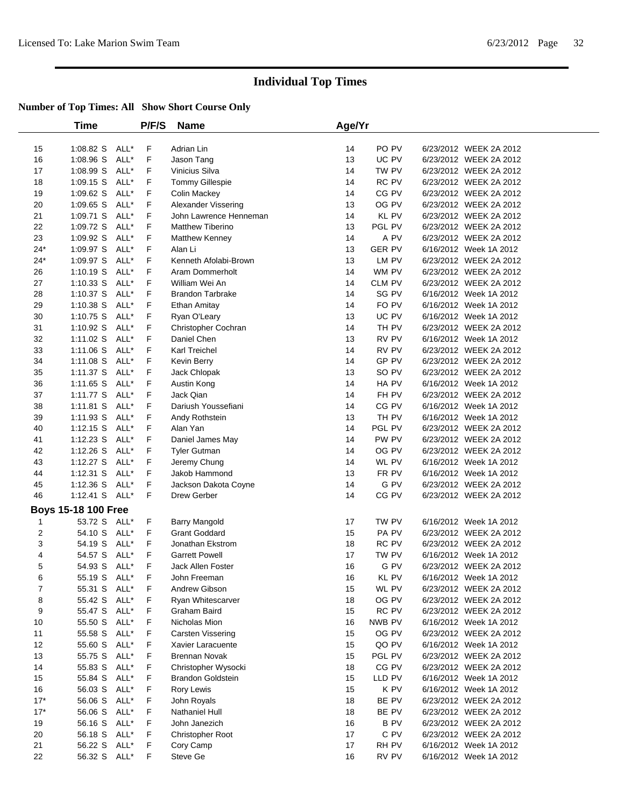|              | <b>Time</b>                |      | P/F/S | <b>Name</b>              | Age/Yr |                 |                        |
|--------------|----------------------------|------|-------|--------------------------|--------|-----------------|------------------------|
| 15           | 1:08.82 S                  | ALL* | F     | Adrian Lin               | 14     | PO PV           | 6/23/2012 WEEK 2A 2012 |
| 16           | 1:08.96 S                  | ALL* | F     | Jason Tang               | 13     | UC PV           | 6/23/2012 WEEK 2A 2012 |
| 17           | 1:08.99 S                  | ALL* | F     | Vinicius Silva           | 14     | TW PV           | 6/23/2012 WEEK 2A 2012 |
| 18           | $1:09.15$ S                | ALL* | F     | Tommy Gillespie          | 14     | RC PV           | 6/23/2012 WEEK 2A 2012 |
| 19           | 1:09.62 S                  | ALL* | F     | <b>Colin Mackey</b>      | 14     | CG PV           | 6/23/2012 WEEK 2A 2012 |
| 20           | $1:09.65$ S                | ALL* | F     | Alexander Vissering      | 13     | OG PV           | 6/23/2012 WEEK 2A 2012 |
| 21           | 1:09.71 S                  | ALL* | F     | John Lawrence Henneman   | 14     | KL PV           | 6/23/2012 WEEK 2A 2012 |
| 22           | 1:09.72 S                  | ALL* | F     | <b>Matthew Tiberino</b>  | 13     | PGL PV          | 6/23/2012 WEEK 2A 2012 |
| 23           | 1:09.92 S                  | ALL* | F     | Matthew Kenney           | 14     | A PV            | 6/23/2012 WEEK 2A 2012 |
| $24*$        | 1:09.97 S                  | ALL* | F     | Alan Li                  | 13     | <b>GER PV</b>   | 6/16/2012 Week 1A 2012 |
| $24*$        | 1:09.97 S                  | ALL* | F     | Kenneth Afolabi-Brown    | 13     | LM PV           | 6/23/2012 WEEK 2A 2012 |
| 26           | $1:10.19$ S                | ALL* | F     | Aram Dommerholt          | 14     | WM PV           | 6/23/2012 WEEK 2A 2012 |
| 27           | 1:10.33 S                  | ALL* | F     | William Wei An           | 14     | CLM PV          | 6/23/2012 WEEK 2A 2012 |
| 28           | 1:10.37 S                  | ALL* | F     | <b>Brandon Tarbrake</b>  | 14     | SG PV           | 6/16/2012 Week 1A 2012 |
| 29           | $1:10.38$ S                | ALL* | F     | Ethan Amitay             | 14     | FO PV           | 6/16/2012 Week 1A 2012 |
| 30           | $1:10.75$ S                | ALL* | F     | Ryan O'Leary             | 13     | UC PV           | 6/16/2012 Week 1A 2012 |
| 31           | 1:10.92 S                  | ALL* | F     | Christopher Cochran      | 14     | TH PV           | 6/23/2012 WEEK 2A 2012 |
| 32           | 1:11.02 S                  | ALL* | F     | Daniel Chen              | 13     | RV PV           | 6/16/2012 Week 1A 2012 |
| 33           | 1:11.06 S                  | ALL* | F     | <b>Karl Treichel</b>     | 14     | RV PV           | 6/23/2012 WEEK 2A 2012 |
| 34           | 1:11.08 S                  | ALL* | F     | Kevin Berry              | 14     | GP PV           | 6/23/2012 WEEK 2A 2012 |
| 35           | $1:11.37$ S                | ALL* | F     | Jack Chlopak             | 13     | SO PV           | 6/23/2012 WEEK 2A 2012 |
| 36           | $1:11.65$ S                | ALL* | F     | Austin Kong              | 14     | HA PV           | 6/16/2012 Week 1A 2012 |
| 37           | 1:11.77 S                  | ALL* | F     | Jack Qian                | 14     | FH PV           | 6/23/2012 WEEK 2A 2012 |
| 38           | 1:11.81 S                  | ALL* | F     | Dariush Youssefiani      | 14     | CG PV           | 6/16/2012 Week 1A 2012 |
| 39           | 1:11.93 S                  | ALL* | F     | Andy Rothstein           | 13     | TH PV           | 6/16/2012 Week 1A 2012 |
| 40           | $1:12.15$ S                | ALL* | F     | Alan Yan                 | 14     | PGL PV          | 6/23/2012 WEEK 2A 2012 |
| 41           | $1:12.23$ S                | ALL* | F     | Daniel James May         | 14     | PW PV           | 6/23/2012 WEEK 2A 2012 |
| 42           | $1:12.26$ S                | ALL* | F     | <b>Tyler Gutman</b>      | 14     | OG PV           | 6/23/2012 WEEK 2A 2012 |
| 43           | $1:12.27$ S                | ALL* | F     | Jeremy Chung             | 14     | WL PV           | 6/16/2012 Week 1A 2012 |
| 44           | $1:12.31$ S                | ALL* | F     | Jakob Hammond            | 13     | FR PV           | 6/16/2012 Week 1A 2012 |
| 45           | $1:12.36$ S                | ALL* | F     | Jackson Dakota Coyne     | 14     | G PV            | 6/23/2012 WEEK 2A 2012 |
| 46           | 1:12.41 S ALL*             |      | F     | Drew Gerber              | 14     | CG PV           | 6/23/2012 WEEK 2A 2012 |
|              | <b>Boys 15-18 100 Free</b> |      |       |                          |        |                 |                        |
| $\mathbf{1}$ | 53.72 S ALL*               |      | F.    | <b>Barry Mangold</b>     | 17     | TW PV           | 6/16/2012 Week 1A 2012 |
| 2            | 54.10 S                    | ALL* | F     | <b>Grant Goddard</b>     | 15     | PA PV           | 6/23/2012 WEEK 2A 2012 |
| 3            | 54.19 S                    | ALL* | F     | Jonathan Ekstrom         | 18     | RC PV           | 6/23/2012 WEEK 2A 2012 |
| 4            | 54.57 S ALL*               |      | F     | <b>Garrett Powell</b>    | 17     | TW PV           | 6/16/2012 Week 1A 2012 |
| 5            | 54.93 S ALL*               |      | F     | Jack Allen Foster        | 16     | G PV            | 6/23/2012 WEEK 2A 2012 |
| 6            | 55.19 S ALL*               |      | F     | John Freeman             | 16     | KL PV           | 6/16/2012 Week 1A 2012 |
| 7            | 55.31 S ALL*               |      | F     | Andrew Gibson            | 15     | WL PV           | 6/23/2012 WEEK 2A 2012 |
| 8            | 55.42 S ALL*               |      | F     | Ryan Whitescarver        | 18     | OG PV           | 6/23/2012 WEEK 2A 2012 |
| 9            | 55.47 S ALL*               |      | F     | Graham Baird             | 15     | RC PV           | 6/23/2012 WEEK 2A 2012 |
| 10           | 55.50 S ALL*               |      | F     | Nicholas Mion            | 16     | NWB PV          | 6/16/2012 Week 1A 2012 |
| 11           | 55.58 S                    | ALL* | F     | Carsten Vissering        | 15     | OG PV           | 6/23/2012 WEEK 2A 2012 |
| 12           | 55.60 S                    | ALL* | F     | Xavier Laracuente        | 15     | QO PV           | 6/16/2012 Week 1A 2012 |
| 13           | 55.75 S                    | ALL* | F     | <b>Brennan Novak</b>     | 15     | PGL PV          | 6/23/2012 WEEK 2A 2012 |
| 14           | 55.83 S                    | ALL* | F     | Christopher Wysocki      | 18     | $CG$ ${\sf PV}$ | 6/23/2012 WEEK 2A 2012 |
| 15           | 55.84 S                    | ALL* | F     | <b>Brandon Goldstein</b> | 15     | LLD PV          | 6/16/2012 Week 1A 2012 |
| 16           | 56.03 S                    | ALL* | F     | Rory Lewis               | 15     | K PV            | 6/16/2012 Week 1A 2012 |
| $17*$        | 56.06 S                    | ALL* | F     | John Royals              | 18     | BE PV           | 6/23/2012 WEEK 2A 2012 |
| $17*$        | 56.06 S                    | ALL* | F     | Nathaniel Hull           | 18     | BE PV           | 6/23/2012 WEEK 2A 2012 |
| 19           | 56.16 S                    | ALL* | F     | John Janezich            | 16     | B PV            | 6/23/2012 WEEK 2A 2012 |
| 20           | 56.18 S                    | ALL* | F     | Christopher Root         | 17     | C PV            | 6/23/2012 WEEK 2A 2012 |
| 21           | 56.22 S                    | ALL* | F     | Cory Camp                | 17     | RH PV           | 6/16/2012 Week 1A 2012 |
| 22           | 56.32 S ALL*               |      | F.    | Steve Ge                 | 16     | RV PV           | 6/16/2012 Week 1A 2012 |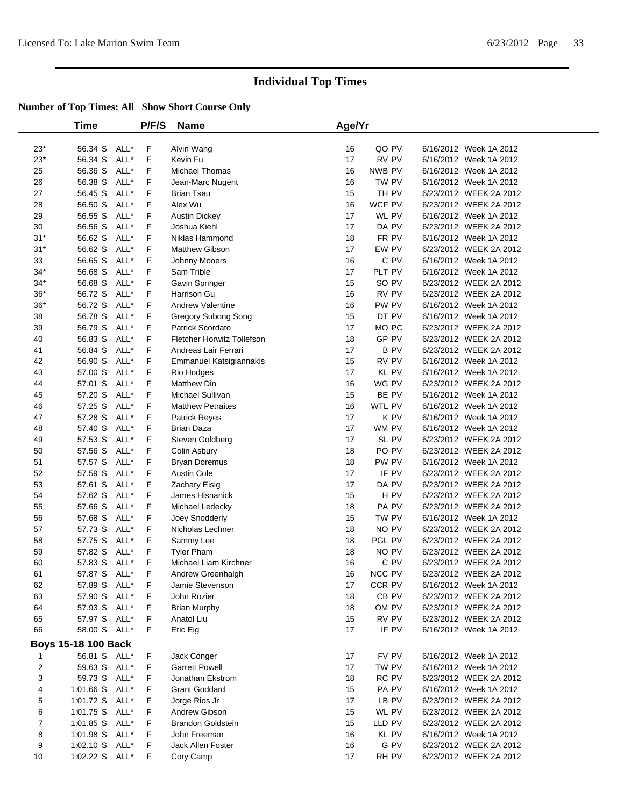| Time        |                                                                                                 | <b>P/F/S</b>                                                                                                                                                                                                                 | <b>Name</b>                                              |                                                                                                                                                          |                                                                |                                                                                                                                     |                                                                                                                                                                                                                                                                                                                                                                                                                                                                                                                                                                                                                                                                                                                                                                                                                                                                                                                                                                                                                                                                                                                                                                                                                                                                                                                                                                                                                                                          |
|-------------|-------------------------------------------------------------------------------------------------|------------------------------------------------------------------------------------------------------------------------------------------------------------------------------------------------------------------------------|----------------------------------------------------------|----------------------------------------------------------------------------------------------------------------------------------------------------------|----------------------------------------------------------------|-------------------------------------------------------------------------------------------------------------------------------------|----------------------------------------------------------------------------------------------------------------------------------------------------------------------------------------------------------------------------------------------------------------------------------------------------------------------------------------------------------------------------------------------------------------------------------------------------------------------------------------------------------------------------------------------------------------------------------------------------------------------------------------------------------------------------------------------------------------------------------------------------------------------------------------------------------------------------------------------------------------------------------------------------------------------------------------------------------------------------------------------------------------------------------------------------------------------------------------------------------------------------------------------------------------------------------------------------------------------------------------------------------------------------------------------------------------------------------------------------------------------------------------------------------------------------------------------------------|
| 56.34 S     | ALL*                                                                                            | F                                                                                                                                                                                                                            |                                                          | 16                                                                                                                                                       | QO PV                                                          |                                                                                                                                     |                                                                                                                                                                                                                                                                                                                                                                                                                                                                                                                                                                                                                                                                                                                                                                                                                                                                                                                                                                                                                                                                                                                                                                                                                                                                                                                                                                                                                                                          |
| 56.34 S     | ALL*                                                                                            | F                                                                                                                                                                                                                            | Kevin Fu                                                 | 17                                                                                                                                                       | RV PV                                                          |                                                                                                                                     |                                                                                                                                                                                                                                                                                                                                                                                                                                                                                                                                                                                                                                                                                                                                                                                                                                                                                                                                                                                                                                                                                                                                                                                                                                                                                                                                                                                                                                                          |
| 56.36 S     | ALL*                                                                                            | F                                                                                                                                                                                                                            | <b>Michael Thomas</b>                                    | 16                                                                                                                                                       | NWB PV                                                         |                                                                                                                                     |                                                                                                                                                                                                                                                                                                                                                                                                                                                                                                                                                                                                                                                                                                                                                                                                                                                                                                                                                                                                                                                                                                                                                                                                                                                                                                                                                                                                                                                          |
| 56.38 S     | ALL*                                                                                            | F                                                                                                                                                                                                                            | Jean-Marc Nugent                                         | 16                                                                                                                                                       | TW PV                                                          |                                                                                                                                     |                                                                                                                                                                                                                                                                                                                                                                                                                                                                                                                                                                                                                                                                                                                                                                                                                                                                                                                                                                                                                                                                                                                                                                                                                                                                                                                                                                                                                                                          |
| 56.45 S     | ALL*                                                                                            | F                                                                                                                                                                                                                            | Brian Tsau                                               | 15                                                                                                                                                       | TH PV                                                          |                                                                                                                                     |                                                                                                                                                                                                                                                                                                                                                                                                                                                                                                                                                                                                                                                                                                                                                                                                                                                                                                                                                                                                                                                                                                                                                                                                                                                                                                                                                                                                                                                          |
| 56.50 S     | ALL*                                                                                            | F                                                                                                                                                                                                                            | Alex Wu                                                  | 16                                                                                                                                                       | WCF PV                                                         |                                                                                                                                     |                                                                                                                                                                                                                                                                                                                                                                                                                                                                                                                                                                                                                                                                                                                                                                                                                                                                                                                                                                                                                                                                                                                                                                                                                                                                                                                                                                                                                                                          |
| 56.55 S     | ALL*                                                                                            | F                                                                                                                                                                                                                            | <b>Austin Dickey</b>                                     | 17                                                                                                                                                       | WL PV                                                          |                                                                                                                                     |                                                                                                                                                                                                                                                                                                                                                                                                                                                                                                                                                                                                                                                                                                                                                                                                                                                                                                                                                                                                                                                                                                                                                                                                                                                                                                                                                                                                                                                          |
| 56.56 S     | ALL*                                                                                            | F                                                                                                                                                                                                                            | Joshua Kiehl                                             | 17                                                                                                                                                       | DA PV                                                          |                                                                                                                                     |                                                                                                                                                                                                                                                                                                                                                                                                                                                                                                                                                                                                                                                                                                                                                                                                                                                                                                                                                                                                                                                                                                                                                                                                                                                                                                                                                                                                                                                          |
| 56.62 S     | ALL*                                                                                            | F                                                                                                                                                                                                                            | Niklas Hammond                                           | 18                                                                                                                                                       | FR PV                                                          |                                                                                                                                     |                                                                                                                                                                                                                                                                                                                                                                                                                                                                                                                                                                                                                                                                                                                                                                                                                                                                                                                                                                                                                                                                                                                                                                                                                                                                                                                                                                                                                                                          |
| 56.62 S     | ALL*                                                                                            | F                                                                                                                                                                                                                            | <b>Matthew Gibson</b>                                    | 17                                                                                                                                                       | EW PV                                                          |                                                                                                                                     |                                                                                                                                                                                                                                                                                                                                                                                                                                                                                                                                                                                                                                                                                                                                                                                                                                                                                                                                                                                                                                                                                                                                                                                                                                                                                                                                                                                                                                                          |
| 56.65 S     | ALL*                                                                                            | F                                                                                                                                                                                                                            | Johnny Mooers                                            | 16                                                                                                                                                       | C PV                                                           |                                                                                                                                     |                                                                                                                                                                                                                                                                                                                                                                                                                                                                                                                                                                                                                                                                                                                                                                                                                                                                                                                                                                                                                                                                                                                                                                                                                                                                                                                                                                                                                                                          |
| 56.68 S     | ALL*                                                                                            | F                                                                                                                                                                                                                            | Sam Trible                                               | 17                                                                                                                                                       | PLT PV                                                         |                                                                                                                                     |                                                                                                                                                                                                                                                                                                                                                                                                                                                                                                                                                                                                                                                                                                                                                                                                                                                                                                                                                                                                                                                                                                                                                                                                                                                                                                                                                                                                                                                          |
| 56.68 S     | ALL*                                                                                            | F                                                                                                                                                                                                                            | Gavin Springer                                           | 15                                                                                                                                                       | SO PV                                                          |                                                                                                                                     |                                                                                                                                                                                                                                                                                                                                                                                                                                                                                                                                                                                                                                                                                                                                                                                                                                                                                                                                                                                                                                                                                                                                                                                                                                                                                                                                                                                                                                                          |
| 56.72 S     | ALL*                                                                                            | F                                                                                                                                                                                                                            | Harrison Gu                                              | 16                                                                                                                                                       | RV PV                                                          |                                                                                                                                     |                                                                                                                                                                                                                                                                                                                                                                                                                                                                                                                                                                                                                                                                                                                                                                                                                                                                                                                                                                                                                                                                                                                                                                                                                                                                                                                                                                                                                                                          |
| 56.72 S     | ALL*                                                                                            | F                                                                                                                                                                                                                            | <b>Andrew Valentine</b>                                  | 16                                                                                                                                                       | PW PV                                                          |                                                                                                                                     |                                                                                                                                                                                                                                                                                                                                                                                                                                                                                                                                                                                                                                                                                                                                                                                                                                                                                                                                                                                                                                                                                                                                                                                                                                                                                                                                                                                                                                                          |
| 56.78 S     | ALL*                                                                                            | F                                                                                                                                                                                                                            | Gregory Subong Song                                      | 15                                                                                                                                                       | DT PV                                                          |                                                                                                                                     |                                                                                                                                                                                                                                                                                                                                                                                                                                                                                                                                                                                                                                                                                                                                                                                                                                                                                                                                                                                                                                                                                                                                                                                                                                                                                                                                                                                                                                                          |
| 56.79 S     | ALL*                                                                                            | F                                                                                                                                                                                                                            | <b>Patrick Scordato</b>                                  | 17                                                                                                                                                       | MO PC                                                          |                                                                                                                                     |                                                                                                                                                                                                                                                                                                                                                                                                                                                                                                                                                                                                                                                                                                                                                                                                                                                                                                                                                                                                                                                                                                                                                                                                                                                                                                                                                                                                                                                          |
| 56.83 S     | ALL*                                                                                            | F                                                                                                                                                                                                                            | <b>Fletcher Horwitz Tollefson</b>                        | 18                                                                                                                                                       | <b>GP PV</b>                                                   |                                                                                                                                     |                                                                                                                                                                                                                                                                                                                                                                                                                                                                                                                                                                                                                                                                                                                                                                                                                                                                                                                                                                                                                                                                                                                                                                                                                                                                                                                                                                                                                                                          |
| 56.84 S     | ALL*                                                                                            | F                                                                                                                                                                                                                            | Andreas Lair Ferrari                                     | 17                                                                                                                                                       | <b>B PV</b>                                                    |                                                                                                                                     |                                                                                                                                                                                                                                                                                                                                                                                                                                                                                                                                                                                                                                                                                                                                                                                                                                                                                                                                                                                                                                                                                                                                                                                                                                                                                                                                                                                                                                                          |
| 56.90 S     | ALL*                                                                                            | F                                                                                                                                                                                                                            | <b>Emmanuel Katsigiannakis</b>                           | 15                                                                                                                                                       | RV PV                                                          |                                                                                                                                     |                                                                                                                                                                                                                                                                                                                                                                                                                                                                                                                                                                                                                                                                                                                                                                                                                                                                                                                                                                                                                                                                                                                                                                                                                                                                                                                                                                                                                                                          |
| 57.00 S     | ALL*                                                                                            | F                                                                                                                                                                                                                            | Rio Hodges                                               | 17                                                                                                                                                       | KL PV                                                          |                                                                                                                                     |                                                                                                                                                                                                                                                                                                                                                                                                                                                                                                                                                                                                                                                                                                                                                                                                                                                                                                                                                                                                                                                                                                                                                                                                                                                                                                                                                                                                                                                          |
| 57.01 S     | ALL*                                                                                            | F                                                                                                                                                                                                                            | <b>Matthew Din</b>                                       | 16                                                                                                                                                       | WG PV                                                          |                                                                                                                                     |                                                                                                                                                                                                                                                                                                                                                                                                                                                                                                                                                                                                                                                                                                                                                                                                                                                                                                                                                                                                                                                                                                                                                                                                                                                                                                                                                                                                                                                          |
| 57.20 S     | ALL*                                                                                            | F                                                                                                                                                                                                                            | Michael Sullivan                                         | 15                                                                                                                                                       | BE PV                                                          |                                                                                                                                     |                                                                                                                                                                                                                                                                                                                                                                                                                                                                                                                                                                                                                                                                                                                                                                                                                                                                                                                                                                                                                                                                                                                                                                                                                                                                                                                                                                                                                                                          |
| 57.25 S     | ALL*                                                                                            | F                                                                                                                                                                                                                            | <b>Matthew Petraites</b>                                 | 16                                                                                                                                                       | WTL PV                                                         |                                                                                                                                     |                                                                                                                                                                                                                                                                                                                                                                                                                                                                                                                                                                                                                                                                                                                                                                                                                                                                                                                                                                                                                                                                                                                                                                                                                                                                                                                                                                                                                                                          |
| 57.28 S     | ALL*                                                                                            | F                                                                                                                                                                                                                            | <b>Patrick Reyes</b>                                     | 17                                                                                                                                                       |                                                                |                                                                                                                                     |                                                                                                                                                                                                                                                                                                                                                                                                                                                                                                                                                                                                                                                                                                                                                                                                                                                                                                                                                                                                                                                                                                                                                                                                                                                                                                                                                                                                                                                          |
| 57.40 S     | ALL*                                                                                            | F                                                                                                                                                                                                                            | Brian Daza                                               | 17                                                                                                                                                       | WM PV                                                          |                                                                                                                                     |                                                                                                                                                                                                                                                                                                                                                                                                                                                                                                                                                                                                                                                                                                                                                                                                                                                                                                                                                                                                                                                                                                                                                                                                                                                                                                                                                                                                                                                          |
| 57.53 S     | ALL*                                                                                            | F                                                                                                                                                                                                                            | Steven Goldberg                                          | 17                                                                                                                                                       | SL PV                                                          |                                                                                                                                     |                                                                                                                                                                                                                                                                                                                                                                                                                                                                                                                                                                                                                                                                                                                                                                                                                                                                                                                                                                                                                                                                                                                                                                                                                                                                                                                                                                                                                                                          |
| 57.56 S     | ALL*                                                                                            | F                                                                                                                                                                                                                            | Colin Asbury                                             | 18                                                                                                                                                       | PO PV                                                          |                                                                                                                                     |                                                                                                                                                                                                                                                                                                                                                                                                                                                                                                                                                                                                                                                                                                                                                                                                                                                                                                                                                                                                                                                                                                                                                                                                                                                                                                                                                                                                                                                          |
| 57.57 S     | ALL*                                                                                            | F                                                                                                                                                                                                                            | <b>Bryan Doremus</b>                                     | 18                                                                                                                                                       | PW PV                                                          |                                                                                                                                     |                                                                                                                                                                                                                                                                                                                                                                                                                                                                                                                                                                                                                                                                                                                                                                                                                                                                                                                                                                                                                                                                                                                                                                                                                                                                                                                                                                                                                                                          |
| 57.59 S     | ALL*                                                                                            | F                                                                                                                                                                                                                            | <b>Austin Cole</b>                                       | 17                                                                                                                                                       | IF PV                                                          |                                                                                                                                     |                                                                                                                                                                                                                                                                                                                                                                                                                                                                                                                                                                                                                                                                                                                                                                                                                                                                                                                                                                                                                                                                                                                                                                                                                                                                                                                                                                                                                                                          |
| 57.61 S     |                                                                                                 | F                                                                                                                                                                                                                            | Zachary Eisig                                            | 17                                                                                                                                                       | DA PV                                                          |                                                                                                                                     |                                                                                                                                                                                                                                                                                                                                                                                                                                                                                                                                                                                                                                                                                                                                                                                                                                                                                                                                                                                                                                                                                                                                                                                                                                                                                                                                                                                                                                                          |
| 57.62 S     | ALL*                                                                                            | F                                                                                                                                                                                                                            | James Hisnanick                                          | 15                                                                                                                                                       | H PV                                                           |                                                                                                                                     |                                                                                                                                                                                                                                                                                                                                                                                                                                                                                                                                                                                                                                                                                                                                                                                                                                                                                                                                                                                                                                                                                                                                                                                                                                                                                                                                                                                                                                                          |
|             |                                                                                                 |                                                                                                                                                                                                                              | Michael Ledecky                                          |                                                                                                                                                          |                                                                |                                                                                                                                     |                                                                                                                                                                                                                                                                                                                                                                                                                                                                                                                                                                                                                                                                                                                                                                                                                                                                                                                                                                                                                                                                                                                                                                                                                                                                                                                                                                                                                                                          |
|             |                                                                                                 |                                                                                                                                                                                                                              | Joey Snodderly                                           |                                                                                                                                                          |                                                                |                                                                                                                                     |                                                                                                                                                                                                                                                                                                                                                                                                                                                                                                                                                                                                                                                                                                                                                                                                                                                                                                                                                                                                                                                                                                                                                                                                                                                                                                                                                                                                                                                          |
|             |                                                                                                 |                                                                                                                                                                                                                              | Nicholas Lechner                                         |                                                                                                                                                          |                                                                |                                                                                                                                     |                                                                                                                                                                                                                                                                                                                                                                                                                                                                                                                                                                                                                                                                                                                                                                                                                                                                                                                                                                                                                                                                                                                                                                                                                                                                                                                                                                                                                                                          |
|             |                                                                                                 |                                                                                                                                                                                                                              |                                                          |                                                                                                                                                          |                                                                |                                                                                                                                     |                                                                                                                                                                                                                                                                                                                                                                                                                                                                                                                                                                                                                                                                                                                                                                                                                                                                                                                                                                                                                                                                                                                                                                                                                                                                                                                                                                                                                                                          |
|             |                                                                                                 |                                                                                                                                                                                                                              |                                                          |                                                                                                                                                          |                                                                |                                                                                                                                     |                                                                                                                                                                                                                                                                                                                                                                                                                                                                                                                                                                                                                                                                                                                                                                                                                                                                                                                                                                                                                                                                                                                                                                                                                                                                                                                                                                                                                                                          |
|             |                                                                                                 |                                                                                                                                                                                                                              |                                                          | 16                                                                                                                                                       |                                                                |                                                                                                                                     |                                                                                                                                                                                                                                                                                                                                                                                                                                                                                                                                                                                                                                                                                                                                                                                                                                                                                                                                                                                                                                                                                                                                                                                                                                                                                                                                                                                                                                                          |
|             |                                                                                                 |                                                                                                                                                                                                                              | Andrew Greenhalgh                                        |                                                                                                                                                          |                                                                |                                                                                                                                     |                                                                                                                                                                                                                                                                                                                                                                                                                                                                                                                                                                                                                                                                                                                                                                                                                                                                                                                                                                                                                                                                                                                                                                                                                                                                                                                                                                                                                                                          |
|             |                                                                                                 |                                                                                                                                                                                                                              |                                                          |                                                                                                                                                          |                                                                |                                                                                                                                     |                                                                                                                                                                                                                                                                                                                                                                                                                                                                                                                                                                                                                                                                                                                                                                                                                                                                                                                                                                                                                                                                                                                                                                                                                                                                                                                                                                                                                                                          |
|             |                                                                                                 |                                                                                                                                                                                                                              |                                                          |                                                                                                                                                          |                                                                |                                                                                                                                     |                                                                                                                                                                                                                                                                                                                                                                                                                                                                                                                                                                                                                                                                                                                                                                                                                                                                                                                                                                                                                                                                                                                                                                                                                                                                                                                                                                                                                                                          |
|             |                                                                                                 |                                                                                                                                                                                                                              |                                                          |                                                                                                                                                          |                                                                |                                                                                                                                     |                                                                                                                                                                                                                                                                                                                                                                                                                                                                                                                                                                                                                                                                                                                                                                                                                                                                                                                                                                                                                                                                                                                                                                                                                                                                                                                                                                                                                                                          |
|             |                                                                                                 |                                                                                                                                                                                                                              |                                                          |                                                                                                                                                          |                                                                |                                                                                                                                     |                                                                                                                                                                                                                                                                                                                                                                                                                                                                                                                                                                                                                                                                                                                                                                                                                                                                                                                                                                                                                                                                                                                                                                                                                                                                                                                                                                                                                                                          |
|             |                                                                                                 |                                                                                                                                                                                                                              |                                                          |                                                                                                                                                          |                                                                |                                                                                                                                     |                                                                                                                                                                                                                                                                                                                                                                                                                                                                                                                                                                                                                                                                                                                                                                                                                                                                                                                                                                                                                                                                                                                                                                                                                                                                                                                                                                                                                                                          |
|             |                                                                                                 |                                                                                                                                                                                                                              |                                                          |                                                                                                                                                          |                                                                |                                                                                                                                     |                                                                                                                                                                                                                                                                                                                                                                                                                                                                                                                                                                                                                                                                                                                                                                                                                                                                                                                                                                                                                                                                                                                                                                                                                                                                                                                                                                                                                                                          |
|             |                                                                                                 | F                                                                                                                                                                                                                            | Jack Conger                                              | 17                                                                                                                                                       | FV PV                                                          |                                                                                                                                     |                                                                                                                                                                                                                                                                                                                                                                                                                                                                                                                                                                                                                                                                                                                                                                                                                                                                                                                                                                                                                                                                                                                                                                                                                                                                                                                                                                                                                                                          |
| 59.63 S     |                                                                                                 | F                                                                                                                                                                                                                            | <b>Garrett Powell</b>                                    | 17                                                                                                                                                       | TW PV                                                          |                                                                                                                                     |                                                                                                                                                                                                                                                                                                                                                                                                                                                                                                                                                                                                                                                                                                                                                                                                                                                                                                                                                                                                                                                                                                                                                                                                                                                                                                                                                                                                                                                          |
| 59.73 S     |                                                                                                 | F                                                                                                                                                                                                                            | Jonathan Ekstrom                                         | 18                                                                                                                                                       | RC PV                                                          |                                                                                                                                     |                                                                                                                                                                                                                                                                                                                                                                                                                                                                                                                                                                                                                                                                                                                                                                                                                                                                                                                                                                                                                                                                                                                                                                                                                                                                                                                                                                                                                                                          |
| 1:01.66 S   | ALL*                                                                                            | F                                                                                                                                                                                                                            | <b>Grant Goddard</b>                                     | 15                                                                                                                                                       | PA PV                                                          |                                                                                                                                     |                                                                                                                                                                                                                                                                                                                                                                                                                                                                                                                                                                                                                                                                                                                                                                                                                                                                                                                                                                                                                                                                                                                                                                                                                                                                                                                                                                                                                                                          |
| 1:01.72 S   | ALL*                                                                                            | F                                                                                                                                                                                                                            | Jorge Rios Jr                                            | 17                                                                                                                                                       | LB PV                                                          |                                                                                                                                     |                                                                                                                                                                                                                                                                                                                                                                                                                                                                                                                                                                                                                                                                                                                                                                                                                                                                                                                                                                                                                                                                                                                                                                                                                                                                                                                                                                                                                                                          |
| $1:01.75$ S |                                                                                                 | F                                                                                                                                                                                                                            | Andrew Gibson                                            | 15                                                                                                                                                       | WL PV                                                          |                                                                                                                                     |                                                                                                                                                                                                                                                                                                                                                                                                                                                                                                                                                                                                                                                                                                                                                                                                                                                                                                                                                                                                                                                                                                                                                                                                                                                                                                                                                                                                                                                          |
| $1:01.85$ S | ALL*                                                                                            | F.                                                                                                                                                                                                                           | <b>Brandon Goldstein</b>                                 | 15                                                                                                                                                       | LLD PV                                                         |                                                                                                                                     |                                                                                                                                                                                                                                                                                                                                                                                                                                                                                                                                                                                                                                                                                                                                                                                                                                                                                                                                                                                                                                                                                                                                                                                                                                                                                                                                                                                                                                                          |
| 1:01.98 S   |                                                                                                 | F.                                                                                                                                                                                                                           | John Freeman                                             | 16                                                                                                                                                       | KL PV                                                          |                                                                                                                                     |                                                                                                                                                                                                                                                                                                                                                                                                                                                                                                                                                                                                                                                                                                                                                                                                                                                                                                                                                                                                                                                                                                                                                                                                                                                                                                                                                                                                                                                          |
| 1:02.10 S   | ALL*                                                                                            | F                                                                                                                                                                                                                            | Jack Allen Foster                                        | 16                                                                                                                                                       | G PV                                                           |                                                                                                                                     |                                                                                                                                                                                                                                                                                                                                                                                                                                                                                                                                                                                                                                                                                                                                                                                                                                                                                                                                                                                                                                                                                                                                                                                                                                                                                                                                                                                                                                                          |
|             |                                                                                                 | F                                                                                                                                                                                                                            | Cory Camp                                                | 17                                                                                                                                                       | RH PV                                                          |                                                                                                                                     |                                                                                                                                                                                                                                                                                                                                                                                                                                                                                                                                                                                                                                                                                                                                                                                                                                                                                                                                                                                                                                                                                                                                                                                                                                                                                                                                                                                                                                                          |
|             | 57.66 S<br>57.68 S<br>57.73 S<br>57.75 S<br>57.82 S<br>57.83 S<br>57.87 S<br>57.90 S<br>57.93 S | ALL*<br>ALL*<br>ALL*<br>ALL*<br>ALL*<br>ALL*<br>ALL*<br>ALL*<br>57.89 S ALL*<br>ALL*<br>ALL*<br>57.97 S ALL*<br>58.00 S ALL*<br><b>Boys 15-18 100 Back</b><br>56.81 S ALL*<br>ALL*<br>ALL*<br>ALL*<br>ALL*<br>1:02.22 S ALL* | F<br>F<br>F<br>F<br>F<br>F<br>F<br>F<br>F<br>F<br>F<br>F | Alvin Wang<br>Sammy Lee<br><b>Tyler Pham</b><br>Michael Liam Kirchner<br>Jamie Stevenson<br>John Rozier<br><b>Brian Murphy</b><br>Anatol Liu<br>Eric Eig | 18<br>15<br>18<br>18<br>18<br>16<br>17<br>18<br>18<br>15<br>17 | Age/Yr<br>K PV<br>PA PV<br>TW PV<br>NO PV<br>PGL PV<br>NO PV<br>C PV<br><b>NCC PV</b><br>CCR PV<br>CB PV<br>OM PV<br>RV PV<br>IF PV | 6/16/2012 Week 1A 2012<br>6/16/2012 Week 1A 2012<br>6/16/2012 Week 1A 2012<br>6/16/2012 Week 1A 2012<br>6/23/2012 WEEK 2A 2012<br>6/23/2012 WEEK 2A 2012<br>6/16/2012 Week 1A 2012<br>6/23/2012 WEEK 2A 2012<br>6/16/2012 Week 1A 2012<br>6/23/2012 WEEK 2A 2012<br>6/16/2012 Week 1A 2012<br>6/16/2012 Week 1A 2012<br>6/23/2012 WEEK 2A 2012<br>6/23/2012 WEEK 2A 2012<br>6/16/2012 Week 1A 2012<br>6/16/2012 Week 1A 2012<br>6/23/2012 WEEK 2A 2012<br>6/23/2012 WEEK 2A 2012<br>6/23/2012 WEEK 2A 2012<br>6/16/2012 Week 1A 2012<br>6/16/2012 Week 1A 2012<br>6/23/2012 WEEK 2A 2012<br>6/16/2012 Week 1A 2012<br>6/16/2012 Week 1A 2012<br>6/16/2012 Week 1A 2012<br>6/16/2012 Week 1A 2012<br>6/23/2012 WEEK 2A 2012<br>6/23/2012 WEEK 2A 2012<br>6/16/2012 Week 1A 2012<br>6/23/2012 WEEK 2A 2012<br>6/23/2012 WEEK 2A 2012<br>6/23/2012 WEEK 2A 2012<br>6/23/2012 WEEK 2A 2012<br>6/16/2012 Week 1A 2012<br>6/23/2012 WEEK 2A 2012<br>6/23/2012 WEEK 2A 2012<br>6/23/2012 WEEK 2A 2012<br>6/23/2012 WEEK 2A 2012<br>6/23/2012 WEEK 2A 2012<br>6/16/2012 Week 1A 2012<br>6/23/2012 WEEK 2A 2012<br>6/23/2012 WEEK 2A 2012<br>6/23/2012 WEEK 2A 2012<br>6/16/2012 Week 1A 2012<br>6/16/2012 Week 1A 2012<br>6/16/2012 Week 1A 2012<br>6/23/2012 WEEK 2A 2012<br>6/16/2012 Week 1A 2012<br>6/23/2012 WEEK 2A 2012<br>6/23/2012 WEEK 2A 2012<br>6/23/2012 WEEK 2A 2012<br>6/16/2012 Week 1A 2012<br>6/23/2012 WEEK 2A 2012<br>6/23/2012 WEEK 2A 2012 |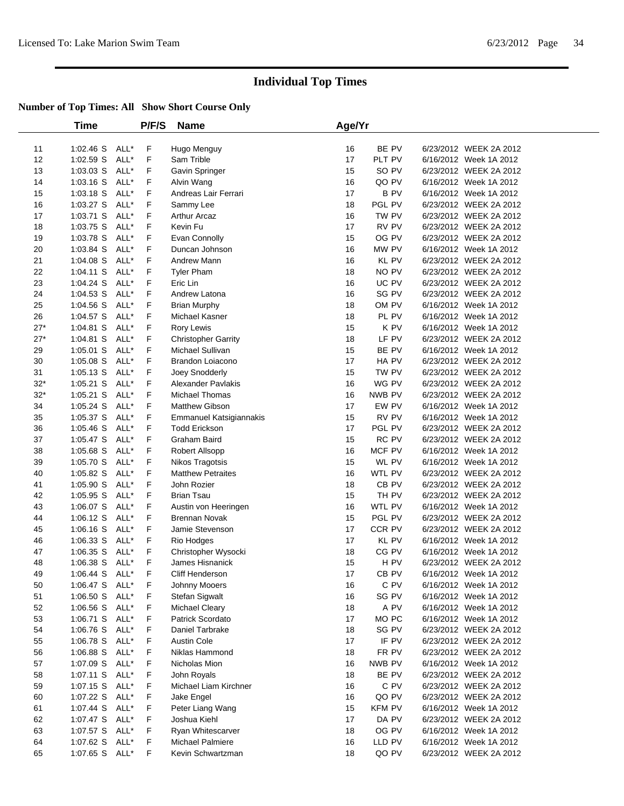|          | Time                   |              | P/F/S  | <b>Name</b>                      | Age/Yr   |                        |                                                  |  |
|----------|------------------------|--------------|--------|----------------------------------|----------|------------------------|--------------------------------------------------|--|
| 11       | 1:02.46 S              | ALL*         | F      | Hugo Menguy                      | 16       | BE PV                  | 6/23/2012 WEEK 2A 2012                           |  |
| 12       | $1:02.59$ S            | ALL*         | F      | Sam Trible                       | 17       | PLT PV                 | 6/16/2012 Week 1A 2012                           |  |
| 13       | $1:03.03$ S            | ALL*         | F      | Gavin Springer                   | 15       | SO PV                  | 6/23/2012 WEEK 2A 2012                           |  |
| 14       | 1:03.16 S              | ALL*         | F      | Alvin Wang                       | 16       | QO PV                  | 6/16/2012 Week 1A 2012                           |  |
| 15       | $1:03.18$ S            | ALL*         | F      | Andreas Lair Ferrari             | 17       | <b>BPV</b>             | 6/16/2012 Week 1A 2012                           |  |
| 16       | 1:03.27 S              | ALL*         | F      | Sammy Lee                        | 18       | PGL PV                 | 6/23/2012 WEEK 2A 2012                           |  |
| 17       | 1:03.71 S              | ALL*         | F      | Arthur Arcaz                     | 16       | TW PV                  | 6/23/2012 WEEK 2A 2012                           |  |
| 18       | 1:03.75 S              | ALL*         | F      | Kevin Fu                         | 17       | RV PV                  | 6/23/2012 WEEK 2A 2012                           |  |
| 19       | 1:03.78 S              | ALL*         | F      | Evan Connolly                    | 15       | OG PV                  | 6/23/2012 WEEK 2A 2012                           |  |
| 20       | 1:03.84 S              | ALL*         | F.     | Duncan Johnson                   | 16       | MW PV                  | 6/16/2012 Week 1A 2012                           |  |
| 21       | 1:04.08 S              | ALL*         | F.     | Andrew Mann                      | 16       | <b>KL PV</b>           | 6/23/2012 WEEK 2A 2012                           |  |
| 22       | $1.04.11$ S            | ALL*         | F      | <b>Tyler Pham</b>                | 18       | NO PV                  | 6/23/2012 WEEK 2A 2012                           |  |
| 23       | 1:04.24 S              | ALL*         | F      | Eric Lin                         | 16       | UC PV                  | 6/23/2012 WEEK 2A 2012                           |  |
| 24       | 1:04.53 S              | ALL*         | F      | Andrew Latona                    | 16       | SG PV                  | 6/23/2012 WEEK 2A 2012                           |  |
| 25       | $1:04.56$ S            | ALL*         | F      | <b>Brian Murphy</b>              | 18       | OM PV                  | 6/16/2012 Week 1A 2012                           |  |
| 26       | 1:04.57 S              | ALL*         | F      | Michael Kasner                   | 18       | PL PV                  | 6/16/2012 Week 1A 2012                           |  |
| $27*$    | 1:04.81 S              | ALL*         | F      | Rory Lewis                       | 15       | K PV                   | 6/16/2012 Week 1A 2012                           |  |
| $27*$    | 1:04.81 S              | ALL*         | F      | <b>Christopher Garrity</b>       | 18       | LF PV                  | 6/23/2012 WEEK 2A 2012                           |  |
| 29       | $1:05.01$ S            | ALL*         | F      | Michael Sullivan                 | 15       | BE PV                  | 6/16/2012 Week 1A 2012                           |  |
| 30       | 1:05.08 S              | ALL*         | F      | Brandon Loiacono                 | 17       | HA PV                  | 6/23/2012 WEEK 2A 2012                           |  |
| 31       | $1:05.13$ S            | ALL*         | F      | Joey Snodderly                   | 15       | TW PV                  | 6/23/2012 WEEK 2A 2012                           |  |
| $32*$    | $1:05.21$ S            | ALL*         | F      | <b>Alexander Pavlakis</b>        | 16       | WG PV                  | 6/23/2012 WEEK 2A 2012                           |  |
| $32*$    | $1:05.21$ S            | ALL*         | F      | Michael Thomas                   | 16       | NWB PV                 | 6/23/2012 WEEK 2A 2012                           |  |
| 34       | $1:05.24$ S            | ALL*         | F      | <b>Matthew Gibson</b>            | 17       | EW PV                  | 6/16/2012 Week 1A 2012                           |  |
| 35       | 1:05.37 S              | ALL*         | F      | Emmanuel Katsigiannakis          | 15       | RV PV                  | 6/16/2012 Week 1A 2012                           |  |
| 36       | 1:05.46 S              | ALL*         | F      | <b>Todd Erickson</b>             | 17       | PGL PV                 | 6/23/2012 WEEK 2A 2012                           |  |
| 37       | $1:05.47$ S            | ALL*         | F      | Graham Baird                     | 15       | RC PV                  | 6/23/2012 WEEK 2A 2012                           |  |
| 38       | 1:05.68 S              | ALL*         | F      | Robert Allsopp                   | 16       | MCF PV                 | 6/16/2012 Week 1A 2012                           |  |
| 39       | 1:05.70 S              | ALL*         | F      | Nikos Tragotsis                  | 15       | WL PV                  | 6/16/2012 Week 1A 2012                           |  |
| 40       | 1:05.82 S              | ALL*         | F      | <b>Matthew Petraites</b>         | 16       | WTL PV                 | 6/23/2012 WEEK 2A 2012                           |  |
| 41       | 1:05.90 S              | ALL*         | F      | John Rozier                      | 18       | CB PV                  | 6/23/2012 WEEK 2A 2012                           |  |
| 42       | 1:05.95 S              | ALL*         | F      | <b>Brian Tsau</b>                | 15       | TH PV                  | 6/23/2012 WEEK 2A 2012                           |  |
| 43       | 1:06.07 S              | ALL*         | F      | Austin von Heeringen             | 16       | WTL PV                 | 6/16/2012 Week 1A 2012                           |  |
| 44       | 1:06.12 S              | ALL*         | F.     | <b>Brennan Novak</b>             | 15       | PGL PV                 | 6/23/2012 WEEK 2A 2012                           |  |
| 45       | 1:06.16 S              | ALL*         | F      | Jamie Stevenson                  | 17       | CCR PV                 | 6/23/2012 WEEK 2A 2012                           |  |
| 46       | 1:06.33 S              | ALL*         | F      | Rio Hodges                       | 17       | <b>KL PV</b>           | 6/16/2012 Week 1A 2012                           |  |
| 47       | 1:06.35 S              | ALL*         | F      | Christopher Wysocki              | 18       | CG PV                  | 6/16/2012 Week 1A 2012                           |  |
| 48       | 1:06.38 S              | ALL*         | F      | James Hisnanick                  | 15       | H PV                   | 6/23/2012 WEEK 2A 2012                           |  |
| 49       | 1:06.44 S              | ALL*         | F      | Cliff Henderson                  | 17       | CB <sub>PV</sub>       | 6/16/2012 Week 1A 2012                           |  |
| 50       | $1:06.47$ S            | ALL*         | F      | Johnny Mooers                    | 16       | C PV                   | 6/16/2012 Week 1A 2012                           |  |
| 51       | 1:06.50 S              | ALL*         | F      | Stefan Sigwalt                   | 16       | SG PV                  | 6/16/2012 Week 1A 2012                           |  |
| 52       | $1:06.56$ S            | ALL*         | F      | Michael Cleary                   | 18       | A PV                   | 6/16/2012 Week 1A 2012                           |  |
| 53       | 1:06.71 S              | ALL*         | F      | Patrick Scordato                 | 17       | MO PC                  | 6/16/2012 Week 1A 2012                           |  |
| 54       | 1:06.76 S              | ALL*         | F      | Daniel Tarbrake                  | 18       | SG PV                  | 6/23/2012 WEEK 2A 2012                           |  |
| 55       | 1:06.78 S              | ALL*         | F      | <b>Austin Cole</b>               | 17       | IF PV                  | 6/23/2012 WEEK 2A 2012                           |  |
| 56       | 1:06.88 S              | ALL*         | F      | Niklas Hammond                   | 18       | FR PV                  | 6/23/2012 WEEK 2A 2012                           |  |
| 57       | 1:07.09 S              | ALL*         | F      | Nicholas Mion                    | 16       | NWB PV                 | 6/16/2012 Week 1A 2012                           |  |
| 58       | 1:07.11 S ALL*         |              | F      | John Royals                      | 18       | BE PV                  | 6/23/2012 WEEK 2A 2012                           |  |
| 59       | $1:07.15$ S            | ALL*         | F      | Michael Liam Kirchner            | 16       | C PV                   | 6/23/2012 WEEK 2A 2012                           |  |
| 60       | 1:07.22 S              | ALL*         | F      | Jake Engel                       | 16       | QO PV                  | 6/23/2012 WEEK 2A 2012                           |  |
| 61<br>62 | 1:07.44 S              | ALL*<br>ALL* | F<br>F | Peter Liang Wang<br>Joshua Kiehl | 15<br>17 | <b>KFM PV</b><br>DA PV | 6/16/2012 Week 1A 2012<br>6/23/2012 WEEK 2A 2012 |  |
| 63       | 1:07.47 S<br>1:07.57 S | ALL*         | F      | Ryan Whitescarver                | 18       | OG PV                  | 6/16/2012 Week 1A 2012                           |  |
| 64       | 1:07.62 S              | ALL*         | F      | Michael Palmiere                 | 16       | LLD PV                 | 6/16/2012 Week 1A 2012                           |  |
| 65       | 1:07.65 S              | ALL*         | F.     | Kevin Schwartzman                | 18       | QO PV                  | 6/23/2012 WEEK 2A 2012                           |  |
|          |                        |              |        |                                  |          |                        |                                                  |  |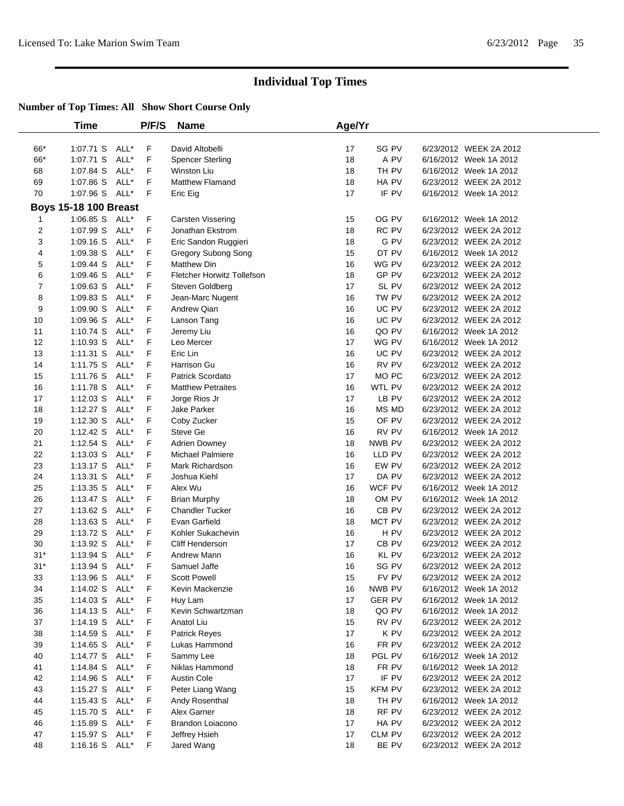|       | <b>Time</b>                  |      | P/F/S | <b>Name</b>                | Age/Yr |               |                        |  |
|-------|------------------------------|------|-------|----------------------------|--------|---------------|------------------------|--|
|       |                              |      |       |                            |        |               |                        |  |
| 66*   | 1:07.71 S ALL*               |      | F     | David Altobelli            | 17     | SG PV         | 6/23/2012 WEEK 2A 2012 |  |
| 66*   | 1:07.71 S                    | ALL* | F     | <b>Spencer Sterling</b>    | 18     | A PV          | 6/16/2012 Week 1A 2012 |  |
| 68    | 1:07.84 S ALL*               |      | F     | Winston Liu                | 18     | TH PV         | 6/16/2012 Week 1A 2012 |  |
| 69    | 1:07.86 S ALL*               |      | F     | <b>Matthew Flamand</b>     | 18     | HA PV         | 6/23/2012 WEEK 2A 2012 |  |
| 70    | 1:07.96 S ALL*               |      | F     | Eric Eig                   | 17     | IF PV         | 6/16/2012 Week 1A 2012 |  |
|       | <b>Boys 15-18 100 Breast</b> |      |       |                            |        |               |                        |  |
| 1     | 1:06.85 S ALL*               |      | F     | Carsten Vissering          | 15     | OG PV         | 6/16/2012 Week 1A 2012 |  |
| 2     | 1:07.99 S                    | ALL* | F     | Jonathan Ekstrom           | 18     | RC PV         | 6/23/2012 WEEK 2A 2012 |  |
| 3     | $1:09.16$ S                  | ALL* | F     | Eric Sandon Ruggieri       | 18     | G PV          | 6/23/2012 WEEK 2A 2012 |  |
| 4     | $1:09.38$ S                  | ALL* | F     | Gregory Subong Song        | 15     | DT PV         | 6/16/2012 Week 1A 2012 |  |
| 5     | $1:09.44$ S                  | ALL* | F     | <b>Matthew Din</b>         | 16     | WG PV         | 6/23/2012 WEEK 2A 2012 |  |
| 6     | $1:09.46$ S                  | ALL* | F     | Fletcher Horwitz Tollefson | 18     | GP PV         | 6/23/2012 WEEK 2A 2012 |  |
| 7     | $1:09.63$ S                  | ALL* | F     | Steven Goldberg            | 17     | SL PV         | 6/23/2012 WEEK 2A 2012 |  |
| 8     | 1:09.83 S                    | ALL* | F     | Jean-Marc Nugent           | 16     | TW PV         | 6/23/2012 WEEK 2A 2012 |  |
| 9     | 1:09.90 S                    | ALL* | F     | Andrew Qian                | 16     | UC PV         | 6/23/2012 WEEK 2A 2012 |  |
| 10    | 1:09.96 S                    | ALL* | F     | Lanson Tang                | 16     | UC PV         | 6/23/2012 WEEK 2A 2012 |  |
| 11    | $1:10.74$ S                  | ALL* | F     | Jeremy Liu                 | 16     | QO PV         | 6/16/2012 Week 1A 2012 |  |
| 12    | $1:10.93$ S                  | ALL* | F     | Leo Mercer                 | 17     | WG PV         | 6/16/2012 Week 1A 2012 |  |
| 13    | $1:11.31$ S                  | ALL* | F     | Eric Lin                   | 16     | UC PV         | 6/23/2012 WEEK 2A 2012 |  |
| 14    | $1:11.75$ S                  | ALL* | F     | Harrison Gu                | 16     | RV PV         | 6/23/2012 WEEK 2A 2012 |  |
| 15    | 1:11.76 S                    | ALL* | F     | <b>Patrick Scordato</b>    | 17     | MO PC         | 6/23/2012 WEEK 2A 2012 |  |
| 16    | 1:11.78 S ALL*               |      | F     | <b>Matthew Petraites</b>   | 16     | WTL PV        | 6/23/2012 WEEK 2A 2012 |  |
| 17    | 1:12.03 S                    | ALL* | F     | Jorge Rios Jr              | 17     | LB PV         | 6/23/2012 WEEK 2A 2012 |  |
| 18    | 1:12.27 S ALL*               |      | F     | Jake Parker                | 16     | MS MD         | 6/23/2012 WEEK 2A 2012 |  |
| 19    | 1:12.30 S ALL*               |      | F     | Coby Zucker                | 15     | OF PV         | 6/23/2012 WEEK 2A 2012 |  |
| 20    | 1:12.42 S                    | ALL* | F     | Steve Ge                   | 16     | RV PV         | 6/16/2012 Week 1A 2012 |  |
| 21    | $1:12.54$ S                  | ALL* | F     | <b>Adrien Downey</b>       | 18     | NWB PV        | 6/23/2012 WEEK 2A 2012 |  |
| 22    | $1:13.03$ S                  | ALL* | F     | Michael Palmiere           | 16     | LLD PV        | 6/23/2012 WEEK 2A 2012 |  |
| 23    | $1:13.17$ S                  | ALL* | F     | Mark Richardson            | 16     | EW PV         | 6/23/2012 WEEK 2A 2012 |  |
| 24    | $1:13.31$ S                  | ALL* | F     | Joshua Kiehl               | 17     | DA PV         | 6/23/2012 WEEK 2A 2012 |  |
| 25    | $1:13.35$ S                  | ALL* | F     | Alex Wu                    | 16     | WCF PV        | 6/16/2012 Week 1A 2012 |  |
| 26    | $1:13.47$ S                  | ALL* | F     | <b>Brian Murphy</b>        | 18     | OM PV         | 6/16/2012 Week 1A 2012 |  |
| 27    | 1:13.62 S                    | ALL* | F     | <b>Chandler Tucker</b>     | 16     | CB PV         | 6/23/2012 WEEK 2A 2012 |  |
| 28    | 1:13.63 S ALL*               |      | F     | Evan Garfield              | 18     | MCT PV        | 6/23/2012 WEEK 2A 2012 |  |
| 29    | 1:13.72 S                    | ALL* | F     | Kohler Sukachevin          | 16     | H PV          | 6/23/2012 WEEK 2A 2012 |  |
| 30    | 1:13.92 S ALL*               |      | F     | Cliff Henderson            | 17     | $CB$ PV       | 6/23/2012 WEEK 2A 2012 |  |
| $31*$ | 1:13.94 S ALL*               |      | F     | Andrew Mann                | 16     | KL PV         | 6/23/2012 WEEK 2A 2012 |  |
| $31*$ | 1:13.94 S ALL*               |      | F     | Samuel Jaffe               | 16     | SG PV         | 6/23/2012 WEEK 2A 2012 |  |
| 33    | 1:13.96 S ALL*               |      | F     | Scott Powell               | 15     | FV PV         | 6/23/2012 WEEK 2A 2012 |  |
| 34    | 1:14.02 S ALL*               |      | F     | Kevin Mackenzie            | 16     | NWB PV        | 6/16/2012 Week 1A 2012 |  |
| 35    | 1:14.03 S ALL*               |      | F     | Huy Lam                    | 17     | <b>GER PV</b> | 6/16/2012 Week 1A 2012 |  |
| 36    | 1:14.13 S ALL*               |      | F     | Kevin Schwartzman          | 18     | QO PV         | 6/16/2012 Week 1A 2012 |  |
| 37    | 1:14.19 S ALL*               |      | F     | Anatol Liu                 | 15     | RV PV         | 6/23/2012 WEEK 2A 2012 |  |
| 38    | 1:14.59 S                    | ALL* | F     | Patrick Reyes              | 17     | K PV          | 6/23/2012 WEEK 2A 2012 |  |
| 39    | $1:14.65$ S                  | ALL* | F     | Lukas Hammond              | 16     | FR PV         | 6/23/2012 WEEK 2A 2012 |  |
| 40    | 1:14.77 S ALL*               |      | F     | Sammy Lee                  | 18     | PGL PV        | 6/16/2012 Week 1A 2012 |  |
| 41    | $1:14.84$ S                  | ALL* | F     | Niklas Hammond             | 18     | FR PV         | 6/16/2012 Week 1A 2012 |  |
| 42    | 1:14.96 $S$                  | ALL* | F     | <b>Austin Cole</b>         | 17     | IF PV         | 6/23/2012 WEEK 2A 2012 |  |
| 43    | 1:15.27 S ALL*               |      | F     | Peter Liang Wang           | 15     | <b>KFM PV</b> | 6/23/2012 WEEK 2A 2012 |  |
| 44    | 1:15.43 S ALL*               |      | F     | Andy Rosenthal             | 18     | TH PV         | 6/16/2012 Week 1A 2012 |  |
| 45    | 1:15.70 S ALL*               |      | F     | Alex Garner                | 18     | RF PV         | 6/23/2012 WEEK 2A 2012 |  |
| 46    | 1:15.89 S ALL*               |      | F     | Brandon Loiacono           | 17     | HA PV         | 6/23/2012 WEEK 2A 2012 |  |
| 47    | 1:15.97 S ALL*               |      | F     | Jeffrey Hsieh              | 17     | CLM PV        | 6/23/2012 WEEK 2A 2012 |  |
| 48    | 1:16.16 S ALL*               |      | F.    | Jared Wang                 | 18     | BE PV         | 6/23/2012 WEEK 2A 2012 |  |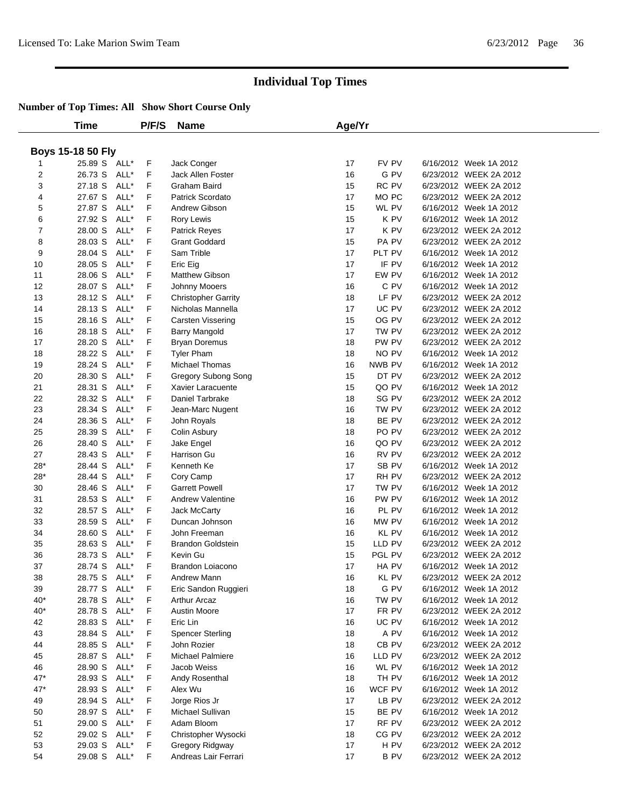|                | Time                     |      | P/F/S   | <b>Name</b>                      | Age/Yr   |            |                                                  |  |
|----------------|--------------------------|------|---------|----------------------------------|----------|------------|--------------------------------------------------|--|
|                |                          |      |         |                                  |          |            |                                                  |  |
|                | <b>Boys 15-18 50 Fly</b> |      |         |                                  |          | FV PV      |                                                  |  |
| 2              | 25.89 S ALL*<br>26.73 S  | ALL* | F<br>F. | Jack Conger<br>Jack Allen Foster | 17<br>16 | G PV       | 6/16/2012 Week 1A 2012<br>6/23/2012 WEEK 2A 2012 |  |
| 3              | 27.18 S                  | ALL* | F       | Graham Baird                     | 15       | RC PV      | 6/23/2012 WEEK 2A 2012                           |  |
| 4              | 27.67 S                  | ALL* | F       | Patrick Scordato                 | 17       | MO PC      | 6/23/2012 WEEK 2A 2012                           |  |
| 5              | 27.87 S                  | ALL* | F       | Andrew Gibson                    | 15       | WL PV      | 6/16/2012 Week 1A 2012                           |  |
| 6              | 27.92 S                  | ALL* | F       | Rory Lewis                       | 15       | K PV       | 6/16/2012 Week 1A 2012                           |  |
| $\overline{7}$ | 28.00 S                  | ALL* | F       | Patrick Reyes                    | 17       | K PV       | 6/23/2012 WEEK 2A 2012                           |  |
| 8              | 28.03 S                  | ALL* | F       | <b>Grant Goddard</b>             | 15       | PA PV      | 6/23/2012 WEEK 2A 2012                           |  |
| 9              | 28.04 S                  | ALL* | F       | Sam Trible                       | 17       | PLT PV     | 6/16/2012 Week 1A 2012                           |  |
| 10             | 28.05 S                  | ALL* | F       | Eric Eig                         | 17       | IF PV      | 6/16/2012 Week 1A 2012                           |  |
| 11             | 28.06 S                  | ALL* | F       | Matthew Gibson                   | 17       | EW PV      | 6/16/2012 Week 1A 2012                           |  |
| 12             | 28.07 S                  | ALL* | F       | Johnny Mooers                    | 16       | C PV       | 6/16/2012 Week 1A 2012                           |  |
| 13             | 28.12 S                  | ALL* | F       | <b>Christopher Garrity</b>       | 18       | LF PV      | 6/23/2012 WEEK 2A 2012                           |  |
| 14             | 28.13 S                  | ALL* | F       | Nicholas Mannella                | 17       | UC PV      | 6/23/2012 WEEK 2A 2012                           |  |
| 15             | 28.16 S                  | ALL* | F       | Carsten Vissering                | 15       | OG PV      | 6/23/2012 WEEK 2A 2012                           |  |
| 16             | 28.18 S                  | ALL* | F       | Barry Mangold                    | 17       | TW PV      | 6/23/2012 WEEK 2A 2012                           |  |
| 17             | 28.20 S                  | ALL* | F       | <b>Bryan Doremus</b>             | 18       | PW PV      | 6/23/2012 WEEK 2A 2012                           |  |
| 18             | 28.22 S                  | ALL* | F       | <b>Tyler Pham</b>                | 18       | NO PV      | 6/16/2012 Week 1A 2012                           |  |
| 19             | 28.24 S                  | ALL* | F       | <b>Michael Thomas</b>            | 16       | NWB PV     | 6/16/2012 Week 1A 2012                           |  |
| 20             | 28.30 S                  | ALL* | F       | Gregory Subong Song              | 15       | DT PV      | 6/23/2012 WEEK 2A 2012                           |  |
| 21             | 28.31 S                  | ALL* | F       | Xavier Laracuente                | 15       | QO PV      | 6/16/2012 Week 1A 2012                           |  |
| 22             | 28.32 S                  | ALL* | F       | Daniel Tarbrake                  | 18       | SG PV      | 6/23/2012 WEEK 2A 2012                           |  |
| 23             | 28.34 S                  | ALL* | F       | Jean-Marc Nugent                 | 16       | TW PV      | 6/23/2012 WEEK 2A 2012                           |  |
| 24             | 28.36 S                  | ALL* | F       | John Royals                      | 18       | BE PV      | 6/23/2012 WEEK 2A 2012                           |  |
| 25             | 28.39 S                  | ALL* | F       | Colin Asbury                     | 18       | PO PV      | 6/23/2012 WEEK 2A 2012                           |  |
| 26             | 28.40 S                  | ALL* | F       | Jake Engel                       | 16       | QO PV      | 6/23/2012 WEEK 2A 2012                           |  |
| 27             | 28.43 S                  | ALL* | F       | Harrison Gu                      | 16       | RV PV      | 6/23/2012 WEEK 2A 2012                           |  |
| $28*$          | 28.44 S                  | ALL* | F       | Kenneth Ke                       | 17       | SB PV      | 6/16/2012 Week 1A 2012                           |  |
| $28*$          | 28.44 S                  | ALL* | F       | Cory Camp                        | 17       | RH PV      | 6/23/2012 WEEK 2A 2012                           |  |
| 30             | 28.46 S                  | ALL* | F       | <b>Garrett Powell</b>            | 17       | TW PV      | 6/16/2012 Week 1A 2012                           |  |
| 31             | 28.53 S                  | ALL* | F       | <b>Andrew Valentine</b>          | 16       | PW PV      | 6/16/2012 Week 1A 2012                           |  |
| 32             | 28.57 S                  | ALL* | F       | Jack McCarty                     | 16       | PL PV      | 6/16/2012 Week 1A 2012                           |  |
| 33             | 28.59 S                  | ALL* | F       | Duncan Johnson                   | 16       | MW PV      | 6/16/2012 Week 1A 2012                           |  |
| 34             | 28.60 S                  | ALL* | F       | John Freeman                     | 16       | KL PV      | 6/16/2012 Week 1A 2012                           |  |
| 35             | 28.63 S                  | ALL* | F       | <b>Brandon Goldstein</b>         | 15       | LLD PV     | 6/23/2012 WEEK 2A 2012                           |  |
| 36             | 28.73 S                  | ALL* | F       | Kevin Gu                         | 15       | PGL PV     | 6/23/2012 WEEK 2A 2012                           |  |
| 37             | 28.74 S ALL*             |      | F       | Brandon Loiacono                 | 17       | HA PV      | 6/16/2012 Week 1A 2012                           |  |
| 38             | 28.75 S ALL*             |      | F       | Andrew Mann                      | 16       | KL PV      | 6/23/2012 WEEK 2A 2012                           |  |
| 39             | 28.77 S ALL*             |      | F       | Eric Sandon Ruggieri             | 18       | G PV       | 6/16/2012 Week 1A 2012                           |  |
| $40*$          | 28.78 S ALL*             |      | F       | <b>Arthur Arcaz</b>              | 16       | TW PV      | 6/16/2012 Week 1A 2012                           |  |
| $40*$          | 28.78 S ALL*             |      | F       | <b>Austin Moore</b>              | 17       | FR PV      | 6/23/2012 WEEK 2A 2012                           |  |
| 42             | 28.83 S ALL*             |      | F       | Eric Lin                         | 16       | UC PV      | 6/16/2012 Week 1A 2012                           |  |
| 43             | 28.84 S                  | ALL* | F       | <b>Spencer Sterling</b>          | 18       | A PV       | 6/16/2012 Week 1A 2012                           |  |
| 44             | 28.85 S ALL*             |      | F       | John Rozier                      | 18       | CB PV      | 6/23/2012 WEEK 2A 2012                           |  |
| 45             | 28.87 S ALL*             |      | F       | Michael Palmiere                 | 16       | LLD PV     | 6/23/2012 WEEK 2A 2012                           |  |
| 46             | 28.90 S ALL*             |      | F       | Jacob Weiss                      | 16       | WL PV      | 6/16/2012 Week 1A 2012                           |  |
| $47*$          | 28.93 S                  | ALL* | F       | Andy Rosenthal                   | 18       | TH PV      | 6/16/2012 Week 1A 2012                           |  |
| $47*$          | 28.93 S                  | ALL* | F       | Alex Wu                          | 16       | WCF PV     | 6/16/2012 Week 1A 2012                           |  |
| 49             | 28.94 S ALL*             |      | F       | Jorge Rios Jr                    | 17       | LB PV      | 6/23/2012 WEEK 2A 2012                           |  |
| 50             | 28.97 S ALL*             |      | F       | Michael Sullivan                 | 15       | BE PV      | 6/16/2012 Week 1A 2012                           |  |
| 51             | 29.00 S ALL*             |      | F       | Adam Bloom                       | 17       | RF PV      | 6/23/2012 WEEK 2A 2012                           |  |
| 52             | 29.02 S ALL*             |      | F       | Christopher Wysocki              | 18       | CG PV      | 6/23/2012 WEEK 2A 2012                           |  |
| 53             | 29.03 S                  | ALL* | F       | Gregory Ridgway                  | 17       | H PV       | 6/23/2012 WEEK 2A 2012                           |  |
| 54             | 29.08 S ALL*             |      | F       | Andreas Lair Ferrari             | 17       | <b>BPV</b> | 6/23/2012 WEEK 2A 2012                           |  |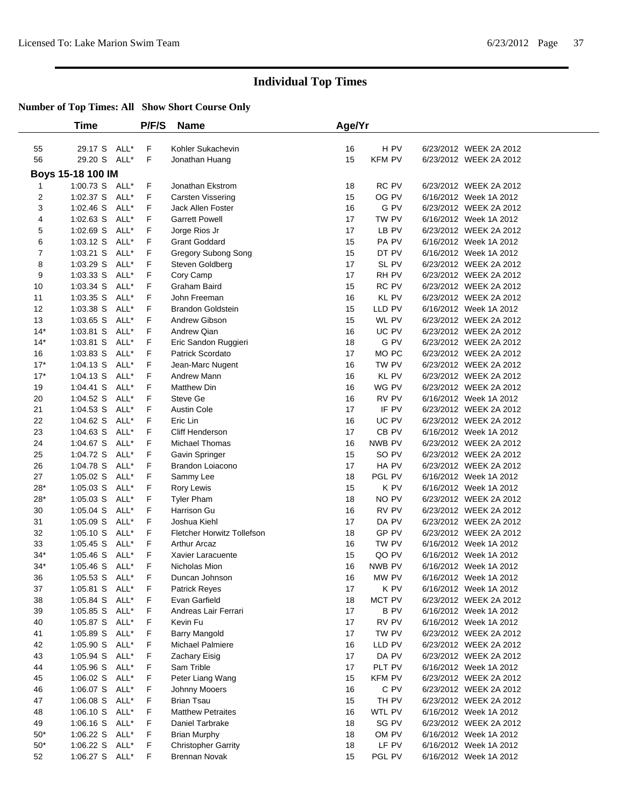|              | Time                | P/F/S | <b>Name</b>                | Age/Yr |                  |                        |  |
|--------------|---------------------|-------|----------------------------|--------|------------------|------------------------|--|
| 55           | 29.17 S ALL*        | F     | Kohler Sukachevin          | 16     | H PV             | 6/23/2012 WEEK 2A 2012 |  |
| 56           | 29.20 S ALL*        | F     | Jonathan Huang             | 15     | <b>KFM PV</b>    | 6/23/2012 WEEK 2A 2012 |  |
|              | Boys 15-18 100 IM   |       |                            |        |                  |                        |  |
| $\mathbf{1}$ | 1:00.73 S ALL*      | F     | Jonathan Ekstrom           | 18     | RC PV            | 6/23/2012 WEEK 2A 2012 |  |
| 2            | ALL*<br>$1:02.37$ S | F     | Carsten Vissering          | 15     | OG PV            | 6/16/2012 Week 1A 2012 |  |
| 3            | ALL*<br>$1:02.46$ S | F     | <b>Jack Allen Foster</b>   | 16     | G PV             | 6/23/2012 WEEK 2A 2012 |  |
| 4            | ALL*<br>$1:02.63$ S | F     | <b>Garrett Powell</b>      | 17     | TW PV            | 6/16/2012 Week 1A 2012 |  |
| 5            | 1:02.69 S<br>ALL*   | F     | Jorge Rios Jr              | 17     | LB PV            | 6/23/2012 WEEK 2A 2012 |  |
| 6            | ALL*<br>1:03.12 S   | F     | <b>Grant Goddard</b>       | 15     | PA PV            | 6/16/2012 Week 1A 2012 |  |
| 7            | $1:03.21$ S<br>ALL* | F     | <b>Gregory Subong Song</b> | 15     | DT PV            | 6/16/2012 Week 1A 2012 |  |
| 8            | $1:03.29$ S<br>ALL* | F     | Steven Goldberg            | 17     | SL PV            | 6/23/2012 WEEK 2A 2012 |  |
| 9            | $1:03.33$ S<br>ALL* | F     | Cory Camp                  | 17     | RH PV            | 6/23/2012 WEEK 2A 2012 |  |
| 10           | ALL*<br>$1:03.34$ S | F     | Graham Baird               | 15     | RC PV            | 6/23/2012 WEEK 2A 2012 |  |
| 11           | 1:03.35 S<br>ALL*   | F     | John Freeman               | 16     | KL PV            | 6/23/2012 WEEK 2A 2012 |  |
| 12           | 1:03.38 S<br>ALL*   | F     | <b>Brandon Goldstein</b>   | 15     | LLD PV           | 6/16/2012 Week 1A 2012 |  |
| 13           | ALL*<br>$1:03.65$ S | F     | Andrew Gibson              | 15     | WL PV            | 6/23/2012 WEEK 2A 2012 |  |
| $14*$        | ALL*<br>1:03.81 S   | F     | Andrew Qian                | 16     | UC PV            | 6/23/2012 WEEK 2A 2012 |  |
| $14*$        | ALL*<br>1:03.81 S   | F     | Eric Sandon Ruggieri       | 18     | G PV             | 6/23/2012 WEEK 2A 2012 |  |
| 16           | ALL*<br>$1:03.83$ S | F     | Patrick Scordato           | 17     | MO <sub>PC</sub> | 6/23/2012 WEEK 2A 2012 |  |
| $17*$        | ALL*<br>$1:04.13$ S | F     | Jean-Marc Nugent           | 16     | TW PV            | 6/23/2012 WEEK 2A 2012 |  |
| $17*$        | ALL*<br>$1:04.13$ S | F     | Andrew Mann                | 16     | KL PV            | 6/23/2012 WEEK 2A 2012 |  |
| 19           | 1:04.41 S<br>ALL*   | F     | <b>Matthew Din</b>         | 16     | WG PV            | 6/23/2012 WEEK 2A 2012 |  |
| 20           | 1:04.52 S<br>ALL*   | F     | Steve Ge                   | 16     | RV PV            | 6/16/2012 Week 1A 2012 |  |
| 21           | ALL*<br>$1:04.53$ S | F     | <b>Austin Cole</b>         | 17     | IF PV            | 6/23/2012 WEEK 2A 2012 |  |
| 22           | ALL*<br>$1:04.62$ S | F     | Eric Lin                   | 16     | UC PV            | 6/23/2012 WEEK 2A 2012 |  |
| 23           | 1:04.63 S<br>ALL*   | F     | Cliff Henderson            | 17     | CB <sub>PV</sub> | 6/16/2012 Week 1A 2012 |  |
| 24           | 1:04.67 S<br>ALL*   | F     | Michael Thomas             | 16     | NWB PV           | 6/23/2012 WEEK 2A 2012 |  |
| 25           | ALL*<br>1:04.72 S   | F     | Gavin Springer             | 15     | SO PV            | 6/23/2012 WEEK 2A 2012 |  |
| 26           | ALL*<br>1:04.78 S   | F     | Brandon Loiacono           | 17     | HA PV            | 6/23/2012 WEEK 2A 2012 |  |
| 27           | ALL*<br>$1:05.02$ S | F     | Sammy Lee                  | 18     | PGL PV           | 6/16/2012 Week 1A 2012 |  |
| $28*$        | ALL*<br>$1:05.03$ S | F     | Rory Lewis                 | 15     | K PV             | 6/16/2012 Week 1A 2012 |  |
| $28*$        | ALL*<br>$1:05.03$ S | F     | <b>Tyler Pham</b>          | 18     | NO PV            | 6/23/2012 WEEK 2A 2012 |  |
| 30           | ALL*<br>$1:05.04$ S | F     | Harrison Gu                | 16     | RV PV            | 6/23/2012 WEEK 2A 2012 |  |
| 31           | $1:05.09$ S<br>ALL* | F     | Joshua Kiehl               | 17     | DA PV            | 6/23/2012 WEEK 2A 2012 |  |
| 32           | 1:05.10 S<br>ALL*   | F     | Fletcher Horwitz Tollefson | 18     | GP PV            | 6/23/2012 WEEK 2A 2012 |  |
| 33           | ALL*<br>$1:05.45$ S | F     | <b>Arthur Arcaz</b>        | 16     | TW PV            | 6/16/2012 Week 1A 2012 |  |
| $34*$        | ALL*<br>$1:05.46$ S | F     | Xavier Laracuente          | 15     | QO PV            | 6/16/2012 Week 1A 2012 |  |
| $34*$        | 1:05.46 S ALL*      | F     | Nicholas Mion              | 16     | NWB PV           | 6/16/2012 Week 1A 2012 |  |
| 36           | 1:05.53 S ALL*      | F     | Duncan Johnson             | 16     | MW PV            | 6/16/2012 Week 1A 2012 |  |
| 37           | 1:05.81 S ALL*      | F     | <b>Patrick Reyes</b>       | 17     | K PV             | 6/16/2012 Week 1A 2012 |  |
| 38           | 1:05.84 S ALL*      | F     | Evan Garfield              | 18     | MCT PV           | 6/23/2012 WEEK 2A 2012 |  |
| 39           | ALL*<br>$1:05.85$ S | F     | Andreas Lair Ferrari       | 17     | B PV             | 6/16/2012 Week 1A 2012 |  |
| 40           | 1:05.87 S ALL*      | F     | Kevin Fu                   | 17     | RV PV            | 6/16/2012 Week 1A 2012 |  |
| 41           | ALL*<br>$1:05.89$ S | F     | Barry Mangold              | 17     | TW PV            | 6/23/2012 WEEK 2A 2012 |  |
| 42           | ALL*<br>1:05.90 S   | F     | Michael Palmiere           | 16     | LLD PV           | 6/23/2012 WEEK 2A 2012 |  |
| 43           | ALL*<br>$1:05.94$ S | F     | <b>Zachary Eisig</b>       | 17     | DA PV            | 6/23/2012 WEEK 2A 2012 |  |
| 44           | $1:05.96$ S<br>ALL* | F     | Sam Trible                 | 17     | PLT PV           | 6/16/2012 Week 1A 2012 |  |
| 45           | ALL*<br>$1:06.02$ S | F     | Peter Liang Wang           | 15     | <b>KFM PV</b>    | 6/23/2012 WEEK 2A 2012 |  |
| 46           | 1:06.07 S ALL*      | F     | Johnny Mooers              | 16     | C PV             | 6/23/2012 WEEK 2A 2012 |  |
| 47           | $1:06.08$ S<br>ALL* | F     | <b>Brian Tsau</b>          | 15     | TH PV            | 6/23/2012 WEEK 2A 2012 |  |
| 48           | ALL*<br>1:06.10 S   | F     | <b>Matthew Petraites</b>   | 16     | WTL PV           | 6/16/2012 Week 1A 2012 |  |
| 49           | 1:06.16 S ALL*      | F     | Daniel Tarbrake            | 18     | SG PV            | 6/23/2012 WEEK 2A 2012 |  |
| $50*$        | $1:06.22$ S<br>ALL* | F     | <b>Brian Murphy</b>        | 18     | OM PV            | 6/16/2012 Week 1A 2012 |  |
| $50*$        | $1:06.22$ S<br>ALL* | F     | <b>Christopher Garrity</b> | 18     | LF PV            | 6/16/2012 Week 1A 2012 |  |
| 52           | 1:06.27 S ALL*      | F     | Brennan Novak              | 15     | PGL PV           | 6/16/2012 Week 1A 2012 |  |